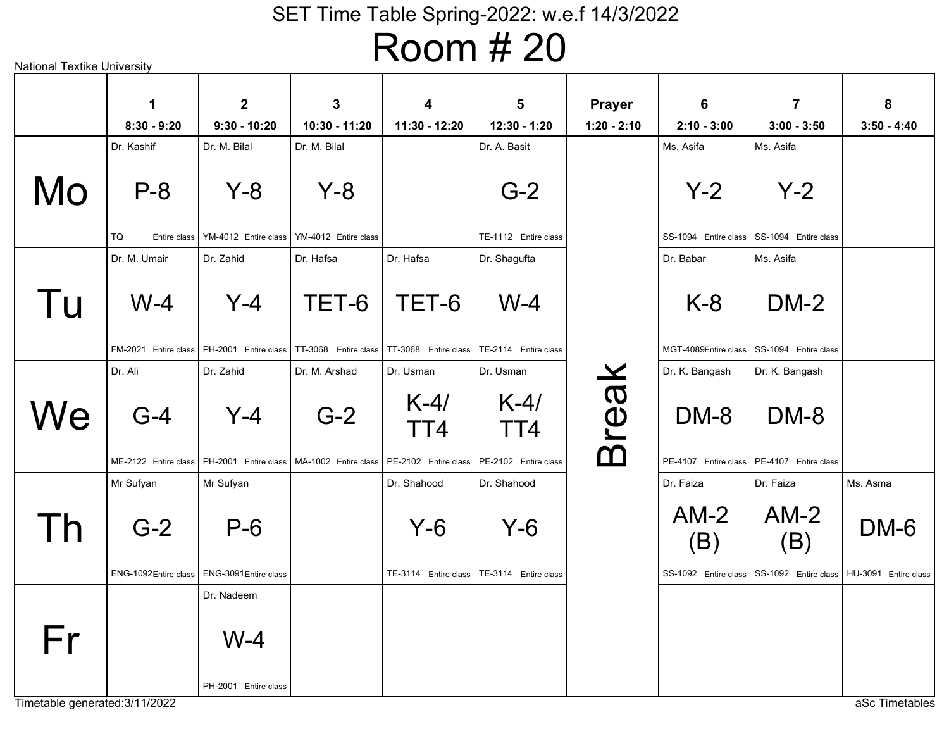# Room # 20

|                | 1<br>$8:30 - 9:20$   | $\overline{2}$<br>$9:30 - 10:20$            | $\mathbf{3}$<br>10:30 - 11:20 | $\overline{\mathbf{4}}$<br>11:30 - 12:20    | 5<br>12:30 - 1:20    | <b>Prayer</b><br>$1:20 - 2:10$ | 6<br>$2:10 - 3:00$   | $\overline{7}$<br>$3:00 - 3:50$             | 8<br>$3:50 - 4:40$   |
|----------------|----------------------|---------------------------------------------|-------------------------------|---------------------------------------------|----------------------|--------------------------------|----------------------|---------------------------------------------|----------------------|
|                | Dr. Kashif           | Dr. M. Bilal                                | Dr. M. Bilal                  |                                             | Dr. A. Basit         |                                | Ms. Asifa            | Ms. Asifa                                   |                      |
| Mo             | $P - 8$              | $Y-8$                                       | $Y - 8$                       |                                             | $G-2$                |                                | $Y-2$                | $Y-2$                                       |                      |
|                | TQ<br>Entire class   | YM-4012 Entire class                        | YM-4012 Entire class          |                                             | TE-1112 Entire class |                                |                      | SS-1094 Entire class SS-1094 Entire class   |                      |
|                | Dr. M. Umair         | Dr. Zahid                                   | Dr. Hafsa                     | Dr. Hafsa                                   | Dr. Shagufta         |                                | Dr. Babar            | Ms. Asifa                                   |                      |
| Tu             | $W-4$                | $Y-4$                                       | TET-6                         | TET-6                                       | $W-4$                |                                | $K-8$                | $DM-2$                                      |                      |
|                |                      | FM-2021 Entire class   PH-2001 Entire class | TT-3068 Entire class          | TT-3068 Entire class   TE-2114 Entire class |                      |                                |                      | MGT-4089Entire class   SS-1094 Entire class |                      |
|                | Dr. Ali              | Dr. Zahid                                   | Dr. M. Arshad                 | Dr. Usman                                   | Dr. Usman            |                                | Dr. K. Bangash       | Dr. K. Bangash                              |                      |
| We             | $G-4$                | $Y-4$                                       | $G-2$                         | $K-4/$<br>TT4                               | $K-4/$<br>TT4        | <b>Break</b>                   | DM-8                 | DM-8                                        |                      |
|                | ME-2122 Entire class | PH-2001 Entire class                        | MA-1002 Entire class          | PE-2102 Entire class                        | PE-2102 Entire class |                                |                      | PE-4107 Entire class   PE-4107 Entire class |                      |
|                | Mr Sufyan            | Mr Sufyan                                   |                               | Dr. Shahood                                 | Dr. Shahood          |                                | Dr. Faiza            | Dr. Faiza                                   | Ms. Asma             |
| $\overline{a}$ | $G-2$                | $P-6$                                       |                               | $Y-6$                                       | Y-6                  |                                | $AM-2$<br>(B)        | $AM-2$<br>(B)                               | DM-6                 |
|                | ENG-1092Entire class | ENG-3091Entire class                        |                               | TE-3114 Entire class                        | TE-3114 Entire class |                                | SS-1092 Entire class | SS-1092 Entire class                        | HU-3091 Entire class |
|                |                      | Dr. Nadeem                                  |                               |                                             |                      |                                |                      |                                             |                      |
| Fr             |                      | $W-4$                                       |                               |                                             |                      |                                |                      |                                             |                      |
|                |                      | PH-2001 Entire class                        |                               |                                             |                      |                                |                      |                                             |                      |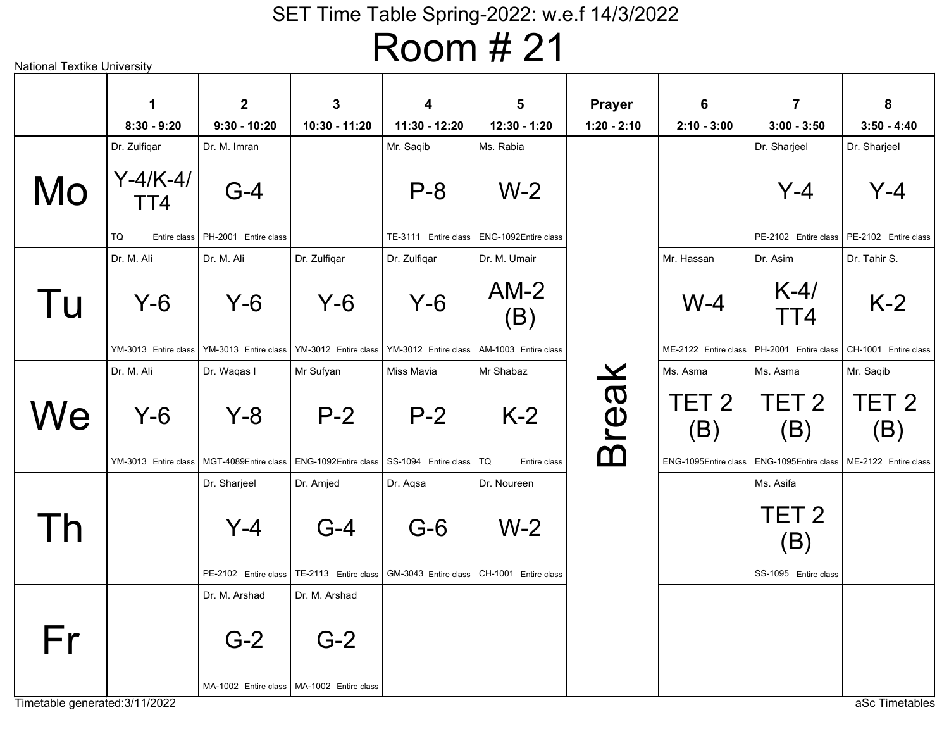Room # 21

|    | 1                           | $\overline{2}$                      | 3                                                    | 4                             | $5\phantom{1}$                                       | <b>Prayer</b> | 6                                               | $\overline{7}$                                  | 8                                               |
|----|-----------------------------|-------------------------------------|------------------------------------------------------|-------------------------------|------------------------------------------------------|---------------|-------------------------------------------------|-------------------------------------------------|-------------------------------------------------|
|    | $8:30 - 9:20$               | $9:30 - 10:20$                      | 10:30 - 11:20                                        | 11:30 - 12:20                 | 12:30 - 1:20                                         | $1:20 - 2:10$ | $2:10 - 3:00$                                   | $3:00 - 3:50$                                   | $3:50 - 4:40$                                   |
|    | Dr. Zulfiqar                | Dr. M. Imran                        |                                                      | Mr. Saqib                     | Ms. Rabia                                            |               |                                                 | Dr. Sharjeel                                    | Dr. Sharjeel                                    |
| Mo | $Y - 4/K - 4/$<br>TT4       | $G-4$                               |                                                      | $P - 8$                       | $W-2$                                                |               |                                                 | $Y - 4$                                         | $Y - 4$                                         |
|    | TQ                          | Entire class   PH-2001 Entire class |                                                      | TE-3111 Entire class          | ENG-1092Entire class                                 |               |                                                 | PE-2102 Entire class                            | PE-2102 Entire class                            |
|    | Dr. M. Ali                  | Dr. M. Ali                          | Dr. Zulfiqar                                         | Dr. Zulfigar                  | Dr. M. Umair                                         |               | Mr. Hassan                                      | Dr. Asim                                        | Dr. Tahir S.                                    |
| Tu | $Y-6$                       | $Y-6$                               | $Y-6$                                                | $Y-6$                         | $AM-2$<br>(B)                                        |               | $W-4$                                           | $K-4/$<br>TT4                                   | $K-2$                                           |
|    | YM-3013 Entire class        | YM-3013 Entire class                | YM-3012 Entire class                                 | YM-3012 Entire class          | AM-1003 Entire class                                 |               | ME-2122 Entire class                            | PH-2001 Entire class                            | CH-1001 Entire class                            |
|    | Dr. M. Ali                  | Dr. Waqas I                         | Mr Sufyan                                            | Miss Mavia                    | Mr Shabaz                                            |               | Ms. Asma                                        | Ms. Asma                                        | Mr. Sagib                                       |
| We | Y-6<br>YM-3013 Entire class | $Y - 8$<br>MGT-4089Entire class     | $P-2$<br>ENG-1092Entire class                        | $P-2$<br>SS-1094 Entire class | $K-2$<br>TQ<br>Entire class                          | <b>Break</b>  | TET <sub>2</sub><br>(B)<br>ENG-1095Entire class | TET <sub>2</sub><br>(B)<br>ENG-1095Entire class | TET <sub>2</sub><br>(B)<br>ME-2122 Entire class |
|    |                             | Dr. Sharjeel                        | Dr. Amjed                                            | Dr. Agsa                      | Dr. Noureen                                          |               |                                                 | Ms. Asifa                                       |                                                 |
| Γh |                             | $Y-4$<br>PE-2102 Entire class       | $G-4$<br>TE-2113 Entire class                        | $G-6$                         | $W-2$<br>GM-3043 Entire class   CH-1001 Entire class |               |                                                 | TET <sub>2</sub><br>(B)<br>SS-1095 Entire class |                                                 |
|    |                             | Dr. M. Arshad                       | Dr. M. Arshad                                        |                               |                                                      |               |                                                 |                                                 |                                                 |
| Fr |                             | $G-2$                               | $G-2$<br>MA-1002 Entire class   MA-1002 Entire class |                               |                                                      |               |                                                 |                                                 |                                                 |

Timetable generated:3/11/2022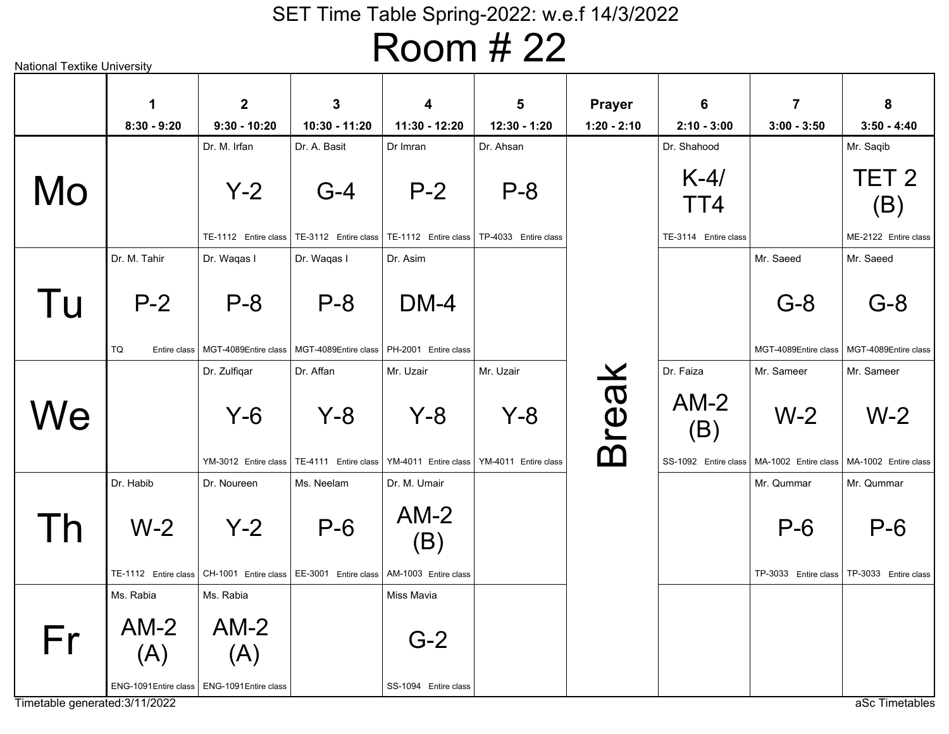# Room # 22

|    | $\mathbf 1$                                                    | $\mathbf{2}$                  | $\mathbf{3}$                  | $\overline{\mathbf{4}}$                                            | $5\phantom{1}$                | <b>Prayer</b> | 6                                     | $\overline{7}$                                       | 8                             |
|----|----------------------------------------------------------------|-------------------------------|-------------------------------|--------------------------------------------------------------------|-------------------------------|---------------|---------------------------------------|------------------------------------------------------|-------------------------------|
|    | $8:30 - 9:20$                                                  | $9:30 - 10:20$                | 10:30 - 11:20                 | 11:30 - 12:20                                                      | 12:30 - 1:20                  | $1:20 - 2:10$ | $2:10 - 3:00$                         | $3:00 - 3:50$                                        | $3:50 - 4:40$                 |
|    |                                                                | Dr. M. Irfan                  | Dr. A. Basit                  | Dr Imran                                                           | Dr. Ahsan                     |               | Dr. Shahood                           |                                                      | Mr. Saqib                     |
| Mo |                                                                | $Y-2$                         | $G-4$                         | $P-2$                                                              | $P - 8$                       |               | $K-4/$<br>TT4                         |                                                      | TET <sub>2</sub><br>(B)       |
|    |                                                                | TE-1112 Entire class          |                               | TE-3112 Entire class   TE-1112 Entire class   TP-4033 Entire class |                               |               | TE-3114 Entire class                  |                                                      | ME-2122 Entire class          |
|    | Dr. M. Tahir                                                   | Dr. Waqas I                   | Dr. Waqas I                   | Dr. Asim                                                           |                               |               |                                       | Mr. Saeed                                            | Mr. Saeed                     |
| Tu | $P-2$                                                          | $P - 8$                       | $P - 8$                       | $DM-4$                                                             |                               |               |                                       | $G-8$                                                | $G-8$                         |
|    | TQ<br>Entire class                                             | MGT-4089Entire class          | MGT-4089Entire class          | PH-2001 Entire class                                               |                               |               |                                       | MGT-4089Entire class                                 | MGT-4089Entire class          |
|    |                                                                | Dr. Zulfiqar                  | Dr. Affan                     | Mr. Uzair                                                          | Mr. Uzair                     |               | Dr. Faiza                             | Mr. Sameer                                           | Mr. Sameer                    |
| We |                                                                | $Y-6$<br>YM-3012 Entire class | $Y - 8$                       | $Y - 8$<br>TE-4111 Entire class   YM-4011 Entire class             | $Y-8$<br>YM-4011 Entire class | <b>Break</b>  | $AM-2$<br>(B)<br>SS-1092 Entire class | $W-2$<br>MA-1002 Entire class   MA-1002 Entire class | $W-2$                         |
|    | Dr. Habib                                                      | Dr. Noureen                   | Ms. Neelam                    | Dr. M. Umair                                                       |                               |               |                                       | Mr. Qummar                                           | Mr. Qummar                    |
| Th | $W-2$<br>TE-1112 Entire class                                  | $Y-2$<br>CH-1001 Entire class | $P-6$<br>EE-3001 Entire class | $AM-2$<br>(B)<br>AM-1003 Entire class                              |                               |               |                                       | $P-6$<br>TP-3033 Entire class                        | $P-6$<br>TP-3033 Entire class |
|    | Ms. Rabia                                                      | Ms. Rabia                     |                               | Miss Mavia                                                         |                               |               |                                       |                                                      |                               |
| Fr | $AM-2$<br>(A)<br>ENG-1091 Entire class   ENG-1091 Entire class | $AM-2$<br>(A)                 |                               | $G-2$<br>SS-1094 Entire class                                      |                               |               |                                       |                                                      |                               |

National Textike University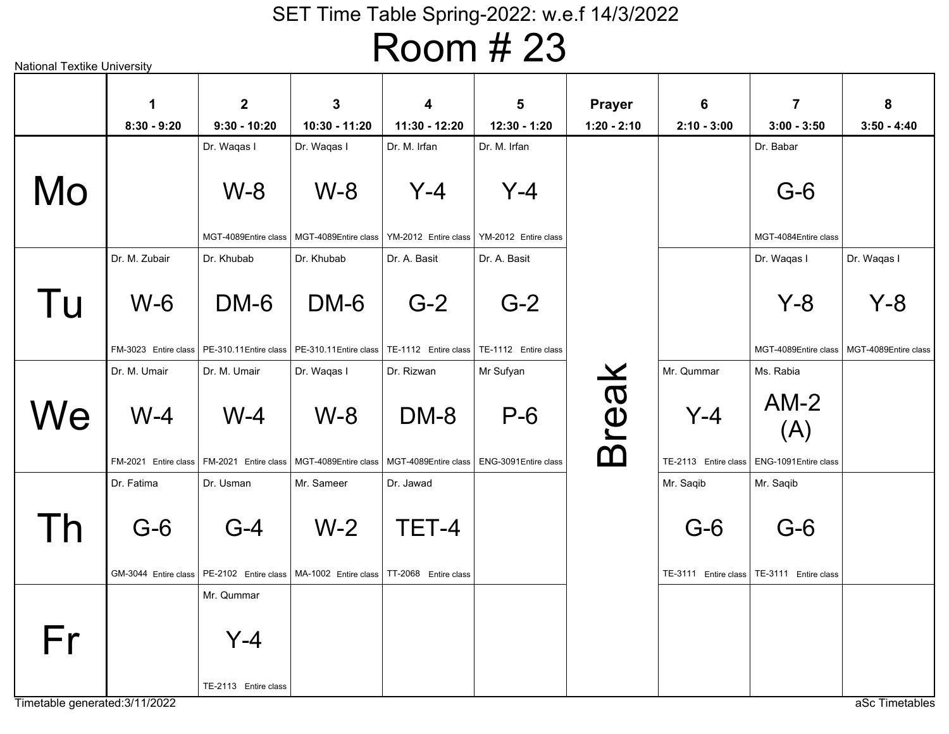# Room # 23

|    | $\mathbf 1$   | $\overline{2}$                                | $\mathbf{3}$                                                                                                     | $\overline{\mathbf{4}}$ | 5            | <b>Prayer</b> | 6                    | $\overline{7}$                               | 8             |
|----|---------------|-----------------------------------------------|------------------------------------------------------------------------------------------------------------------|-------------------------|--------------|---------------|----------------------|----------------------------------------------|---------------|
|    | $8:30 - 9:20$ | $9:30 - 10:20$                                | 10:30 - 11:20                                                                                                    | 11:30 - 12:20           | 12:30 - 1:20 | $1:20 - 2:10$ | $2:10 - 3:00$        | $3:00 - 3:50$                                | $3:50 - 4:40$ |
|    |               | Dr. Waqas I                                   | Dr. Waqas I                                                                                                      | Dr. M. Irfan            | Dr. M. Irfan |               |                      | Dr. Babar                                    |               |
|    |               |                                               |                                                                                                                  |                         |              |               |                      |                                              |               |
| Mo |               | $W-8$                                         | $W-8$                                                                                                            | $Y-4$                   | $Y - 4$      |               |                      | $G-6$                                        |               |
|    |               |                                               |                                                                                                                  |                         |              |               |                      |                                              |               |
|    |               | MGT-4089Entire class                          | MGT-4089Entire class   YM-2012 Entire class   YM-2012 Entire class                                               |                         |              |               |                      | MGT-4084Entire class                         |               |
|    | Dr. M. Zubair | Dr. Khubab                                    | Dr. Khubab                                                                                                       | Dr. A. Basit            | Dr. A. Basit |               |                      | Dr. Waqas I                                  | Dr. Waqas I   |
|    |               |                                               |                                                                                                                  |                         |              |               |                      |                                              |               |
| Tu | $W-6$         | DM-6                                          | DM-6                                                                                                             | $G-2$                   | $G-2$        |               |                      | $Y - 8$                                      | Y-8           |
|    |               |                                               |                                                                                                                  |                         |              |               |                      |                                              |               |
|    |               | FM-3023 Entire class   PE-310.11 Entire class | PE-310.11 Entire class   TE-1112    Entire class   TE-1112    Entire class                                       |                         |              |               |                      | MGT-4089Entire class   MGT-4089Entire class  |               |
|    | Dr. M. Umair  | Dr. M. Umair                                  | Dr. Waqas I                                                                                                      | Dr. Rizwan              | Mr Sufyan    |               | Mr. Qummar           | Ms. Rabia                                    |               |
|    |               |                                               |                                                                                                                  |                         |              |               |                      |                                              |               |
| We | $W-4$         | $W-4$                                         | $W-8$                                                                                                            | DM-8                    | $P-6$        |               | $Y-4$                | $AM-2$                                       |               |
|    |               |                                               |                                                                                                                  |                         |              |               |                      | (A)                                          |               |
|    |               |                                               | FM-2021 Entire class   FM-2021 Entire class   MGT-4089Entire class   MGT-4089Entire class   ENG-3091Entire class |                         |              | <b>Break</b>  |                      | TE-2113 Entire class   ENG-1091 Entire class |               |
|    | Dr. Fatima    | Dr. Usman                                     | Mr. Sameer                                                                                                       | Dr. Jawad               |              |               | Mr. Saqib            | Mr. Saqib                                    |               |
|    |               |                                               |                                                                                                                  |                         |              |               |                      |                                              |               |
| Th | $G-6$         | $G-4$                                         | $W-2$                                                                                                            | TET-4                   |              |               | $G-6$                | $G-6$                                        |               |
|    |               |                                               |                                                                                                                  |                         |              |               |                      |                                              |               |
|    |               |                                               | GM-3044 Entire class   PE-2102 Entire class   MA-1002 Entire class                                               | TT-2068 Entire class    |              |               | TE-3111 Entire class | TE-3111 Entire class                         |               |
|    |               | Mr. Qummar                                    |                                                                                                                  |                         |              |               |                      |                                              |               |
|    |               |                                               |                                                                                                                  |                         |              |               |                      |                                              |               |
| Fr |               | $Y-4$                                         |                                                                                                                  |                         |              |               |                      |                                              |               |
|    |               |                                               |                                                                                                                  |                         |              |               |                      |                                              |               |
|    |               | TE-2113 Entire class                          |                                                                                                                  |                         |              |               |                      |                                              |               |
|    |               |                                               |                                                                                                                  |                         |              |               |                      |                                              |               |

Timetable generated:3/11/2022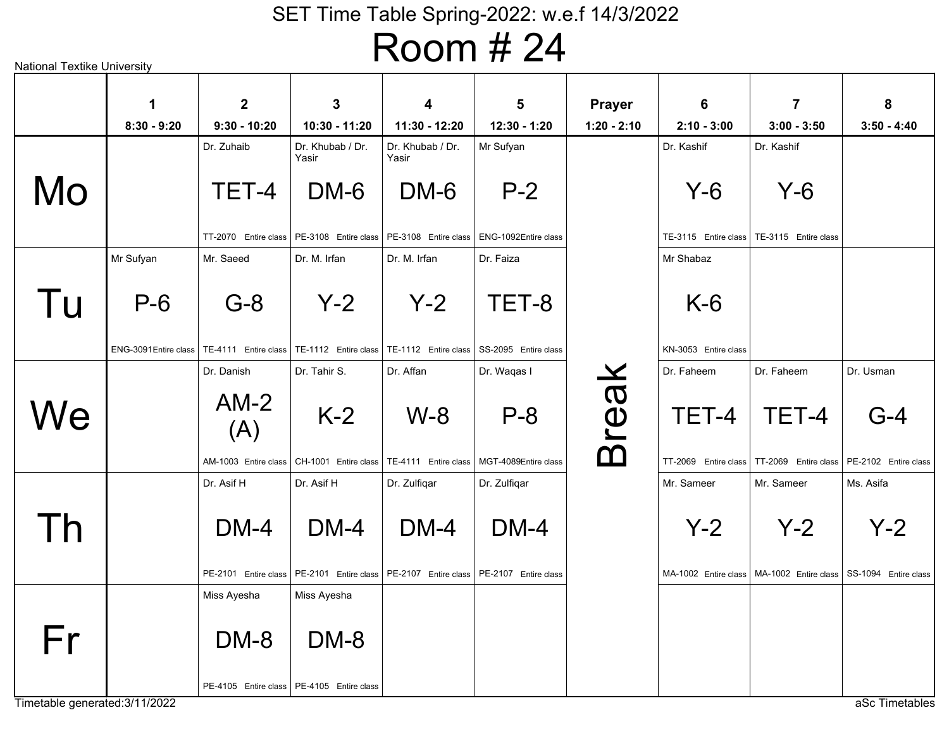# Room # 24

|    | $\mathbf 1$           | $\overline{2}$                              | 3                                                                                         | $\overline{\mathbf{4}}$                     | 5                    | <b>Prayer</b> | 6                    | $\overline{7}$                                                     | 8                    |
|----|-----------------------|---------------------------------------------|-------------------------------------------------------------------------------------------|---------------------------------------------|----------------------|---------------|----------------------|--------------------------------------------------------------------|----------------------|
|    | $8:30 - 9:20$         | $9:30 - 10:20$                              | 10:30 - 11:20                                                                             | 11:30 - 12:20                               | 12:30 - 1:20         | $1:20 - 2:10$ | $2:10 - 3:00$        | $3:00 - 3:50$                                                      | $3:50 - 4:40$        |
|    |                       | Dr. Zuhaib                                  | Dr. Khubab / Dr.<br>Yasir                                                                 | Dr. Khubab / Dr.<br>Yasir                   | Mr Sufyan            |               | Dr. Kashif           | Dr. Kashif                                                         |                      |
| Mo |                       | TET-4                                       | DM-6                                                                                      | DM-6                                        | $P-2$                |               | $Y-6$                | $Y-6$                                                              |                      |
|    |                       |                                             | TT-2070 Entire class   PE-3108 Entire class   PE-3108 Entire class   ENG-1092Entire class |                                             |                      |               |                      | TE-3115 Entire class   TE-3115 Entire class                        |                      |
|    | Mr Sufyan             | Mr. Saeed                                   | Dr. M. Irfan                                                                              | Dr. M. Irfan                                | Dr. Faiza            |               | Mr Shabaz            |                                                                    |                      |
|    |                       |                                             |                                                                                           |                                             |                      |               |                      |                                                                    |                      |
| Tu | $P-6$                 | $G-8$                                       | $Y-2$                                                                                     | $Y-2$                                       | TET-8                |               | $K-6$                |                                                                    |                      |
|    | ENG-3091 Entire class |                                             | TE-4111 Entire class   TE-1112 Entire class   TE-1112 Entire class   SS-2095 Entire class |                                             |                      |               | KN-3053 Entire class |                                                                    |                      |
|    |                       | Dr. Danish                                  | Dr. Tahir S.                                                                              | Dr. Affan                                   | Dr. Waqas I          |               | Dr. Faheem           | Dr. Faheem                                                         | Dr. Usman            |
| We |                       | $AM-2$<br>(A)                               | $K-2$                                                                                     | $W-8$                                       | $P - 8$              | <b>Break</b>  | TET-4                | TET-4                                                              | $G-4$                |
|    |                       | AM-1003 Entire class                        |                                                                                           | CH-1001 Entire class   TE-4111 Entire class | MGT-4089Entire class |               |                      | TT-2069 Entire class   TT-2069 Entire class                        | PE-2102 Entire class |
|    |                       | Dr. Asif H                                  | Dr. Asif H                                                                                | Dr. Zulfiqar                                | Dr. Zulfiqar         |               | Mr. Sameer           | Mr. Sameer                                                         | Ms. Asifa            |
|    |                       |                                             |                                                                                           |                                             |                      |               |                      |                                                                    |                      |
| Th |                       | $DM-4$                                      | $DM-4$                                                                                    | $DM-4$                                      | $DM-4$               |               | $Y-2$                | $Y-2$                                                              | $Y-2$                |
|    |                       |                                             | PE-2101 Entire class   PE-2101 Entire class   PE-2107 Entire class   PE-2107 Entire class |                                             |                      |               |                      | MA-1002 Entire class   MA-1002 Entire class   SS-1094 Entire class |                      |
|    |                       | Miss Ayesha                                 | Miss Ayesha                                                                               |                                             |                      |               |                      |                                                                    |                      |
|    |                       |                                             |                                                                                           |                                             |                      |               |                      |                                                                    |                      |
| Fr |                       | DM-8                                        | DM-8                                                                                      |                                             |                      |               |                      |                                                                    |                      |
|    |                       | PE-4105 Entire class   PE-4105 Entire class |                                                                                           |                                             |                      |               |                      |                                                                    |                      |

National Textike University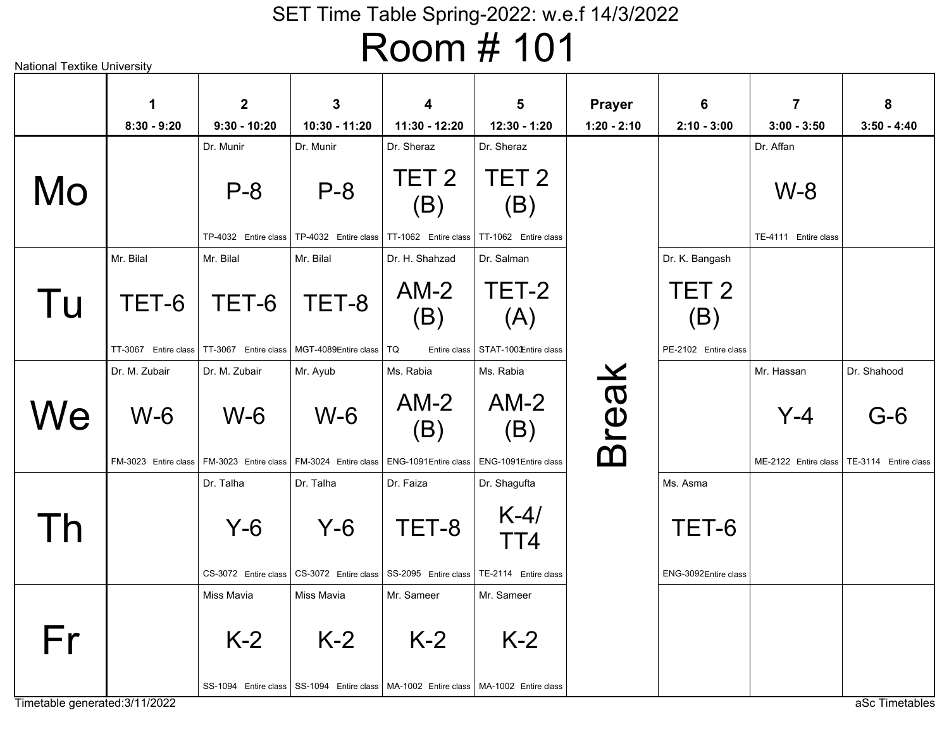|    | 1                    | $\mathbf{2}$         | $\mathbf{3}$                                                                            | $\overline{\mathbf{4}}$                      | 5                       | <b>Prayer</b> | $6\phantom{1}$          | $\overline{7}$                              | 8             |
|----|----------------------|----------------------|-----------------------------------------------------------------------------------------|----------------------------------------------|-------------------------|---------------|-------------------------|---------------------------------------------|---------------|
|    | $8:30 - 9:20$        | $9:30 - 10:20$       | 10:30 - 11:20                                                                           | 11:30 - 12:20                                | 12:30 - 1:20            | $1:20 - 2:10$ | $2:10 - 3:00$           | $3:00 - 3:50$                               | $3:50 - 4:40$ |
|    |                      | Dr. Munir            | Dr. Munir                                                                               | Dr. Sheraz                                   | Dr. Sheraz              |               |                         | Dr. Affan                                   |               |
| Mo |                      | $P - 8$              | $P - 8$                                                                                 | TET <sub>2</sub><br>(B)                      | TET <sub>2</sub><br>(B) |               |                         | $W-8$                                       |               |
|    |                      | TP-4032 Entire class |                                                                                         | TP-4032 Entire class   TT-1062 Entire class  | TT-1062 Entire class    |               |                         | TE-4111 Entire class                        |               |
|    | Mr. Bilal            | Mr. Bilal            | Mr. Bilal                                                                               | Dr. H. Shahzad                               | Dr. Salman              |               | Dr. K. Bangash          |                                             |               |
| Tu | TET-6                | TET-6                | TET-8                                                                                   | $AM-2$<br>(B)                                | TET-2<br>(A)            |               | TET <sub>2</sub><br>(B) |                                             |               |
|    | TT-3067 Entire class | TT-3067 Entire class | MGT-4089Entire class   TQ                                                               | Entire class                                 | STAT-100 Entire class   |               | PE-2102 Entire class    |                                             |               |
|    | Dr. M. Zubair        | Dr. M. Zubair        | Mr. Ayub                                                                                | Ms. Rabia                                    | Ms. Rabia               |               |                         | Mr. Hassan                                  | Dr. Shahood   |
| We | $W-6$                | $W-6$                | $W-6$                                                                                   | $AM-2$<br>(B)                                | $AM-2$<br>(B)           | <b>Break</b>  |                         | $Y-4$                                       | $G-6$         |
|    | FM-3023 Entire class | FM-3023 Entire class |                                                                                         | FM-3024 Entire class   ENG-1091 Entire class | ENG-1091 Entire class   |               |                         | ME-2122 Entire class   TE-3114 Entire class |               |
|    |                      | Dr. Talha            | Dr. Talha                                                                               | Dr. Faiza                                    | Dr. Shagufta            |               | Ms. Asma                |                                             |               |
| Th |                      | $Y-6$                | $Y-6$                                                                                   | TET-8                                        | $K-4/$<br>TT4           |               | TET-6                   |                                             |               |
|    |                      | CS-3072 Entire class |                                                                                         | CS-3072 Entire class SS-2095 Entire class    | TE-2114 Entire class    |               | ENG-3092Entire class    |                                             |               |
|    |                      | Miss Mavia           | <b>Miss Mavia</b>                                                                       | Mr. Sameer                                   | Mr. Sameer              |               |                         |                                             |               |
| Fr |                      | $K-2$                | $K-2$                                                                                   | $K-2$                                        | $K-2$                   |               |                         |                                             |               |
|    |                      |                      | SS-1094 Entire class SS-1094 Entire class   MA-1002 Entire class   MA-1002 Entire class |                                              |                         |               |                         |                                             |               |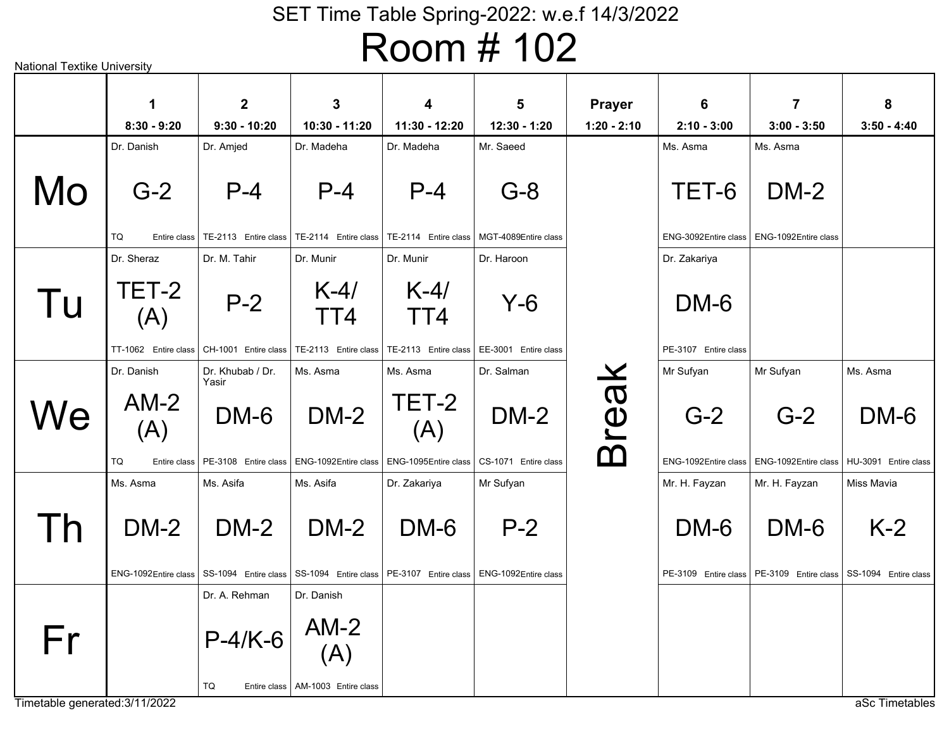| National Textike University |                      |                               |                                                                                    | 17 - 11 - 11 - 11                                 | . <del>. .</del>     |                                |                      |                      |                      |
|-----------------------------|----------------------|-------------------------------|------------------------------------------------------------------------------------|---------------------------------------------------|----------------------|--------------------------------|----------------------|----------------------|----------------------|
|                             | 1<br>$8:30 - 9:20$   | $\mathbf 2$<br>$9:30 - 10:20$ | 3<br>10:30 - 11:20                                                                 | 4<br>11:30 - 12:20                                | 5<br>12:30 - 1:20    | <b>Prayer</b><br>$1:20 - 2:10$ | 6<br>$2:10 - 3:00$   | 7<br>$3:00 - 3:50$   | 8<br>$3:50 - 4:40$   |
|                             | Dr. Danish           | Dr. Amjed                     | Dr. Madeha                                                                         | Dr. Madeha                                        | Mr. Saeed            |                                | Ms. Asma             | Ms. Asma             |                      |
| Mo                          | $G-2$                | $P - 4$                       | $P - 4$                                                                            | $P - 4$                                           | $G-8$                |                                | TET-6                | $DM-2$               |                      |
|                             | TQ<br>Entire class   | TE-2113 Entire class          |                                                                                    | TE-2114    Entire class   TE-2114    Entire class | MGT-4089Entire class |                                | ENG-3092Entire class | ENG-1092Entire class |                      |
|                             | Dr. Sheraz           | Dr. M. Tahir                  | Dr. Munir                                                                          | Dr. Munir                                         | Dr. Haroon           |                                | Dr. Zakariya         |                      |                      |
| Tu                          | TET-2<br>(A)         | $P-2$                         | $K-4/$<br>TT4                                                                      | $K-4/$<br>TT4                                     | Y-6                  |                                | DM-6                 |                      |                      |
|                             | TT-1062 Entire class | CH-1001 Entire class          | TE-2113 Entire class                                                               | TE-2113 Entire class                              | EE-3001 Entire class |                                | PE-3107 Entire class |                      |                      |
|                             | Dr. Danish           | Dr. Khubab / Dr.<br>Yasir     | Ms. Asma                                                                           | Ms. Asma                                          | Dr. Salman           |                                | Mr Sufyan            | Mr Sufyan            | Ms. Asma             |
| We                          | $AM-2$<br>(A)        | DM-6                          | $DM-2$                                                                             | TET-2<br>(A)                                      | $DM-2$               | <b>Break</b>                   | $G-2$                | $G-2$                | DM-6                 |
|                             | TQ<br>Entire class   | PE-3108 Entire class          | ENG-1092Entire class                                                               | ENG-1095Entire class                              | CS-1071 Entire class |                                | ENG-1092Entire class | ENG-1092Entire class | HU-3091 Entire class |
|                             | Ms. Asma             | Ms. Asifa                     | Ms. Asifa                                                                          | Dr. Zakariya                                      | Mr Sufyan            |                                | Mr. H. Fayzan        | Mr. H. Fayzan        | Miss Mavia           |
| Th                          | <b>DM-2</b>          | $DM-2$                        | $DM-2$                                                                             | DM-6                                              | $P-2$                |                                | DM-6                 | DM-6                 | $K-2$                |
|                             | ENG-1092Entire class | SS-1094 Entire class          |                                                                                    | SS-1094 Entire class   PE-3107 Entire class       | ENG-1092Entire class |                                | PE-3109 Entire class | PE-3109 Entire class | SS-1094 Entire class |
|                             |                      | Dr. A. Rehman                 | Dr. Danish                                                                         |                                                   |                      |                                |                      |                      |                      |
| Fr                          |                      | $P-4/K-6$                     | $\begin{array}{ c } \hline \mathsf{AM-2} \\\hline \text{(A)} \\\hline \end{array}$ |                                                   |                      |                                |                      |                      |                      |
|                             |                      | TQ                            | Entire class   AM-1003 Entire class                                                |                                                   |                      |                                |                      |                      |                      |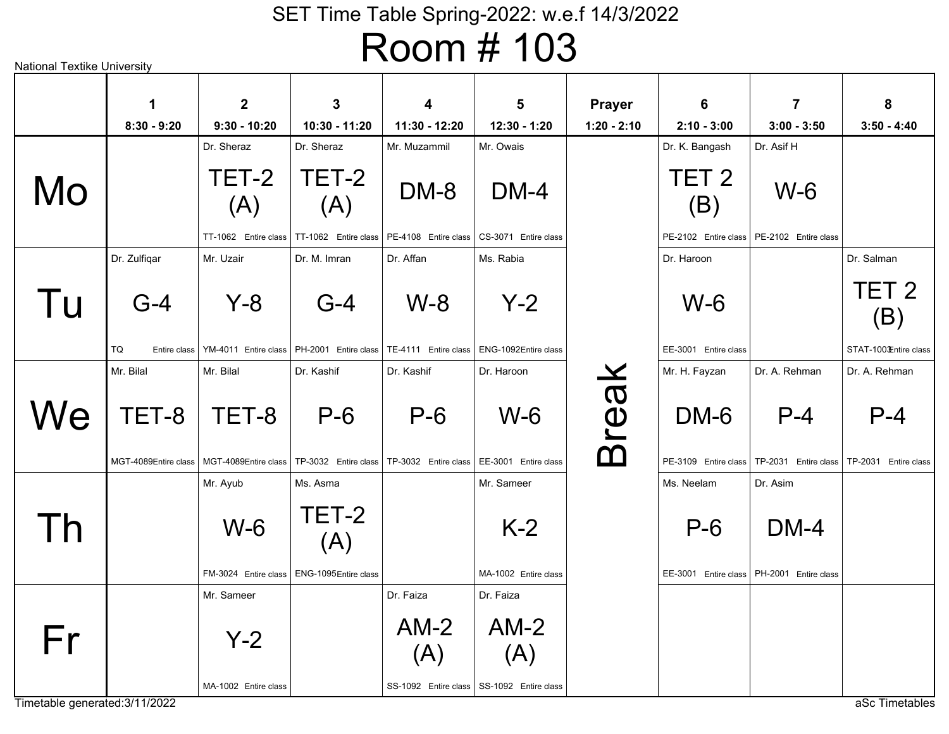|    | $\mathbf 1$                   | $\mathbf{2}$                                | $\mathbf{3}$         | $\overline{\mathbf{4}}$                                                     | $5\phantom{1}$                                                            | <b>Prayer</b> | 6                            | $\overline{7}$                              | 8                             |
|----|-------------------------------|---------------------------------------------|----------------------|-----------------------------------------------------------------------------|---------------------------------------------------------------------------|---------------|------------------------------|---------------------------------------------|-------------------------------|
|    | $8:30 - 9:20$                 | $9:30 - 10:20$                              | 10:30 - 11:20        | 11:30 - 12:20                                                               | 12:30 - 1:20                                                              | $1:20 - 2:10$ | $2:10 - 3:00$                | $3:00 - 3:50$                               | $3:50 - 4:40$                 |
|    |                               | Dr. Sheraz                                  | Dr. Sheraz           | Mr. Muzammil                                                                | Mr. Owais                                                                 |               | Dr. K. Bangash               | Dr. Asif H                                  |                               |
| Mo |                               | TET-2<br>(A)                                | TET-2<br>(A)         | DM-8                                                                        | $DM-4$                                                                    |               | TET <sub>2</sub><br>(B)      | $W-6$                                       |                               |
|    |                               | TT-1062 Entire class                        | TT-1062 Entire class | PE-4108 Entire class   CS-3071 Entire class                                 |                                                                           |               |                              | PE-2102 Entire class   PE-2102 Entire class |                               |
|    | Dr. Zulfiqar                  | Mr. Uzair                                   | Dr. M. Imran         | Dr. Affan                                                                   | Ms. Rabia                                                                 |               | Dr. Haroon                   |                                             | Dr. Salman                    |
| Tu | $G-4$                         | $Y - 8$                                     | $G-4$                | $W-8$                                                                       | $Y-2$                                                                     |               | $W-6$                        |                                             | TET <sub>2</sub><br>(B)       |
|    | TQ<br>Entire class            | YM-4011 Entire class                        |                      | PH-2001 Entire class   TE-4111 Entire class   ENG-1092Entire class          |                                                                           |               | EE-3001 Entire class         |                                             | STAT-100 Entire class         |
|    | Mr. Bilal                     | Mr. Bilal                                   | Dr. Kashif           | Dr. Kashif                                                                  | Dr. Haroon                                                                |               | Mr. H. Fayzan                | Dr. A. Rehman                               | Dr. A. Rehman                 |
| We | TET-8<br>MGT-4089Entire class | TET-8<br>MGT-4089Entire class               | $P-6$                | $P-6$<br>TP-3032 Entire class   TP-3032 Entire class   EE-3001 Entire class | $W-6$                                                                     | <b>Break</b>  | DM-6<br>PE-3109 Entire class | $P-4$<br>TP-2031 Entire class               | $P-4$<br>TP-2031 Entire class |
|    |                               | Mr. Ayub                                    | Ms. Asma             |                                                                             | Mr. Sameer                                                                |               | Ms. Neelam                   | Dr. Asim                                    |                               |
| Τh |                               | $W-6$                                       | TET-2<br>(A)         |                                                                             | $K-2$                                                                     |               | $P-6$                        | $DM-4$                                      |                               |
|    |                               | FM-3024 Entire class                        | ENG-1095Entire class |                                                                             | MA-1002 Entire class                                                      |               |                              | EE-3001 Entire class   PH-2001 Entire class |                               |
| Fr |                               | Mr. Sameer<br>$Y-2$<br>MA-1002 Entire class |                      | Dr. Faiza<br>$AM-2$<br>(A)                                                  | Dr. Faiza<br>$AM-2$<br>(A)<br>SS-1092 Entire class   SS-1092 Entire class |               |                              |                                             |                               |

National Textike University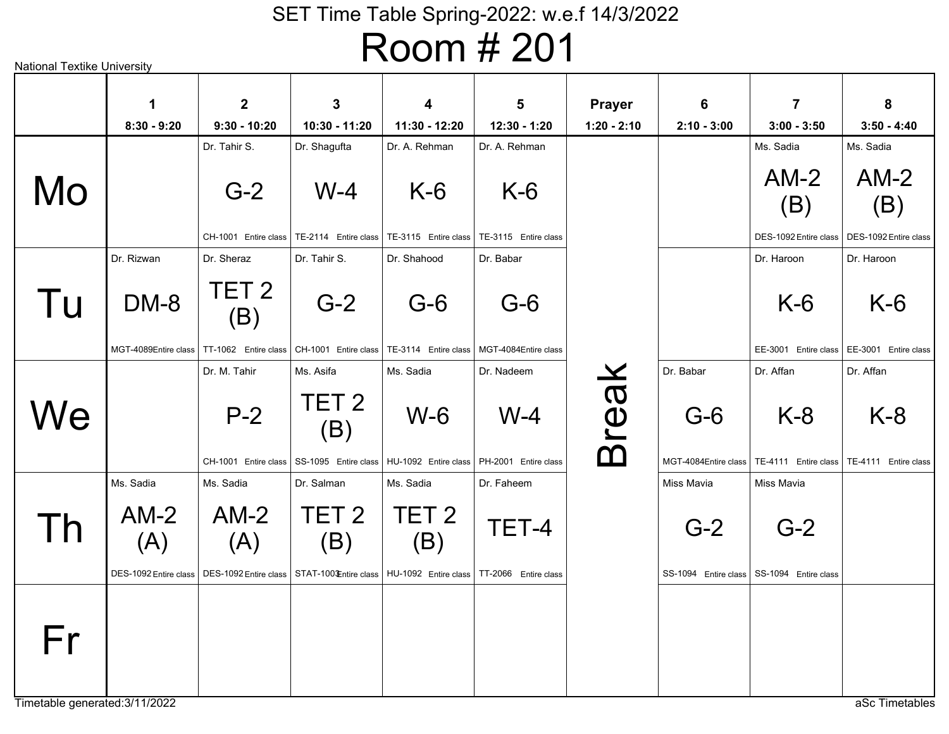aSc Timetables W-4TE-2114 Entire class Dr. ShaguftaG-2CH-1001 Entire class Dr. Tahir S.K-6TE-3115 Entire class Dr. A. RehmanK-6TE-3115 Entire class Dr. A. RehmanAM-2 (B)DES-1092Entire classMs. SadiaG-2CH-1001 Entire class Dr. Tahir S.TET 2 (B)TT-1062Entire classDr. SherazG-6TE-3114 Entire class Dr. ShahoodG-6MGT-4084Entire classDr. BabarDM-8MGT-4089Entire classDr. RizwanK-6EE-3001 Entire class Dr. HaroonP-2CH-1001 Entire class Dr. M. TahirW-6HU-1092Entire classMs. SadiaW-4PH-2001 Entire class Dr. NadeemTET 2 (B)SS-1095 Entire class Ms. AsifaG-6MGT-4084Entire classDr. BabarK-8TE-4111 Entire class Dr. AffanTET-4STAT-1003Entire class丨HU-1092 \_Entire class丨TT-2066 Entire class Dr. FaheemTET 2 (B)Dr. SalmanTET 2 (B)Ms. Sadia $AM-2$  (A)DES-1092Entire classMs. Sadia $AM-2$  (A)DES-1092Entire classMs. SadiaG-2SS-1094 Entire class Miss MaviaG-2SS-1094 Entire class Miss MaviaBreak MoTu**We** ThFr**18:30 - 9:2029:30 - 10:20310:30 - 11:20411:30 - 12:20512:30 - 1:20Prayer1:20 - 2:1062:10 - 3:0073:00 - 3:50**

Timetable generated:3/11/2022

National Textike University

AM-2

**83:50 - 4:40**

Ms. Sadia

(B)

DES-1092Entire class

Dr. Haroon

K-6

EE-3001 Entire class

Dr. Affan

K-8

TE-4111 Entire class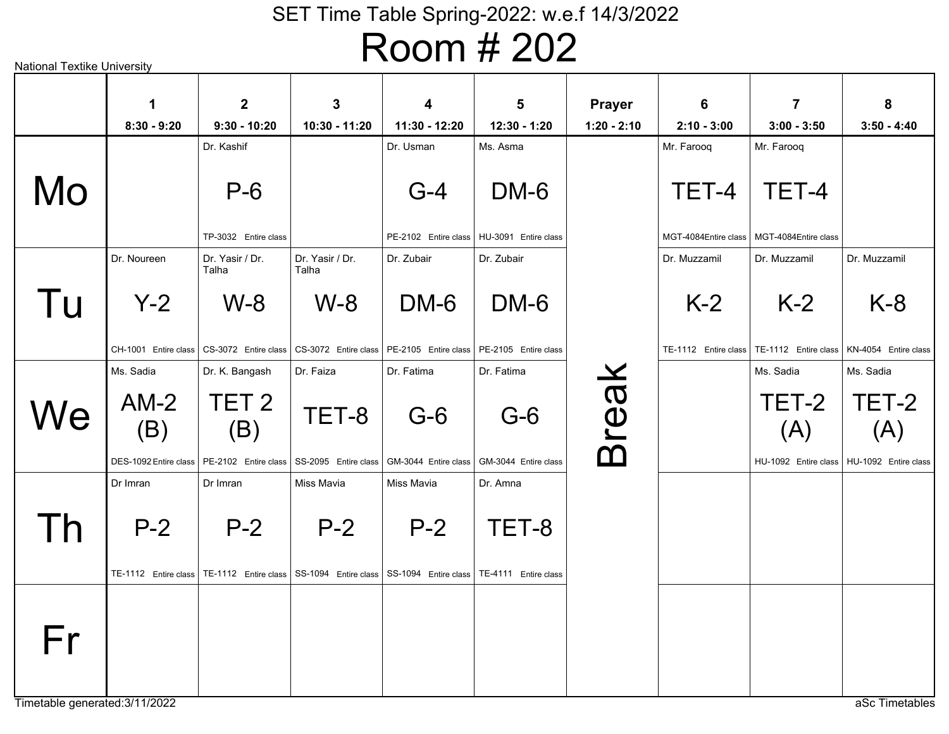|     | $\mathbf 1$                       | $\overline{2}$                                                                                                            | $\mathbf{3}$                       | $\overline{\mathbf{4}}$            | $5\phantom{1}$                              | <b>Prayer</b> | 6                    | $\overline{7}$                                                     | 8             |
|-----|-----------------------------------|---------------------------------------------------------------------------------------------------------------------------|------------------------------------|------------------------------------|---------------------------------------------|---------------|----------------------|--------------------------------------------------------------------|---------------|
|     | $8:30 - 9:20$                     | $9:30 - 10:20$                                                                                                            | 10:30 - 11:20                      | 11:30 - 12:20                      | 12:30 - 1:20                                | $1:20 - 2:10$ | $2:10 - 3:00$        | $3:00 - 3:50$                                                      | $3:50 - 4:40$ |
|     |                                   | Dr. Kashif                                                                                                                |                                    | Dr. Usman                          | Ms. Asma                                    |               | Mr. Farooq           | Mr. Farooq                                                         |               |
| Mo  |                                   | $P-6$                                                                                                                     |                                    | $G-4$                              | DM-6                                        |               | TET-4                | TET-4                                                              |               |
|     |                                   | TP-3032 Entire class                                                                                                      |                                    |                                    | PE-2102 Entire class   HU-3091 Entire class |               | MGT-4084Entire class | MGT-4084Entire class                                               |               |
|     | Dr. Noureen                       | Dr. Yasir / Dr.<br>Talha                                                                                                  | Dr. Yasir / Dr.<br>Talha           | Dr. Zubair                         | Dr. Zubair                                  |               | Dr. Muzzamil         | Dr. Muzzamil                                                       | Dr. Muzzamil  |
| Tu  | $Y-2$                             | $W-8$                                                                                                                     | $W-8$                              | DM-6                               | DM-6                                        |               | $K-2$                | $K-2$                                                              | $K-8$         |
|     |                                   | CH-1001 Entire class CS-3072 Entire class CS-3072 Entire class PE-2105 Entire class PE-2105 Entire class                  |                                    |                                    |                                             |               |                      | TE-1112 Entire class   TE-1112 Entire class   KN-4054 Entire class |               |
|     | Ms. Sadia                         | Dr. K. Bangash                                                                                                            | Dr. Faiza                          | Dr. Fatima                         | Dr. Fatima                                  |               |                      | Ms. Sadia                                                          | Ms. Sadia     |
| We  | $AM-2$<br>(B)                     | TET <sub>2</sub><br>(B)                                                                                                   | TET-8                              | $G-6$                              | $G-6$                                       | Break         |                      | TET-2<br>(A)                                                       | TET-2<br>(A)  |
|     | DES-1092 Entire class<br>Dr Imran | PE-2102 Entire class<br>Dr Imran                                                                                          | SS-2095 Entire class<br>Miss Mavia | GM-3044 Entire class<br>Miss Mavia | GM-3044 Entire class<br>Dr. Amna            |               |                      | HU-1092 Entire class   HU-1092 Entire class                        |               |
| l h | $P-2$                             | $P-2$<br>TE-1112 Entire class   TE-1112 Entire class   SS-1094 Entire class   SS-1094 Entire class   TE-4111 Entire class | $P-2$                              | $P-2$                              | TET-8                                       |               |                      |                                                                    |               |
|     |                                   |                                                                                                                           |                                    |                                    |                                             |               |                      |                                                                    |               |
| Fr  |                                   |                                                                                                                           |                                    |                                    |                                             |               |                      |                                                                    |               |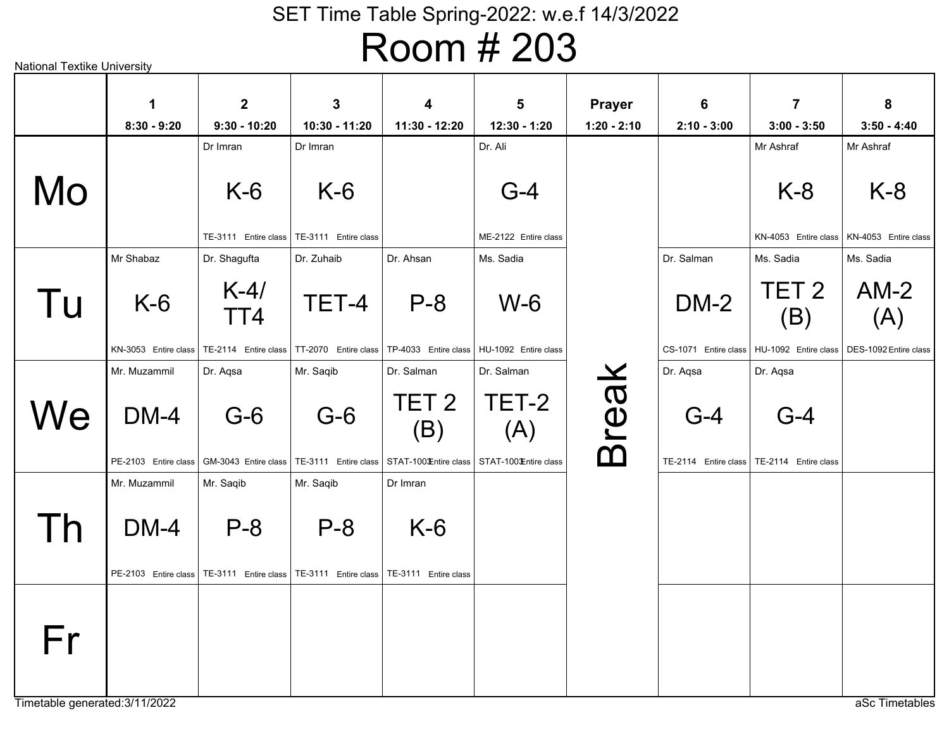# Room # 203

| National Textike University |                      |                                  |                                            |                                             |                                  |                                |                                  |                                             |                       |
|-----------------------------|----------------------|----------------------------------|--------------------------------------------|---------------------------------------------|----------------------------------|--------------------------------|----------------------------------|---------------------------------------------|-----------------------|
|                             | 1<br>$8:30 - 9:20$   | $\overline{2}$<br>$9:30 - 10:20$ | 3<br>10:30 - 11:20                         | 4<br>11:30 - 12:20                          | $5\phantom{1}$<br>$12:30 - 1:20$ | <b>Prayer</b><br>$1:20 - 2:10$ | $6\phantom{1}6$<br>$2:10 - 3:00$ | $\overline{7}$<br>$3:00 - 3:50$             | 8<br>$3:50 - 4:40$    |
|                             |                      | Dr Imran                         | Dr Imran                                   |                                             | Dr. Ali                          |                                |                                  | Mr Ashraf                                   | Mr Ashraf             |
| Mo                          |                      | $K-6$                            | $K-6$                                      |                                             | $G-4$                            |                                |                                  | $K-8$                                       | $K-8$                 |
|                             |                      | TE-3111 Entire class             | TE-3111 Entire class                       |                                             | ME-2122 Entire class             |                                |                                  | KN-4053 Entire class                        | KN-4053 Entire class  |
|                             | Mr Shabaz            | Dr. Shagufta                     | Dr. Zuhaib                                 | Dr. Ahsan                                   | Ms. Sadia                        |                                | Dr. Salman                       | Ms. Sadia                                   | Ms. Sadia             |
| Tu                          | $K-6$                | $K-4/$<br>TT4                    | TET-4                                      | $P - 8$                                     | $W-6$                            |                                | $DM-2$                           | TET <sub>2</sub><br>(B)                     | $AM-2$<br>(A)         |
|                             | KN-3053 Entire class | TE-2114 Entire class             |                                            | TT-2070 Entire class   TP-4033 Entire class | HU-1092 Entire class             |                                |                                  | CS-1071 Entire class   HU-1092 Entire class | DES-1092 Entire class |
|                             | Mr. Muzammil         | Dr. Aqsa                         | Mr. Saqib                                  | Dr. Salman                                  | Dr. Salman                       |                                | Dr. Aqsa                         | Dr. Aqsa                                    |                       |
| We                          | $DM-4$               | $G-6$                            | $G-6$                                      | TET <sub>2</sub><br>(B)                     | TET-2<br>(A)                     | <b>Break</b>                   | $G-4$                            | $G-4$                                       |                       |
|                             | PE-2103 Entire class | GM-3043 Entire class             | TE-3111 Entire class STAT-100 £ntire class |                                             | STAT-100 Entire class            |                                |                                  | TE-2114 Entire class   TE-2114 Entire class |                       |
|                             | Mr. Muzammil         | Mr. Saqib                        | Mr. Saqib                                  | Dr Imran                                    |                                  |                                |                                  |                                             |                       |
| l h                         | $DM-4$               | $P - 8$                          | $P-8$                                      | $K-6$                                       |                                  |                                |                                  |                                             |                       |
|                             | PE-2103 Entire class | TE-3111 Entire class             | TE-3111 Entire class                       | TE-3111 Entire class                        |                                  |                                |                                  |                                             |                       |
| Fr                          |                      |                                  |                                            |                                             |                                  |                                |                                  |                                             |                       |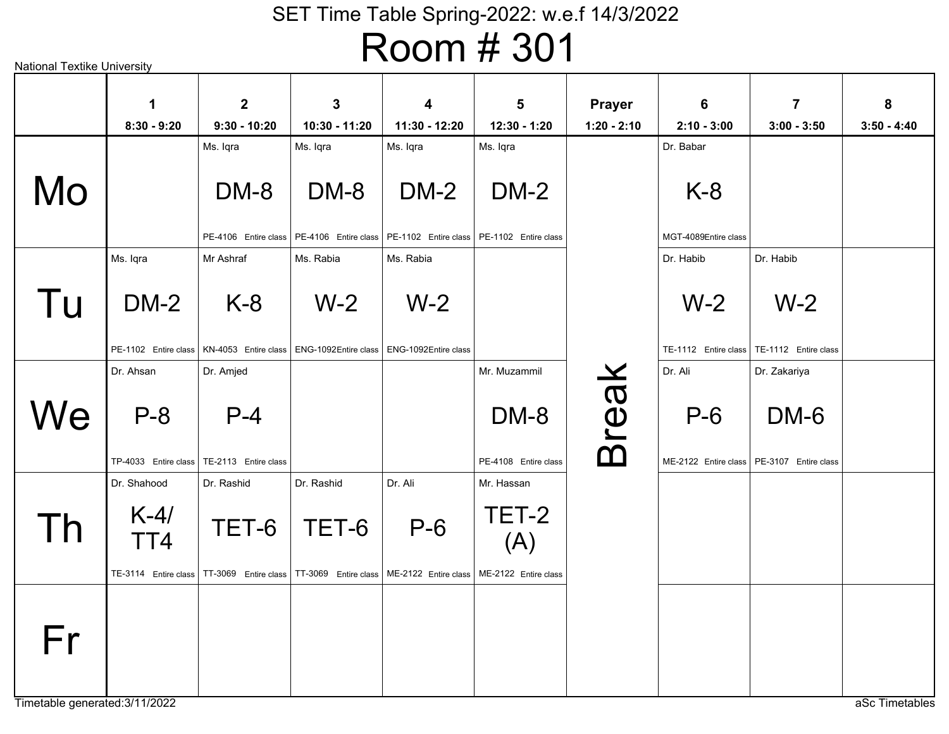| National Textike University |                                                      |                                              |                                                                   |                                                                 |                                                                                          |                                |                                            |                                                                     |                    |
|-----------------------------|------------------------------------------------------|----------------------------------------------|-------------------------------------------------------------------|-----------------------------------------------------------------|------------------------------------------------------------------------------------------|--------------------------------|--------------------------------------------|---------------------------------------------------------------------|--------------------|
|                             | 1<br>$8:30 - 9:20$                                   | $\overline{2}$<br>$9:30 - 10:20$             | 3<br>10:30 - 11:20                                                | 4<br>11:30 - 12:20                                              | $5\phantom{1}$<br>12:30 - 1:20                                                           | <b>Prayer</b><br>$1:20 - 2:10$ | $6\phantom{1}6$<br>$2:10 - 3:00$           | $\overline{7}$<br>$3:00 - 3:50$                                     | 8<br>$3:50 - 4:40$ |
| Mo                          |                                                      | Ms. Iqra<br>DM-8<br>PE-4106 Entire class     | Ms. Iqra<br>DM-8                                                  | Ms. Iqra<br><b>DM-2</b>                                         | Ms. Iqra<br>$DM-2$<br>PE-4106 Entire class   PE-1102 Entire class   PE-1102 Entire class |                                | Dr. Babar<br>$K-8$<br>MGT-4089Entire class |                                                                     |                    |
| Tu                          | Ms. Iqra<br><b>DM-2</b><br>PE-1102 Entire class      | Mr Ashraf<br>$K-8$<br>KN-4053 Entire class   | Ms. Rabia<br>$W-2$<br>ENG-1092Entire class   ENG-1092Entire class | Ms. Rabia<br>$W-2$                                              |                                                                                          |                                | Dr. Habib<br>$W-2$                         | Dr. Habib<br>$W-2$<br>TE-1112 Entire class   TE-1112 Entire class   |                    |
| We                          | Dr. Ahsan<br>$P - 8$<br>TP-4033 Entire class         | Dr. Amjed<br>$P - 4$<br>TE-2113 Entire class |                                                                   |                                                                 | Mr. Muzammil<br>DM-8<br>PE-4108 Entire class                                             | <b>Break</b>                   | Dr. Ali<br>$P-6$                           | Dr. Zakariya<br>DM-6<br>ME-2122 Entire class   PE-3107 Entire class |                    |
| Th                          | Dr. Shahood<br>$K-4/$<br>TT4<br>TE-3114 Entire class | Dr. Rashid<br>TET-6<br>TT-3069 Entire class  | Dr. Rashid<br>TET-6                                               | Dr. Ali<br>$P-6$<br>TT-3069 Entire class   ME-2122 Entire class | Mr. Hassan<br>TET-2<br>(A)<br>ME-2122 Entire class                                       |                                |                                            |                                                                     |                    |
| Fr                          |                                                      |                                              |                                                                   |                                                                 |                                                                                          |                                |                                            |                                                                     |                    |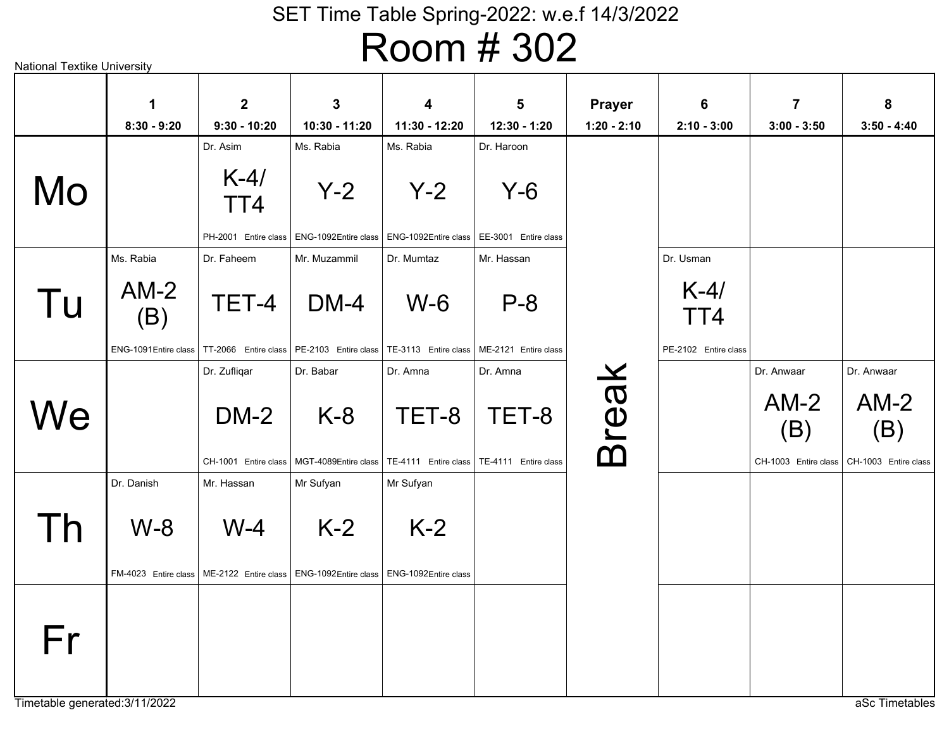|    | $\mathbf 1$                   | $\mathbf{2}$                                                                              | $\mathbf{3}$                                                                | 4                             | 5                    | <b>Prayer</b> | 6                    | $\overline{7}$                        | 8                                     |
|----|-------------------------------|-------------------------------------------------------------------------------------------|-----------------------------------------------------------------------------|-------------------------------|----------------------|---------------|----------------------|---------------------------------------|---------------------------------------|
|    | $8:30 - 9:20$                 | $9:30 - 10:20$                                                                            | 10:30 - 11:20                                                               | 11:30 - 12:20                 | 12:30 - 1:20         | $1:20 - 2:10$ | $2:10 - 3:00$        | $3:00 - 3:50$                         | $3:50 - 4:40$                         |
|    |                               | Dr. Asim                                                                                  | Ms. Rabia                                                                   | Ms. Rabia                     | Dr. Haroon           |               |                      |                                       |                                       |
| Mo |                               | $K-4/$<br>TT4                                                                             | $Y-2$                                                                       | $Y-2$                         | $Y-6$                |               |                      |                                       |                                       |
|    |                               | PH-2001 Entire class                                                                      | ENG-1092Entire class   ENG-1092Entire class                                 |                               | EE-3001 Entire class |               |                      |                                       |                                       |
|    | Ms. Rabia                     | Dr. Faheem                                                                                | Mr. Muzammil                                                                | Dr. Mumtaz                    | Mr. Hassan           |               | Dr. Usman            |                                       |                                       |
| Tu | $AM-2$<br>(B)                 | TET-4                                                                                     | $DM-4$                                                                      | $W-6$                         | $P - 8$              |               | $K-4/$<br>TT4        |                                       |                                       |
|    |                               | ENG-1091Entire class   TT-2066 Entire class   PE-2103 Entire class   TE-3113 Entire class |                                                                             |                               | ME-2121 Entire class |               | PE-2102 Entire class |                                       |                                       |
|    |                               | Dr. Zufliqar                                                                              | Dr. Babar                                                                   | Dr. Amna                      | Dr. Amna             |               |                      | Dr. Anwaar                            | Dr. Anwaar                            |
| We |                               | $DM-2$<br>CH-1001 Entire class                                                            | $K-8$<br>MGT-4089Entire class   TE-4111 Entire class   TE-4111 Entire class | TET-8                         | TET-8                | <b>Break</b>  |                      | $AM-2$<br>(B)<br>CH-1003 Entire class | $AM-2$<br>(B)<br>CH-1003 Entire class |
|    | Dr. Danish                    | Mr. Hassan                                                                                | Mr Sufyan                                                                   | Mr Sufyan                     |                      |               |                      |                                       |                                       |
| Th | $W-8$<br>FM-4023 Entire class | $W-4$<br>ME-2122 Entire class                                                             | $K-2$<br>ENG-1092Entire class                                               | $K-2$<br>ENG-1092Entire class |                      |               |                      |                                       |                                       |
| Fr |                               |                                                                                           |                                                                             |                               |                      |               |                      |                                       |                                       |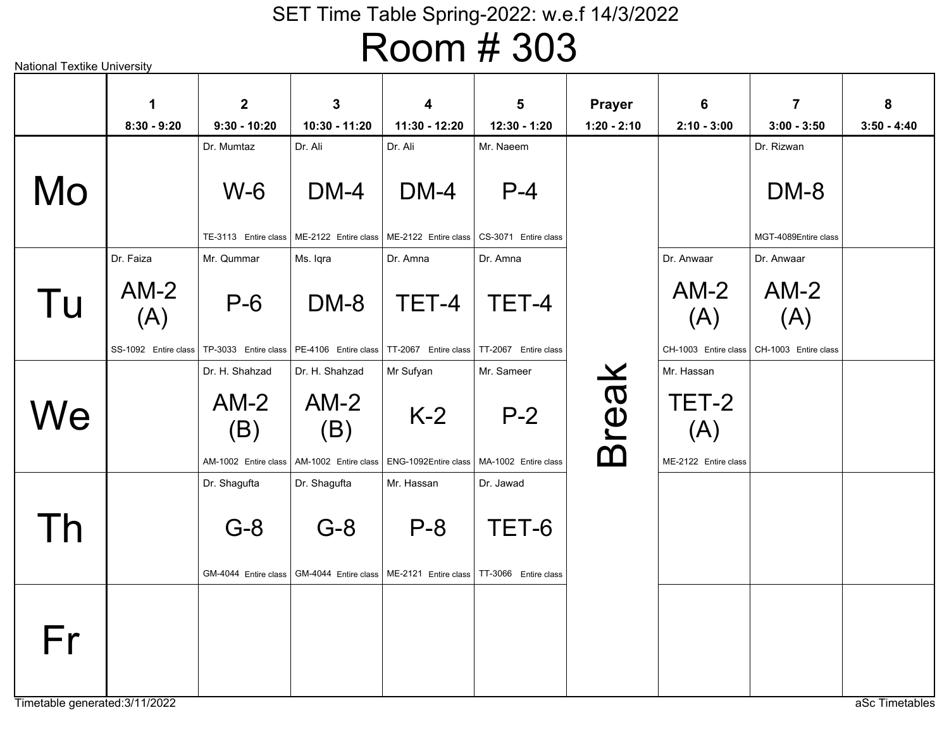National Textike University aSc Timetables W-6TE-3113 Entire class Dr. MumtazDM-4ME-2122 Entire class Dr. AliDM-4 ME-2122 Entire class Dr. AliP-4CS-3071 Entire class Mr. NaeemDM-8MGT-4089Entire classDr. RizwanDM-8PE-4106 Entire class Ms. IqraP-6TP-3033Entire classMr. QummarTET-4TT-2067 Entire class Dr. AmnaTET-4TT-2067 Entire class Dr. AmnaAM-2 (A)SS-1092 Entire class Dr. FaizaAM-2 (A)CH-1003 Entire class I CH-1003 Entire class Dr. AnwaarAM-2 (A)Dr. AnwaarK-2ENG-1092Entire classMr SufyanAM-2 (B)AM-1002 Entire class Dr. H. ShahzadAM-2 (B)AM-1002 Entire class Dr. H. ShahzadP-2MA-1002 Entire class Mr. SameerTET-2 (A)ME-2122 Entire class Mr. HassanP-8ME-2121 Entire class TT-3066 Entire class Mr. HassanG-8GM-4044Entire classDr. ShaguftaG-8GM-4044Entire classDr. ShaguftaTET-6Dr. JawadBreak MoTu**We** ThFr**18:30 - 9:2029:30 - 10:20310:30 - 11:20411:30 - 12:20512:30 - 1:20Prayer1:20 - 2:1062:10 - 3:0073:00 - 3:50**

**83:50 - 4:40**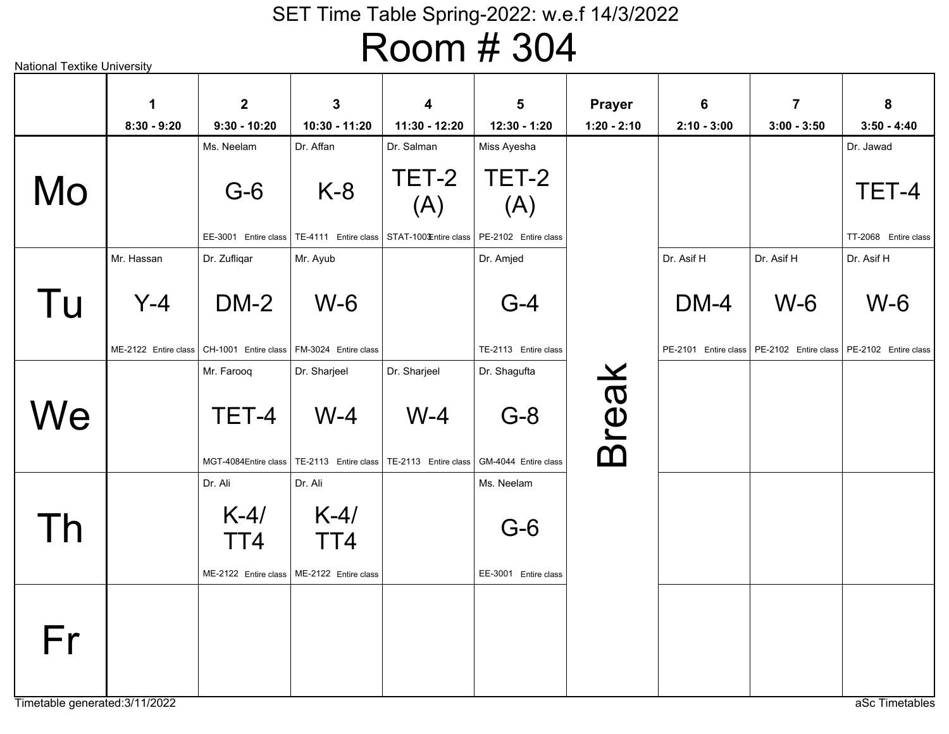|    | 1                    | $\mathbf{2}$                                | $\mathbf{3}$                                                                | 4             | 5                             | <b>Prayer</b> | 6             | $\overline{7}$                                                     | 8                    |
|----|----------------------|---------------------------------------------|-----------------------------------------------------------------------------|---------------|-------------------------------|---------------|---------------|--------------------------------------------------------------------|----------------------|
|    | $8:30 - 9:20$        | $9:30 - 10:20$                              | 10:30 - 11:20                                                               | 11:30 - 12:20 | 12:30 - 1:20                  | $1:20 - 2:10$ | $2:10 - 3:00$ | $3:00 - 3:50$                                                      | $3:50 - 4:40$        |
|    |                      | Ms. Neelam                                  | Dr. Affan                                                                   | Dr. Salman    | Miss Ayesha                   |               |               |                                                                    | Dr. Jawad            |
| Mo |                      | $G-6$                                       | $K-8$                                                                       | TET-2<br>(A)  | TET-2<br>(A)                  |               |               |                                                                    | TET-4                |
|    |                      | EE-3001 Entire class                        | TE-4111 Entire class   STAT-100 Entire class                                |               | PE-2102 Entire class          |               |               |                                                                    | TT-2068 Entire class |
|    | Mr. Hassan           | Dr. Zufliqar                                | Mr. Ayub                                                                    |               | Dr. Amjed                     |               | Dr. Asif H    | Dr. Asif H                                                         | Dr. Asif H           |
| Tu | $Y-4$                | $DM-2$                                      | $W-6$                                                                       |               | $G-4$                         |               | $DM-4$        | $W-6$                                                              | $W-6$                |
|    | ME-2122 Entire class | CH-1001 Entire class   FM-3024 Entire class |                                                                             |               | TE-2113 Entire class          |               |               | PE-2101 Entire class   PE-2102 Entire class   PE-2102 Entire class |                      |
|    |                      | Mr. Farooq                                  | Dr. Sharjeel                                                                | Dr. Sharjeel  | Dr. Shagufta                  |               |               |                                                                    |                      |
| We |                      | TET-4                                       | $W-4$<br>MGT-4084Entire class   TE-2113 Entire class   TE-2113 Entire class | $W-4$         | $G-8$<br>GM-4044 Entire class | <b>Break</b>  |               |                                                                    |                      |
|    |                      | Dr. Ali                                     | Dr. Ali                                                                     |               | Ms. Neelam                    |               |               |                                                                    |                      |
| Th |                      | $K-4/$<br>TT4<br>ME-2122 Entire class       | $K-4/$<br>TT4<br>ME-2122 Entire class                                       |               | $G-6$<br>EE-3001 Entire class |               |               |                                                                    |                      |
|    |                      |                                             |                                                                             |               |                               |               |               |                                                                    |                      |
| Fr |                      |                                             |                                                                             |               |                               |               |               |                                                                    |                      |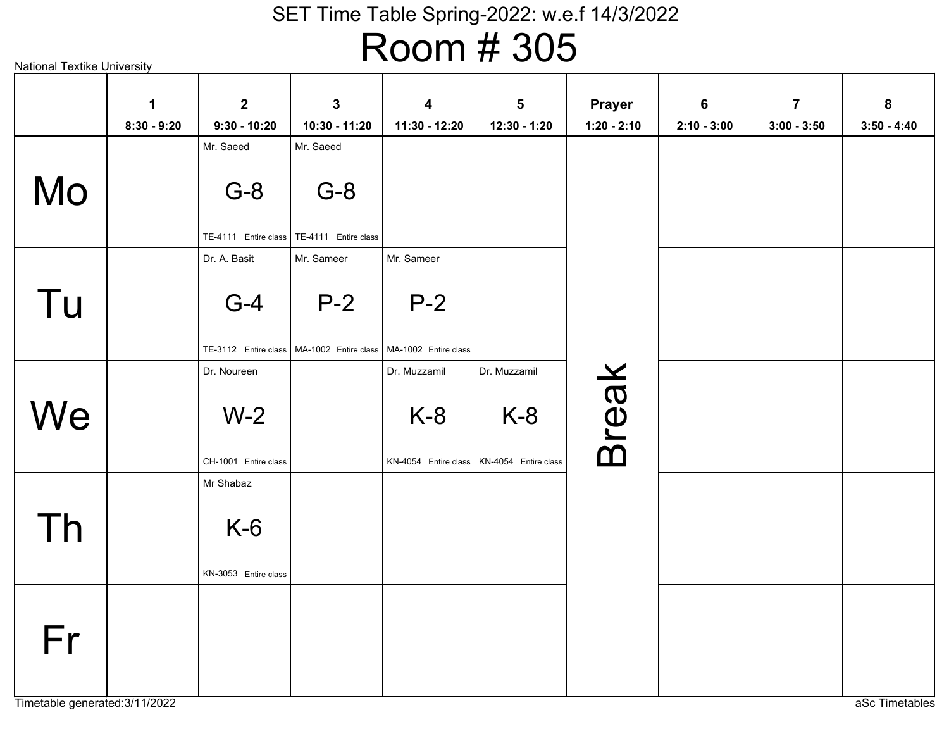# Room # 305

|    | $\mathbf 1$   | $\overline{2}$                | 3                                           | 4                                                    | $5\phantom{1}$ | <b>Prayer</b> | $6\phantom{1}$ | $\overline{7}$ | 8             |
|----|---------------|-------------------------------|---------------------------------------------|------------------------------------------------------|----------------|---------------|----------------|----------------|---------------|
|    | $8:30 - 9:20$ | $9:30 - 10:20$<br>Mr. Saeed   | 10:30 - 11:20<br>Mr. Saeed                  | 11:30 - 12:20                                        | 12:30 - 1:20   | $1:20 - 2:10$ | $2:10 - 3:00$  | $3:00 - 3:50$  | $3:50 - 4:40$ |
|    |               |                               |                                             |                                                      |                |               |                |                |               |
| Mo |               | $G-8$                         | $G-8$                                       |                                                      |                |               |                |                |               |
|    |               | TE-4111 Entire class          | TE-4111 Entire class                        |                                                      |                |               |                |                |               |
|    |               | Dr. A. Basit                  | Mr. Sameer                                  | Mr. Sameer                                           |                |               |                |                |               |
| Tu |               | $G-4$                         | $P-2$                                       | $P-2$                                                |                |               |                |                |               |
|    |               | TE-3112 Entire class          | MA-1002 Entire class   MA-1002 Entire class |                                                      |                |               |                |                |               |
|    |               | Dr. Noureen                   |                                             | Dr. Muzzamil                                         | Dr. Muzzamil   |               |                |                |               |
| We |               | $W-2$<br>CH-1001 Entire class |                                             | $K-8$<br>KN-4054 Entire class   KN-4054 Entire class | $K-8$          | <b>Break</b>  |                |                |               |
|    |               | Mr Shabaz                     |                                             |                                                      |                |               |                |                |               |
| Th |               | $K-6$<br>KN-3053 Entire class |                                             |                                                      |                |               |                |                |               |
|    |               |                               |                                             |                                                      |                |               |                |                |               |
| Fr |               |                               |                                             |                                                      |                |               |                |                |               |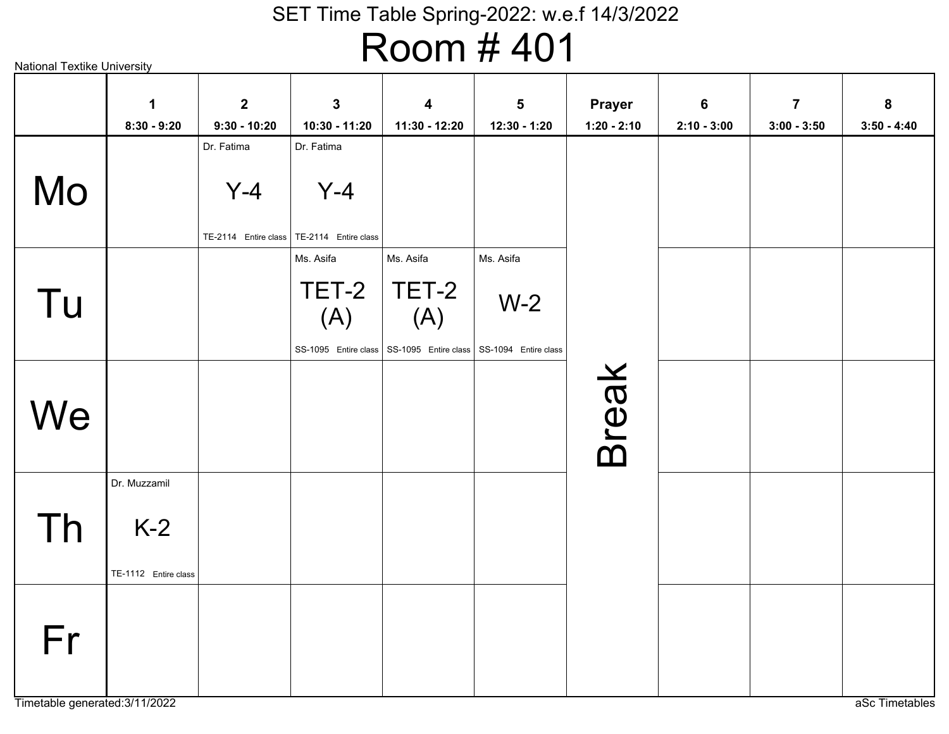# Room # 401

|    | $\mathbf 1$                                   | $\overline{2}$ | $\mathbf{3}$                                | 4                                                                  | $5\phantom{1}$ | <b>Prayer</b> | $6\phantom{1}$ | $\overline{7}$ | 8             |
|----|-----------------------------------------------|----------------|---------------------------------------------|--------------------------------------------------------------------|----------------|---------------|----------------|----------------|---------------|
|    | $8:30 - 9:20$                                 | $9:30 - 10:20$ | 10:30 - 11:20                               | 11:30 - 12:20                                                      | 12:30 - 1:20   | $1:20 - 2:10$ | $2:10 - 3:00$  | $3:00 - 3:50$  | $3:50 - 4:40$ |
|    |                                               | Dr. Fatima     | Dr. Fatima                                  |                                                                    |                |               |                |                |               |
| Mo |                                               | $Y-4$          | $Y-4$                                       |                                                                    |                |               |                |                |               |
|    |                                               |                | TE-2114 Entire class   TE-2114 Entire class |                                                                    |                |               |                |                |               |
|    |                                               |                | Ms. Asifa                                   | Ms. Asifa                                                          | Ms. Asifa      |               |                |                |               |
| Tu |                                               |                | TET-2<br>(A)                                | TET-2<br>(A)                                                       | $W-2$          |               |                |                |               |
|    |                                               |                |                                             | SS-1095 Entire class   SS-1095 Entire class   SS-1094 Entire class |                |               |                |                |               |
| We |                                               |                |                                             |                                                                    |                | <b>Break</b>  |                |                |               |
| Th | Dr. Muzzamil<br>$K-2$<br>TE-1112 Entire class |                |                                             |                                                                    |                |               |                |                |               |
| Fr |                                               |                |                                             |                                                                    |                |               |                |                |               |

Timetable generated:3/11/2022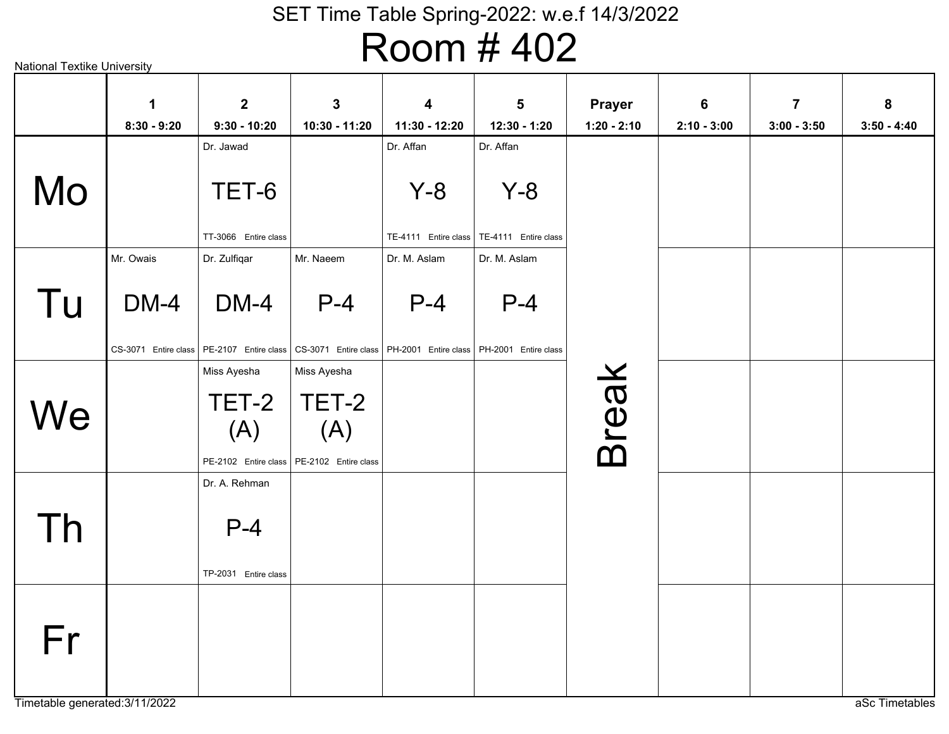# Room # 402

|    | $\mathbf 1$<br>$8:30 - 9:20$ | $\overline{2}$<br>$9:30 - 10:20$                    | $\mathbf{3}$<br>10:30 - 11:20        | 4<br>11:30 - 12:20                                                          | 5<br>12:30 - 1:20                                      | <b>Prayer</b><br>$1:20 - 2:10$ | 6<br>$2:10 - 3:00$ | $\overline{7}$<br>$3:00 - 3:50$ | 8<br>$3:50 - 4:40$ |
|----|------------------------------|-----------------------------------------------------|--------------------------------------|-----------------------------------------------------------------------------|--------------------------------------------------------|--------------------------------|--------------------|---------------------------------|--------------------|
|    |                              | Dr. Jawad                                           |                                      | Dr. Affan                                                                   | Dr. Affan                                              |                                |                    |                                 |                    |
| Mo |                              | TET-6<br>TT-3066 Entire class                       |                                      | $Y-8$                                                                       | $Y - 8$<br>TE-4111 Entire class   TE-4111 Entire class |                                |                    |                                 |                    |
|    | Mr. Owais                    | Dr. Zulfiqar                                        | Mr. Naeem                            | Dr. M. Aslam                                                                | Dr. M. Aslam                                           |                                |                    |                                 |                    |
| Tu | $DM-4$                       | DM-4<br>CS-3071 Entire class   PE-2107 Entire class | $P-4$                                | $P-4$<br>CS-3071 Entire class   PH-2001 Entire class   PH-2001 Entire class | $P-4$                                                  |                                |                    |                                 |                    |
|    |                              | Miss Ayesha                                         | Miss Ayesha                          |                                                                             |                                                        |                                |                    |                                 |                    |
| We |                              | TET-2<br>(A)<br>PE-2102 Entire class                | TET-2<br>(A)<br>PE-2102 Entire class |                                                                             |                                                        | <b>Break</b>                   |                    |                                 |                    |
| Th |                              | Dr. A. Rehman<br>$P-4$<br>TP-2031 Entire class      |                                      |                                                                             |                                                        |                                |                    |                                 |                    |
| Fr |                              |                                                     |                                      |                                                                             |                                                        |                                |                    |                                 |                    |

Timetable generated:3/11/2022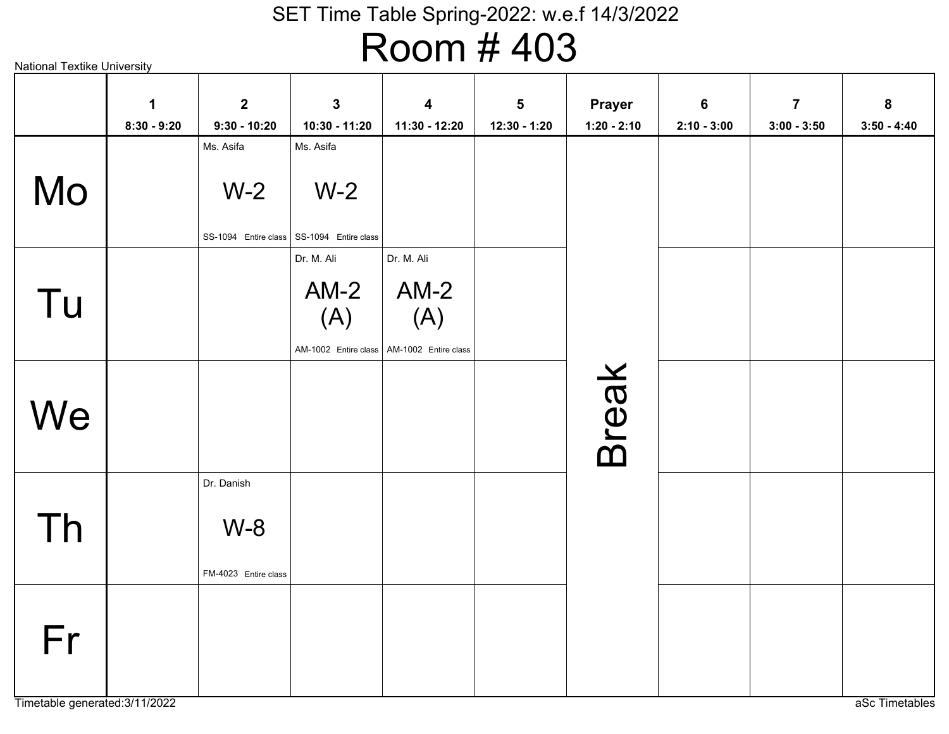# Room # 403

|    | $\mathbf 1$<br>$8:30 - 9:20$ | $\mathbf{2}$<br>$9:30 - 10:20$              | $\mathbf{3}$<br>10:30 - 11:20                                              | $\overline{\mathbf{4}}$<br>11:30 - 12:20 | $\overline{\mathbf{5}}$<br>12:30 - 1:20 | <b>Prayer</b><br>$1:20 - 2:10$ | $6\phantom{1}$<br>$2:10 - 3:00$ | $\overline{7}$<br>$3:00 - 3:50$ | ${\bf 8}$<br>$3:50 - 4:40$ |
|----|------------------------------|---------------------------------------------|----------------------------------------------------------------------------|------------------------------------------|-----------------------------------------|--------------------------------|---------------------------------|---------------------------------|----------------------------|
| Mo |                              | Ms. Asifa<br>$W-2$                          | Ms. Asifa<br>$W-2$<br>SS-1094 Entire class   SS-1094 Entire class          |                                          |                                         |                                |                                 |                                 |                            |
| Tu |                              |                                             | Dr. M. Ali<br>$AM-2$<br>(A)<br>AM-1002 Entire class   AM-1002 Entire class | Dr. M. Ali<br>$AM-2$<br>(A)              |                                         |                                |                                 |                                 |                            |
| We |                              |                                             |                                                                            |                                          |                                         | <b>Break</b>                   |                                 |                                 |                            |
| Th |                              | Dr. Danish<br>$W-8$<br>FM-4023 Entire class |                                                                            |                                          |                                         |                                |                                 |                                 |                            |
| Fr |                              |                                             |                                                                            |                                          |                                         |                                |                                 |                                 |                            |

Timetable generated:3/11/2022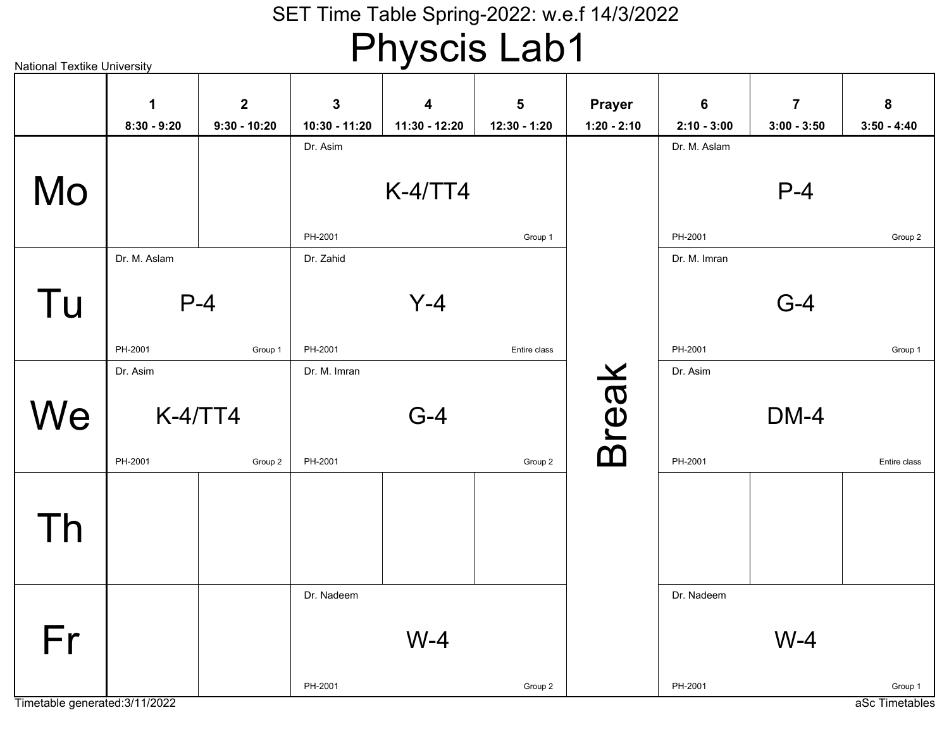# Physcis Lab1

| National Textike University |               |                      |               |               |              |               |               |                |               |
|-----------------------------|---------------|----------------------|---------------|---------------|--------------|---------------|---------------|----------------|---------------|
|                             | 1             | $\mathbf{2}$         | $\mathbf 3$   | 4             | 5            | <b>Prayer</b> | 6             | $\overline{7}$ | ${\bf 8}$     |
|                             | $8:30 - 9:20$ | $9:30 - 10:20$       | 10:30 - 11:20 | 11:30 - 12:20 | 12:30 - 1:20 | $1:20 - 2:10$ | $2:10 - 3:00$ | $3:00 - 3:50$  | $3:50 - 4:40$ |
| Mo                          |               |                      | Dr. Asim      | $K-4/TT4$     |              |               | Dr. M. Aslam  | $P-4$          |               |
|                             |               |                      |               |               |              |               |               |                |               |
|                             |               |                      | PH-2001       |               | Group 1      |               | PH-2001       |                | Group 2       |
|                             | Dr. M. Aslam  |                      | Dr. Zahid     |               |              |               | Dr. M. Imran  |                |               |
| Tu                          |               | $P-4$                |               | $Y-4$         |              |               |               | $G-4$          |               |
|                             | PH-2001       | Group 1              | PH-2001       |               | Entire class |               | PH-2001       |                | Group 1       |
|                             | Dr. Asim      |                      | Dr. M. Imran  |               |              |               | Dr. Asim      |                |               |
| We                          | PH-2001       | $K-4/TT4$<br>Group 2 | PH-2001       | $G-4$         | Group 2      | <b>Break</b>  | PH-2001       | DM-4           | Entire class  |
| Th                          |               |                      |               |               |              |               |               |                |               |
| Fr                          |               |                      | Dr. Nadeem    | $W-4$         |              |               | Dr. Nadeem    | $W-4$          |               |
|                             |               |                      | PH-2001       |               | Group 2      |               | PH-2001       |                | Group 1       |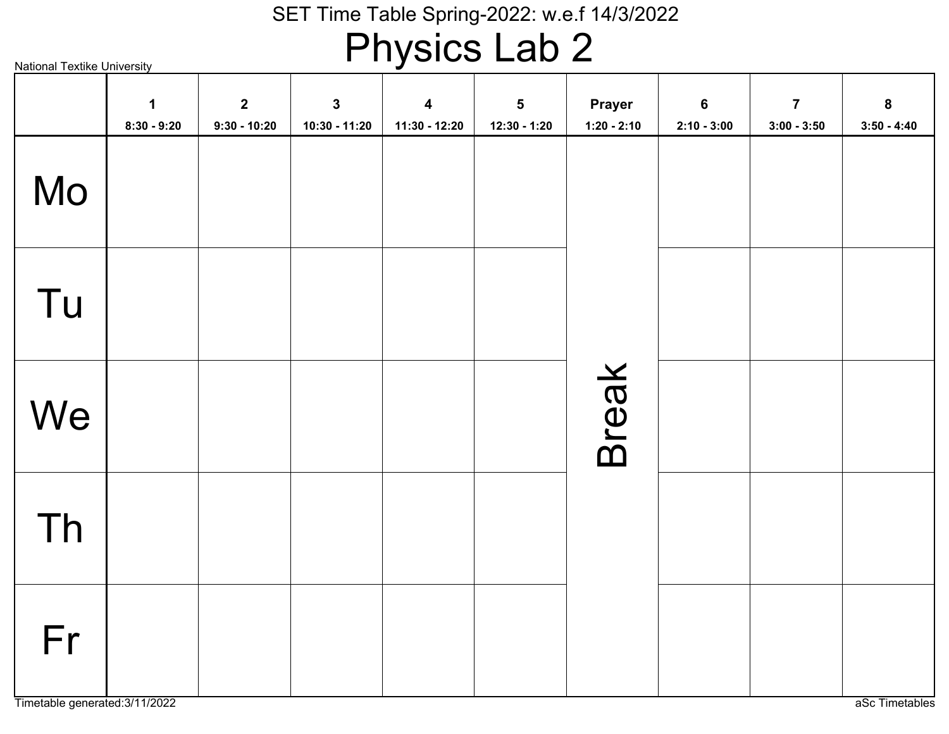# Physics Lab 2

| <b>National Textike University</b> |                              |                                  |                                 | . <i>.</i>                          |                                           |                                |                                  |                                          |                                   |
|------------------------------------|------------------------------|----------------------------------|---------------------------------|-------------------------------------|-------------------------------------------|--------------------------------|----------------------------------|------------------------------------------|-----------------------------------|
|                                    | $\mathbf 1$<br>$8:30 - 9:20$ | $\overline{2}$<br>$9:30 - 10:20$ | $\mathbf{3}$<br>$10:30 - 11:20$ | $\boldsymbol{4}$<br>$11:30 - 12:20$ | $\overline{\mathbf{5}}$<br>$12:30 - 1:20$ | <b>Prayer</b><br>$1:20 - 2:10$ | $6\phantom{1}6$<br>$2:10 - 3:00$ | $\overline{\mathbf{7}}$<br>$3:00 - 3:50$ | $\boldsymbol{8}$<br>$3:50 - 4:40$ |
| Mo                                 |                              |                                  |                                 |                                     |                                           |                                |                                  |                                          |                                   |
| Tu                                 |                              |                                  |                                 |                                     |                                           |                                |                                  |                                          |                                   |
| We                                 |                              |                                  |                                 |                                     |                                           | Break                          |                                  |                                          |                                   |
| Th                                 |                              |                                  |                                 |                                     |                                           |                                |                                  |                                          |                                   |
| Fr                                 |                              |                                  |                                 |                                     |                                           |                                |                                  |                                          |                                   |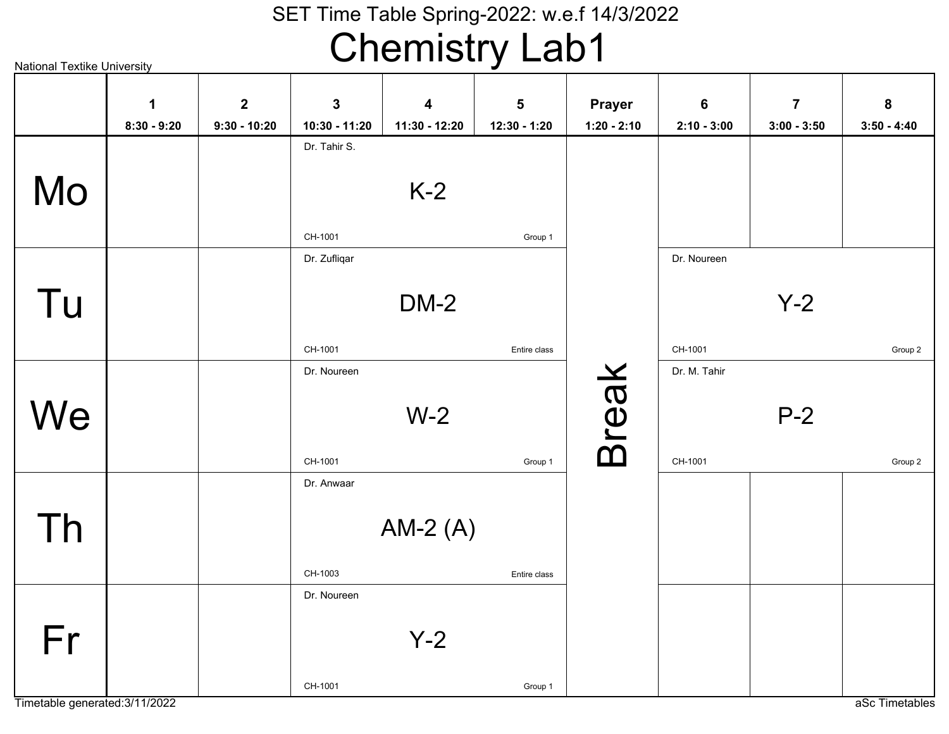# Chemistry Lab1

National Textike UniversityK-2CH-1001Dr. Tahir S.Group 1DM-2CH-1001Dr. ZufliqarEntire classY-2CH-1001Dr. NoureenGroup 2W-2CH-1001Dr. NoureenGroup 1P-2CH-1001Dr. M. TahirGroup 2AM-2 (A)CH-1003Dr. AnwaarEntire classY-2CH-1001Dr. NoureenGroup 1Break MoTu**We** ThFr**18:30 - 9:2029:30 - 10:20310:30 - 11:20411:30 - 12:20512:30 - 1:20Prayer1:20 - 2:1062:10 - 3:0073:00 - 3:5083:50 - 4:40**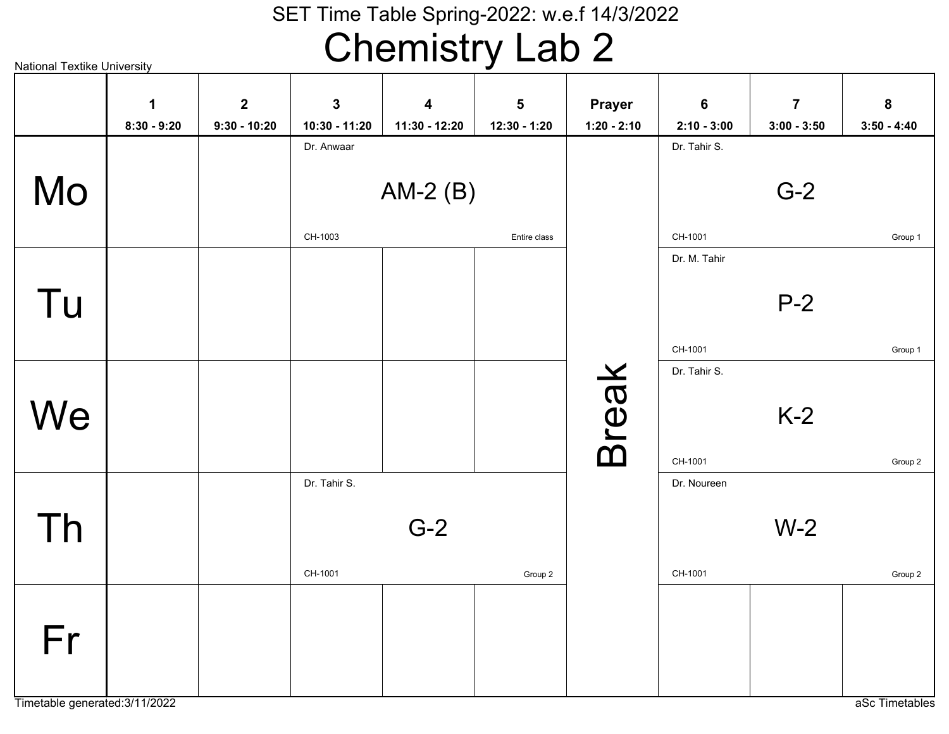# Chemistry Lab 2

National Textike University

| 1<br>$8:30 - 9:20$ | $\overline{2}$<br>$9:30 - 10:20$ | $\mathbf{3}$<br>10:30 - 11:20 | $\overline{\mathbf{4}}$<br>11:30 - 12:20 | 5<br>12:30 - 1:20 | <b>Prayer</b><br>$1:20 - 2:10$ | $6\phantom{1}$<br>$2:10 - 3:00$ | $\overline{7}$<br>$3:00 - 3:50$ | ${\bf 8}$<br>$3:50 - 4:40$ |
|--------------------|----------------------------------|-------------------------------|------------------------------------------|-------------------|--------------------------------|---------------------------------|---------------------------------|----------------------------|
|                    |                                  | Dr. Anwaar                    |                                          |                   |                                | Dr. Tahir S.                    |                                 |                            |
|                    |                                  |                               |                                          |                   |                                |                                 |                                 |                            |
|                    |                                  |                               |                                          |                   |                                | Dr. M. Tahir                    |                                 | Group 1                    |
|                    |                                  |                               |                                          |                   |                                |                                 | $P-2$                           |                            |
|                    |                                  |                               |                                          |                   |                                | CH-1001                         |                                 | Group 1                    |
|                    |                                  |                               |                                          |                   |                                |                                 |                                 |                            |
|                    |                                  |                               |                                          |                   |                                |                                 | $K-2$                           |                            |
|                    |                                  |                               |                                          |                   |                                | CH-1001                         |                                 | Group 2                    |
|                    |                                  | Dr. Tahir S.                  |                                          |                   |                                | Dr. Noureen                     |                                 |                            |
|                    |                                  |                               | $G-2$                                    |                   |                                |                                 | $W-2$                           |                            |
|                    |                                  | CH-1001                       |                                          | Group 2           |                                | CH-1001                         |                                 | Group 2                    |
|                    |                                  |                               |                                          |                   |                                |                                 |                                 |                            |
|                    |                                  |                               |                                          |                   |                                |                                 |                                 |                            |
|                    |                                  |                               | CH-1003                                  |                   | AM-2 $(B)$<br>Entire class     | <b>Break</b>                    | CH-1001<br>Dr. Tahir S.         | $G-2$                      |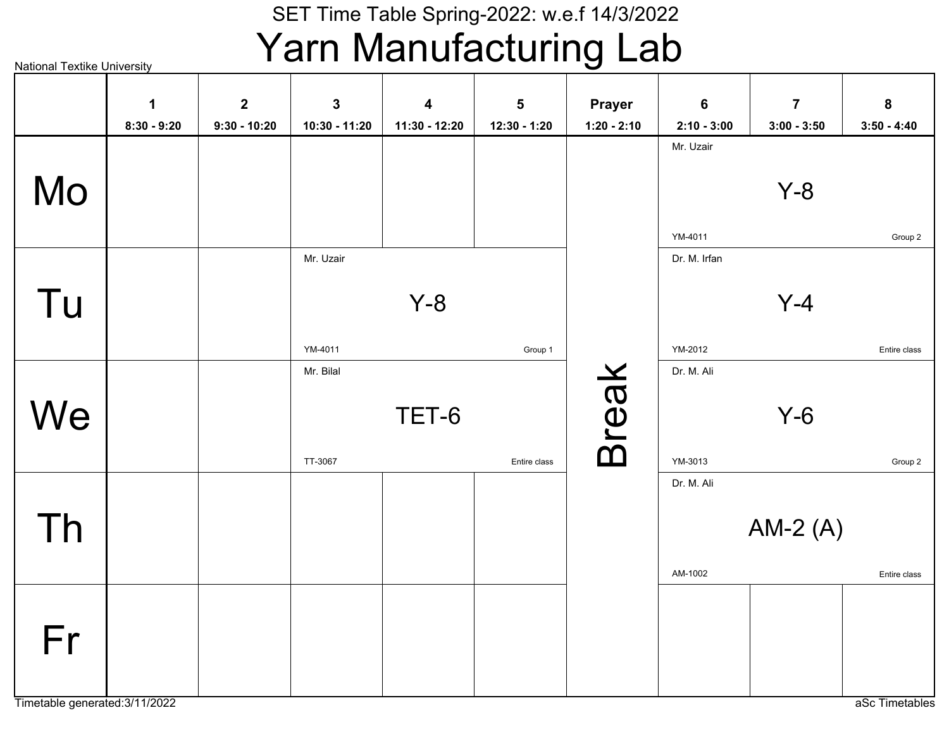### SET Time Table Spring-2022: w.e.f 14/3/2022Yarn Manufacturing Lab

|    |                              |                                  |                               |                                          |                                         |                         |                                 | $\overline{7}$ |                            |
|----|------------------------------|----------------------------------|-------------------------------|------------------------------------------|-----------------------------------------|-------------------------|---------------------------------|----------------|----------------------------|
|    | $\mathbf 1$<br>$8:30 - 9:20$ | $\overline{2}$<br>$9:30 - 10:20$ | $\mathbf{3}$<br>10:30 - 11:20 | $\overline{\mathbf{4}}$<br>11:30 - 12:20 | $\overline{\mathbf{5}}$<br>12:30 - 1:20 | Prayer<br>$1:20 - 2:10$ | $6\phantom{1}$<br>$2:10 - 3:00$ | $3:00 - 3:50$  | ${\bf 8}$<br>$3:50 - 4:40$ |
|    |                              |                                  |                               |                                          |                                         |                         | Mr. Uzair                       |                |                            |
|    |                              |                                  |                               |                                          |                                         |                         |                                 |                |                            |
| Mo |                              |                                  |                               |                                          |                                         |                         |                                 | $Y-8$          |                            |
|    |                              |                                  |                               |                                          |                                         |                         |                                 |                |                            |
|    |                              |                                  |                               |                                          |                                         |                         | YM-4011                         |                | Group 2                    |
|    |                              |                                  | Mr. Uzair                     |                                          |                                         |                         | Dr. M. Irfan                    |                |                            |
|    |                              |                                  |                               |                                          |                                         |                         |                                 |                |                            |
| Tu |                              |                                  |                               | $Y-8$                                    |                                         |                         |                                 | $Y-4$          |                            |
|    |                              |                                  | YM-4011                       |                                          | Group 1                                 |                         | YM-2012                         |                | Entire class               |
|    |                              |                                  | Mr. Bilal                     |                                          |                                         |                         | Dr. M. Ali                      |                |                            |
|    |                              |                                  |                               |                                          |                                         |                         |                                 |                |                            |
| We |                              |                                  |                               | TET-6                                    |                                         |                         |                                 | $Y-6$          |                            |
|    |                              |                                  |                               |                                          |                                         | <b>Break</b>            |                                 |                |                            |
|    |                              |                                  | TT-3067                       |                                          | Entire class                            |                         | YM-3013                         |                | Group 2                    |
|    |                              |                                  |                               |                                          |                                         |                         | Dr. M. Ali                      |                |                            |
|    |                              |                                  |                               |                                          |                                         |                         |                                 |                |                            |
| Th |                              |                                  |                               |                                          |                                         |                         |                                 | AM-2 $(A)$     |                            |
|    |                              |                                  |                               |                                          |                                         |                         | AM-1002                         |                | Entire class               |
|    |                              |                                  |                               |                                          |                                         |                         |                                 |                |                            |
|    |                              |                                  |                               |                                          |                                         |                         |                                 |                |                            |
| Fr |                              |                                  |                               |                                          |                                         |                         |                                 |                |                            |
|    |                              |                                  |                               |                                          |                                         |                         |                                 |                |                            |
|    |                              |                                  |                               |                                          |                                         |                         |                                 |                |                            |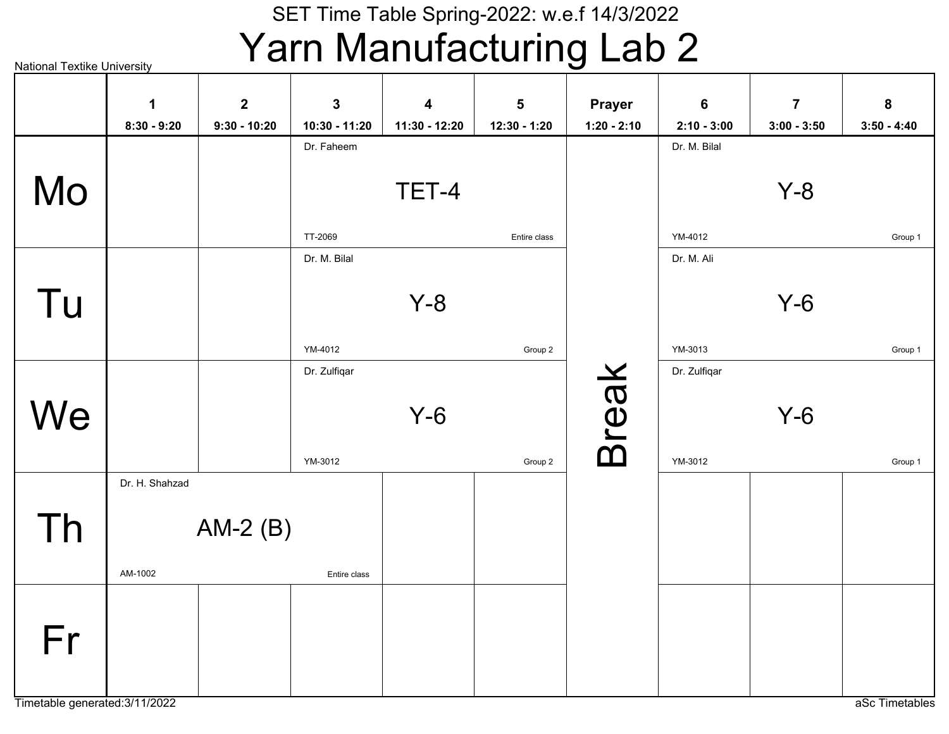### SET Time Table Spring-2022: w.e.f 14/3/2022Yarn Manufacturing Lab 2

National Textike University

|    | 1              | $\mathbf{2}$   | $\mathbf{3}$  | $\boldsymbol{4}$ | $5\phantom{1}$ | <b>Prayer</b> | $6\phantom{1}$ | $\overline{7}$ | 8             |
|----|----------------|----------------|---------------|------------------|----------------|---------------|----------------|----------------|---------------|
|    | $8:30 - 9:20$  | $9:30 - 10:20$ | 10:30 - 11:20 | 11:30 - 12:20    | 12:30 - 1:20   | $1:20 - 2:10$ | $2:10 - 3:00$  | $3:00 - 3:50$  | $3:50 - 4:40$ |
|    |                |                | Dr. Faheem    |                  |                |               | Dr. M. Bilal   |                |               |
|    |                |                |               |                  |                |               |                |                |               |
| Mo |                |                |               | TET-4            |                |               |                | $Y-8$          |               |
|    |                |                |               |                  |                |               |                |                |               |
|    |                |                | TT-2069       |                  | Entire class   |               | YM-4012        |                | Group 1       |
|    |                |                | Dr. M. Bilal  |                  |                |               | Dr. M. Ali     |                |               |
|    |                |                |               |                  |                |               |                |                |               |
| Tu |                |                |               | $Y-8$            |                |               |                | $Y-6$          |               |
|    |                |                |               |                  |                |               |                |                |               |
|    |                |                | YM-4012       |                  | Group 2        |               | YM-3013        |                | Group 1       |
|    |                |                | Dr. Zulfiqar  |                  |                |               | Dr. Zulfiqar   |                |               |
|    |                |                |               |                  |                |               |                |                |               |
| We |                |                |               | $Y-6$            |                |               |                | $Y-6$          |               |
|    |                |                |               |                  |                |               |                |                |               |
|    |                |                | YM-3012       |                  | Group 2        | <b>Break</b>  | YM-3012        |                | Group 1       |
|    | Dr. H. Shahzad |                |               |                  |                |               |                |                |               |
|    |                |                |               |                  |                |               |                |                |               |
| Th |                | AM-2 $(B)$     |               |                  |                |               |                |                |               |
|    |                |                |               |                  |                |               |                |                |               |
|    | AM-1002        |                | Entire class  |                  |                |               |                |                |               |
|    |                |                |               |                  |                |               |                |                |               |
|    |                |                |               |                  |                |               |                |                |               |
| Fr |                |                |               |                  |                |               |                |                |               |
|    |                |                |               |                  |                |               |                |                |               |
|    |                |                |               |                  |                |               |                |                |               |
|    |                |                |               |                  |                |               |                |                |               |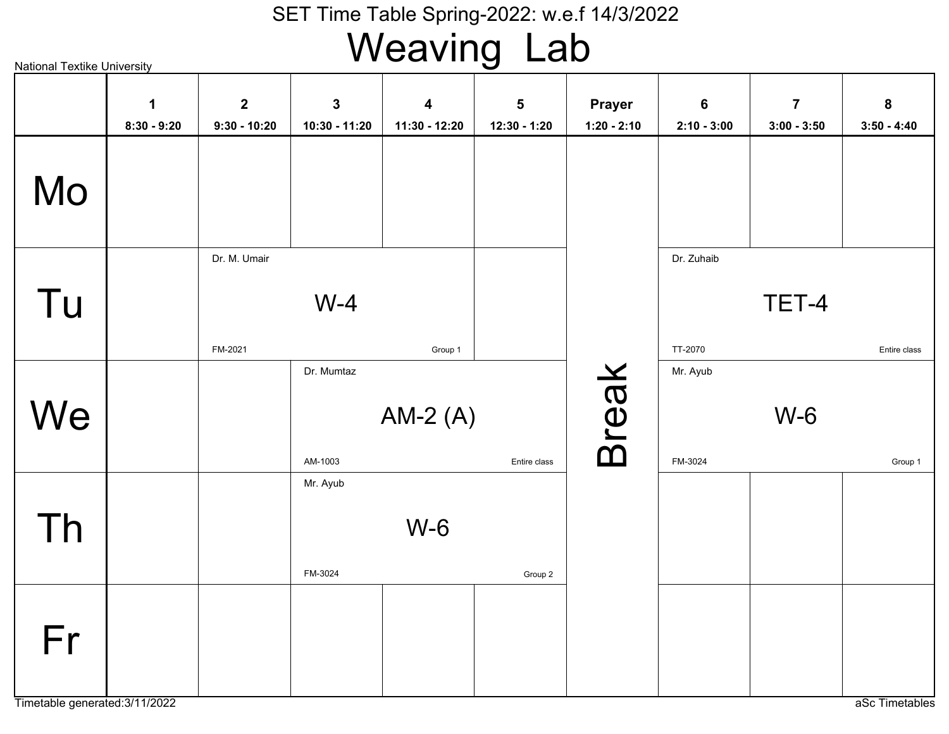# Weaving Lab

|    | $\mathbf 1$<br>$8:30 - 9:20$ | $\mathbf{2}$<br>$9:30 - 10:20$ | $\mathbf{3}$<br>10:30 - 11:20 | $\overline{\mathbf{4}}$<br>11:30 - 12:20 | $\overline{\mathbf{5}}$<br>12:30 - 1:20 | Prayer<br>$1:20 - 2:10$ | $\bf 6$<br>$2:10 - 3:00$ | $\overline{7}$<br>$3:00 - 3:50$ | ${\bf 8}$<br>$3:50 - 4:40$ |
|----|------------------------------|--------------------------------|-------------------------------|------------------------------------------|-----------------------------------------|-------------------------|--------------------------|---------------------------------|----------------------------|
| Mo |                              |                                |                               |                                          |                                         |                         |                          |                                 |                            |
| Tu |                              | Dr. M. Umair<br>FM-2021        | $W-4$                         |                                          |                                         |                         | Dr. Zuhaib<br>TT-2070    | TET-4                           | Entire class               |
| We |                              |                                | Dr. Mumtaz<br>AM-1003         | Group 1<br>AM-2 $(A)$                    | Entire class                            | <b>Break</b>            | Mr. Ayub<br>FM-3024      | $W-6$                           | Group 1                    |
| Th |                              |                                | Mr. Ayub<br>FM-3024           | $W-6$                                    | Group 2                                 |                         |                          |                                 |                            |
| Fr |                              |                                |                               |                                          |                                         |                         |                          |                                 |                            |

Timetable generated:3/11/2022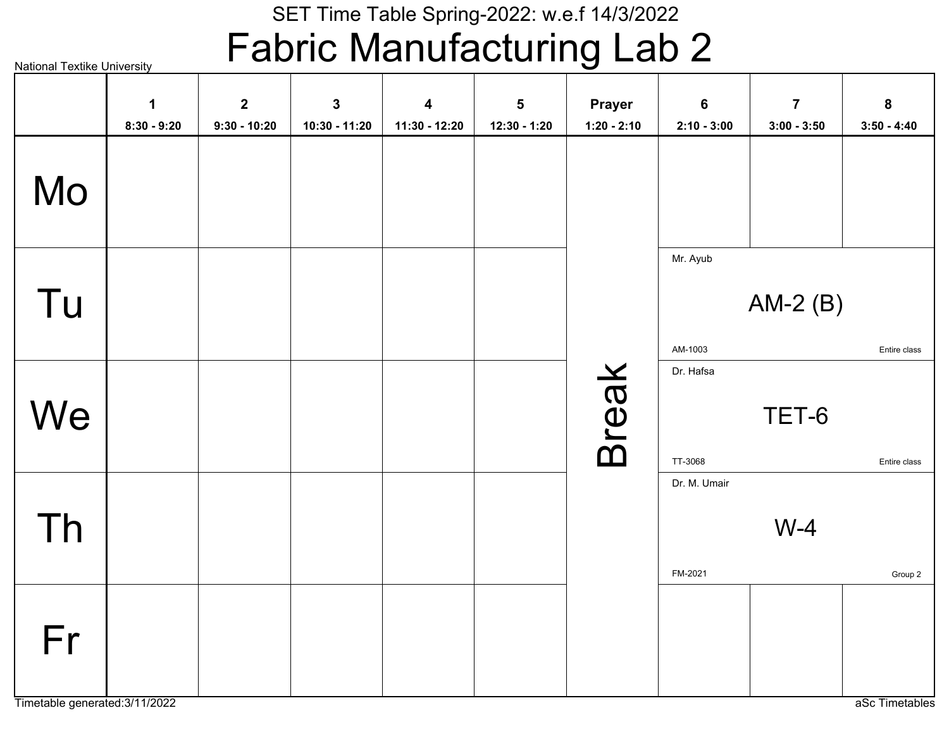# Fabric Manufacturing Lab 2

|    | $\mathbf 1$<br>$8:30 - 9:20$ | $\overline{2}$<br>$9:30 - 10:20$ | $\mathbf 3$<br>10:30 - 11:20 | $\overline{\mathbf{4}}$<br>11:30 - 12:20 | ${\bf 5}$<br>12:30 - 1:20 | <b>Prayer</b><br>$1:20 - 2:10$ | $6\phantom{a}$<br>$2:10 - 3:00$ | $\overline{7}$<br>$3:00 - 3:50$ | ${\bf 8}$<br>$3:50 - 4:40$ |
|----|------------------------------|----------------------------------|------------------------------|------------------------------------------|---------------------------|--------------------------------|---------------------------------|---------------------------------|----------------------------|
| Mo |                              |                                  |                              |                                          |                           |                                |                                 |                                 |                            |
| Tu |                              |                                  |                              |                                          |                           |                                | Mr. Ayub<br>AM-1003             | AM-2 $(B)$                      | Entire class               |
| We |                              |                                  |                              |                                          |                           | <b>Break</b>                   | Dr. Hafsa<br>TT-3068            | TET-6                           | Entire class               |
| Th |                              |                                  |                              |                                          |                           |                                | Dr. M. Umair<br>FM-2021         | $W-4$                           | Group 2                    |
| Fr |                              |                                  |                              |                                          |                           |                                |                                 |                                 |                            |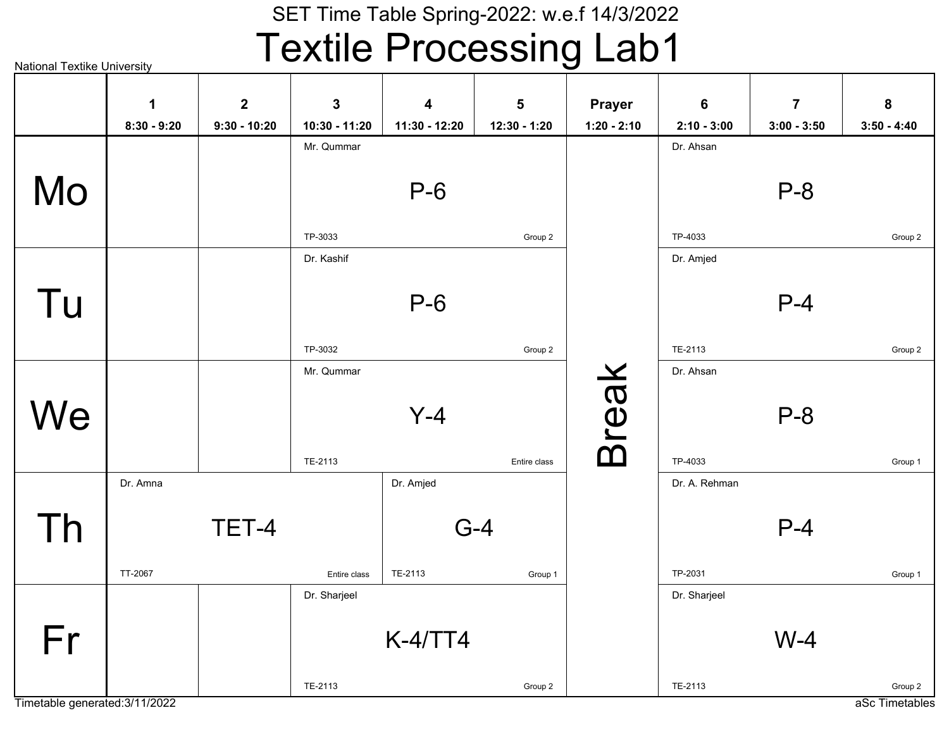### SET Time Table Spring-2022: w.e.f 14/3/2022Textile Processing Lab1

National Textike University

|    | $\mathbf 1$   | $\overline{2}$ | $\mathbf{3}$  | $\overline{\mathbf{4}}$ | $\overline{\mathbf{5}}$ | <b>Prayer</b> | 6             | $\overline{7}$ | 8             |
|----|---------------|----------------|---------------|-------------------------|-------------------------|---------------|---------------|----------------|---------------|
|    | $8:30 - 9:20$ | $9:30 - 10:20$ | 10:30 - 11:20 | 11:30 - 12:20           | 12:30 - 1:20            | $1:20 - 2:10$ | $2:10 - 3:00$ | $3:00 - 3:50$  | $3:50 - 4:40$ |
|    |               |                | Mr. Qummar    |                         |                         |               | Dr. Ahsan     |                |               |
|    |               |                |               |                         |                         |               |               |                |               |
| Mo |               |                |               | $P-6$                   |                         |               |               | $P-8$          |               |
|    |               |                |               |                         |                         |               |               |                |               |
|    |               |                | TP-3033       |                         | Group 2                 |               | TP-4033       |                | Group 2       |
|    |               |                | Dr. Kashif    |                         |                         |               | Dr. Amjed     |                |               |
|    |               |                |               |                         |                         |               |               |                |               |
| Tu |               |                |               | $P-6$                   |                         |               |               | $P-4$          |               |
|    |               |                |               |                         |                         |               |               |                |               |
|    |               |                | TP-3032       |                         | Group 2                 |               | TE-2113       |                | Group 2       |
|    |               |                | Mr. Qummar    |                         |                         |               | Dr. Ahsan     |                |               |
|    |               |                |               |                         |                         |               |               |                |               |
| We |               |                |               | $Y-4$                   |                         |               |               | $P-8$          |               |
|    |               |                |               |                         |                         | <b>Break</b>  |               |                |               |
|    |               |                | TE-2113       |                         | Entire class            |               | TP-4033       |                | Group 1       |
|    | Dr. Amna      |                |               | Dr. Amjed               |                         |               | Dr. A. Rehman |                |               |
|    |               | TET-4          |               | $G-4$                   |                         |               |               | $P-4$          |               |
| Th |               |                |               |                         |                         |               |               |                |               |
|    | TT-2067       |                | Entire class  | TE-2113                 | Group 1                 |               | TP-2031       |                | Group 1       |
|    |               |                | Dr. Sharjeel  |                         |                         |               | Dr. Sharjeel  |                |               |
|    |               |                |               |                         |                         |               |               |                |               |
| Fr |               |                |               | $K-4/TT4$               |                         |               |               | $W-4$          |               |
|    |               |                |               |                         |                         |               |               |                |               |
|    |               |                | TE-2113       |                         | Group 2                 |               | TE-2113       |                | Group 2       |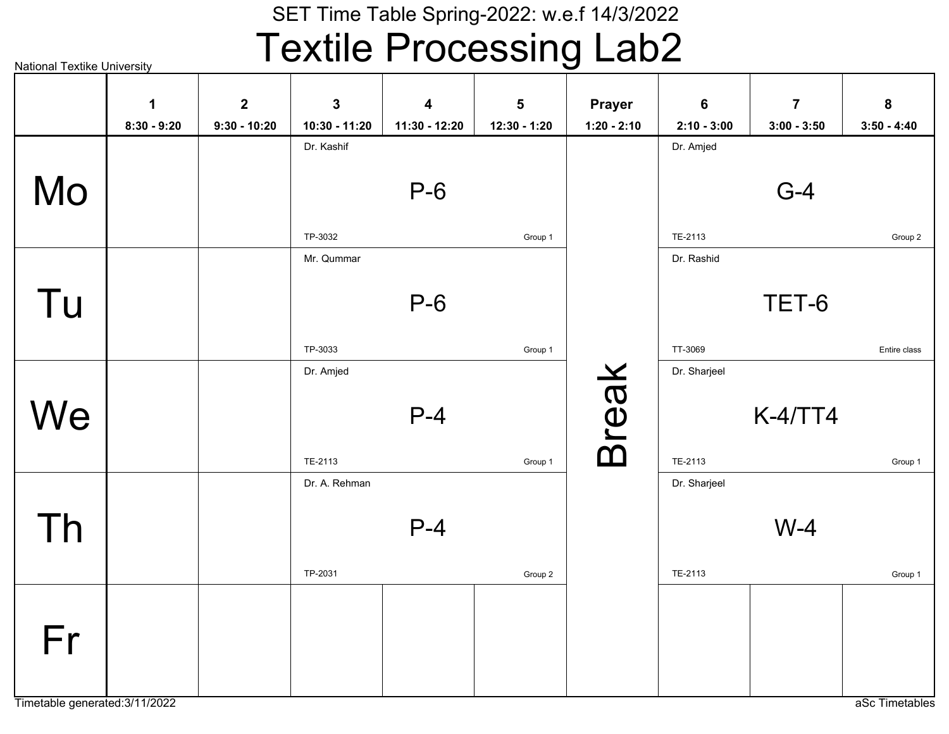### SET Time Table Spring-2022: w.e.f 14/3/2022Textile Processing Lab2

|    | 1             | $\overline{2}$ | $\mathbf{3}$  | $\overline{\mathbf{4}}$ | 5            | <b>Prayer</b> | $6\phantom{1}6$ | $\overline{7}$ | 8             |
|----|---------------|----------------|---------------|-------------------------|--------------|---------------|-----------------|----------------|---------------|
|    | $8:30 - 9:20$ | $9:30 - 10:20$ | 10:30 - 11:20 | 11:30 - 12:20           | 12:30 - 1:20 | $1:20 - 2:10$ | $2:10 - 3:00$   | $3:00 - 3:50$  | $3:50 - 4:40$ |
|    |               |                | Dr. Kashif    |                         |              |               | Dr. Amjed       |                |               |
| Mo |               |                |               | $P-6$                   |              |               |                 | $G-4$          |               |
|    |               |                | TP-3032       |                         | Group 1      |               | TE-2113         |                | Group 2       |
|    |               |                | Mr. Qummar    |                         |              |               | Dr. Rashid      |                |               |
| Tu |               |                |               | $P-6$                   |              |               |                 | TET-6          |               |
|    |               |                | TP-3033       |                         | Group 1      |               | TT-3069         |                | Entire class  |
|    |               |                | Dr. Amjed     |                         |              |               | Dr. Sharjeel    |                |               |
| We |               |                | TE-2113       | $P-4$                   | Group 1      | <b>Break</b>  | TE-2113         | $K-4/TT4$      | Group 1       |
|    |               |                | Dr. A. Rehman |                         |              |               | Dr. Sharjeel    |                |               |
| Th |               |                |               | $P-4$                   |              |               |                 | $W-4$          |               |
|    |               |                | TP-2031       |                         | Group 2      |               | TE-2113         |                | Group 1       |
| Fr |               |                |               |                         |              |               |                 |                |               |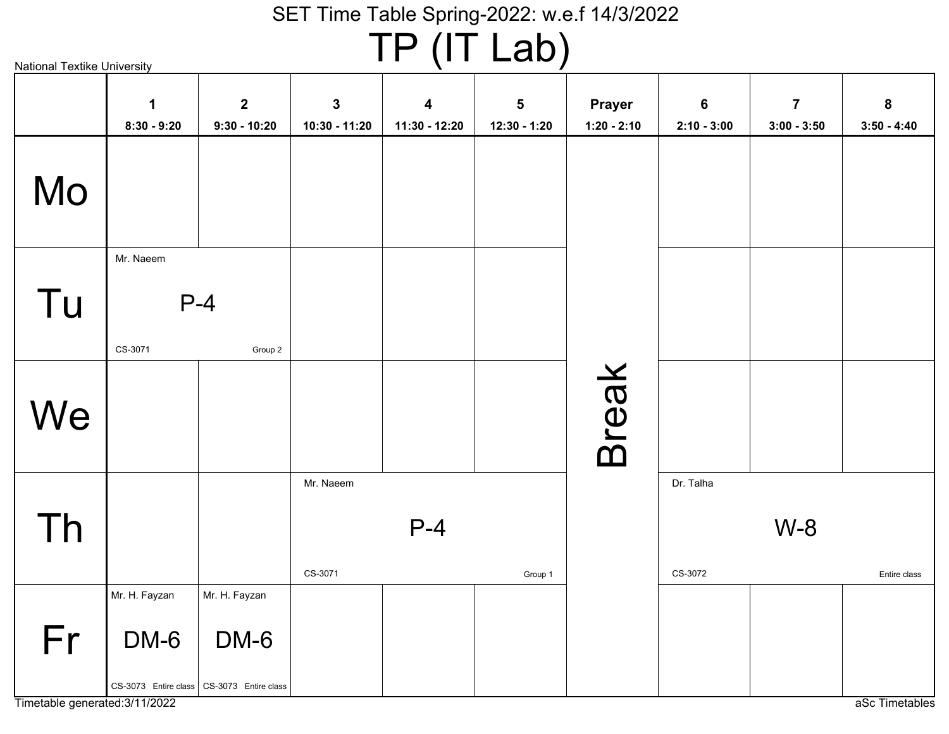TP (IT Lab)

|    | $\mathbf 1$   | $\mathbf{2}$                              | $\mathbf{3}$  | 4             | $5\phantom{a}$ | <b>Prayer</b> | $\bf 6$       | $\overline{7}$ | $\boldsymbol{8}$ |
|----|---------------|-------------------------------------------|---------------|---------------|----------------|---------------|---------------|----------------|------------------|
|    | $8:30 - 9:20$ | $9:30 - 10:20$                            | 10:30 - 11:20 | 11:30 - 12:20 | 12:30 - 1:20   | $1:20 - 2:10$ | $2:10 - 3:00$ | $3:00 - 3:50$  | $3:50 - 4:40$    |
| Mo |               |                                           |               |               |                |               |               |                |                  |
|    | Mr. Naeem     |                                           |               |               |                |               |               |                |                  |
| Tu |               | $P-4$                                     |               |               |                |               |               |                |                  |
|    | CS-3071       | Group 2                                   |               |               |                |               |               |                |                  |
| We |               |                                           |               |               |                | <b>Break</b>  |               |                |                  |
|    |               |                                           | Mr. Naeem     |               |                |               | Dr. Talha     |                |                  |
| Th |               |                                           |               | $P-4$         |                |               |               | $W-8$          |                  |
|    |               |                                           | CS-3071       |               | Group 1        |               | CS-3072       |                | Entire class     |
|    | Mr. H. Fayzan | Mr. H. Fayzan                             |               |               |                |               |               |                |                  |
| Fr | DM-6          | DM-6                                      |               |               |                |               |               |                |                  |
|    |               | CS-3073 Entire class CS-3073 Entire class |               |               |                |               |               |                |                  |

Timetable generated:3/11/2022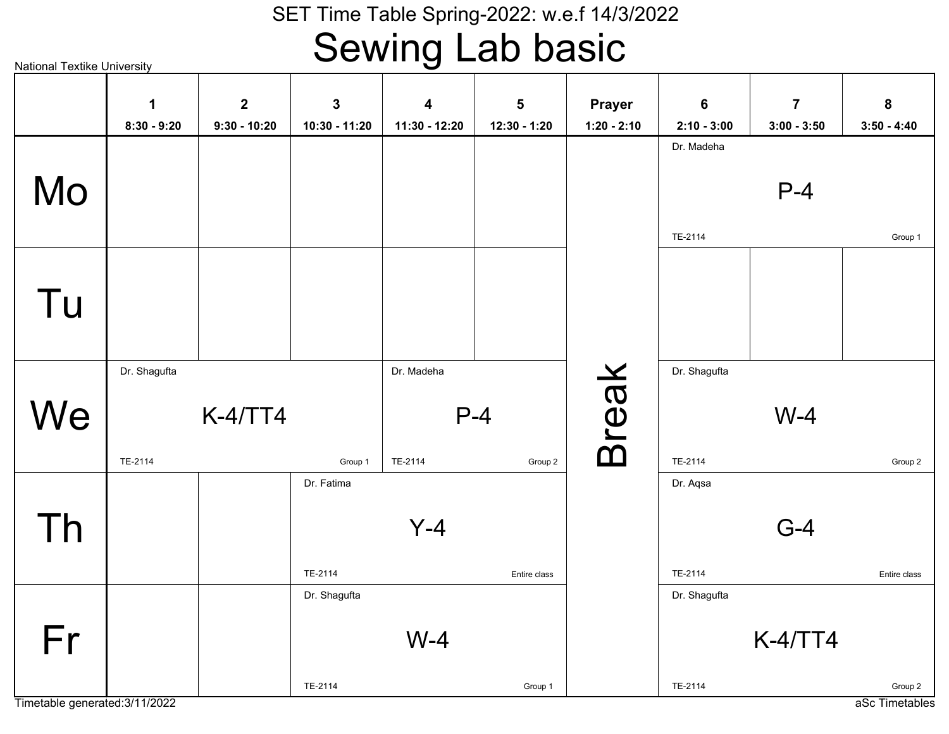# Sewing Lab basic

National Textike University

|    | $\mathbf 1$<br>$8:30 - 9:20$ | $\overline{2}$<br>$9:30 - 10:20$ | $\mathbf{3}$<br>10:30 - 11:20 | $\overline{\mathbf{4}}$<br>11:30 - 12:20 | $5\phantom{a}$<br>12:30 - 1:20 | Prayer<br>$1:20 - 2:10$ | $6\phantom{a}$<br>$2:10 - 3:00$ | $\overline{7}$<br>$3:00 - 3:50$ | 8<br>$3:50 - 4:40$ |
|----|------------------------------|----------------------------------|-------------------------------|------------------------------------------|--------------------------------|-------------------------|---------------------------------|---------------------------------|--------------------|
| Mo |                              |                                  |                               |                                          |                                |                         | Dr. Madeha                      | $P-4$                           |                    |
|    |                              |                                  |                               |                                          |                                |                         | TE-2114                         |                                 | Group 1            |
| Tu |                              |                                  |                               |                                          |                                |                         |                                 |                                 |                    |
|    | Dr. Shagufta                 |                                  |                               | Dr. Madeha                               |                                |                         | Dr. Shagufta                    |                                 |                    |
| We | $K-4/TT4$                    |                                  |                               |                                          | $P-4$                          | <b>Break</b>            |                                 | $W-4$                           |                    |
|    | TE-2114                      |                                  | Group 1<br>Dr. Fatima         | TE-2114                                  | Group 2                        |                         | TE-2114<br>Dr. Aqsa             |                                 | Group 2            |
| Th |                              |                                  |                               | $Y-4$                                    |                                |                         |                                 | $G-4$                           |                    |
|    |                              |                                  | TE-2114                       |                                          | Entire class                   |                         | TE-2114                         |                                 | Entire class       |
|    |                              |                                  | Dr. Shagufta                  |                                          |                                |                         | Dr. Shagufta                    |                                 |                    |
| Fr |                              |                                  |                               | $W-4$                                    |                                |                         |                                 | <b>K-4/TT4</b>                  |                    |
|    |                              |                                  | TE-2114                       |                                          | Group 1                        |                         | TE-2114                         |                                 | Group 2            |

Timetable generated:3/11/2022

aSc Timetables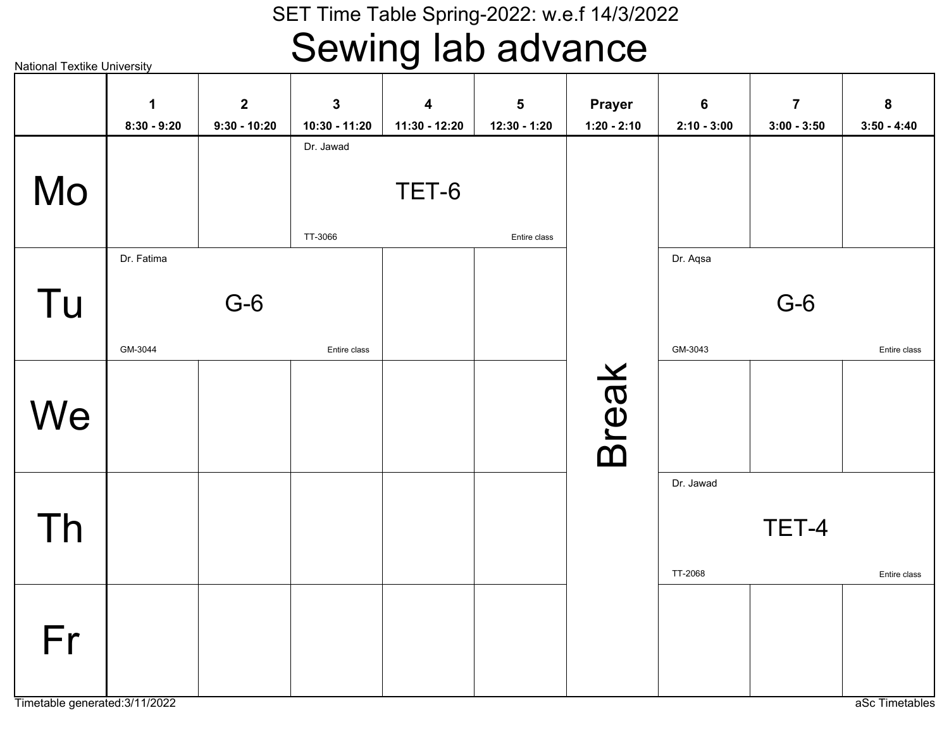### Sewing lab advance

National Textike UniversityTET-6TT-3066Dr. JawadEntire classG-6GM-3044Dr. FatimaEntire classG-6GM-3043Dr. AqsaEntire classTET-4TT-2068Dr. JawadEntire classBreak MoTu**We** ThFr**18:30 - 9:2029:30 - 10:20310:30 - 11:20411:30 - 12:20512:30 - 1:20Prayer1:20 - 2:1062:10 - 3:0073:00 - 3:5083:50 - 4:40**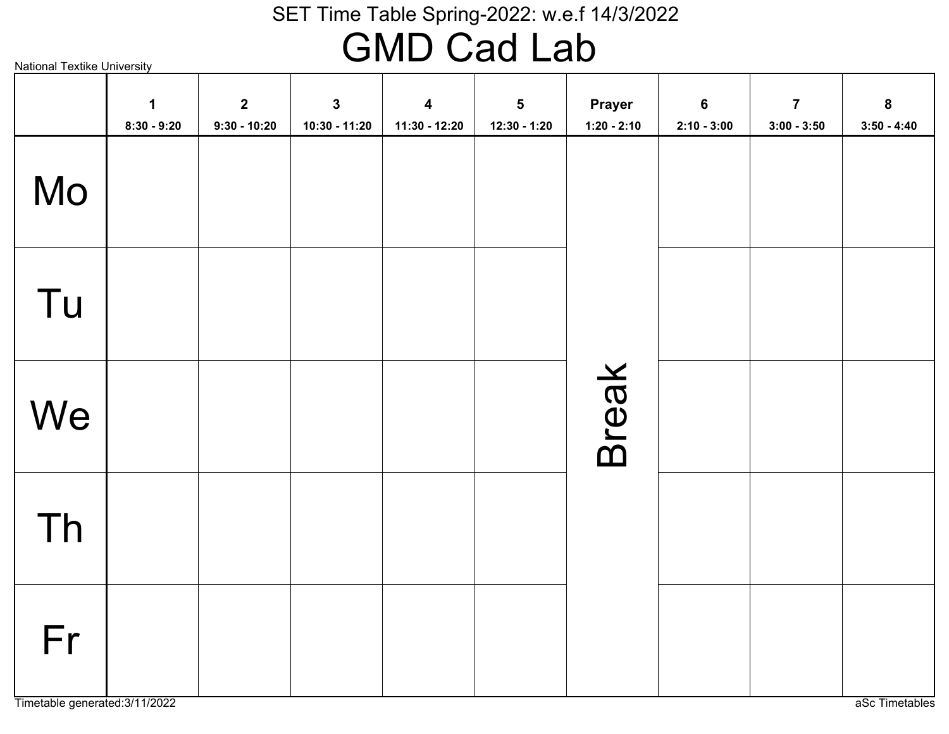# GMD Cad Lab

National Textike University

|    | $\mathbf 1$<br>$8:30 - 9:20$ | $\mathbf{2}$<br>$9:30 - 10:20$ | $\mathbf{3}$<br>10:30 - 11:20 | $\boldsymbol{4}$<br>11:30 - 12:20 | $\sqrt{5}$<br>$12:30 - 1:20$ | Prayer<br>$1:20 - 2:10$ | $6\phantom{a}$<br>$2:10 - 3:00$ | $\overline{7}$<br>$3:00 - 3:50$ | $\bf 8$<br>$3:50 - 4:40$ |
|----|------------------------------|--------------------------------|-------------------------------|-----------------------------------|------------------------------|-------------------------|---------------------------------|---------------------------------|--------------------------|
| Mo |                              |                                |                               |                                   |                              |                         |                                 |                                 |                          |
| Tu |                              |                                |                               |                                   |                              |                         |                                 |                                 |                          |
| We |                              |                                |                               |                                   |                              | Break                   |                                 |                                 |                          |
| Th |                              |                                |                               |                                   |                              |                         |                                 |                                 |                          |
| Fr |                              |                                |                               |                                   |                              |                         |                                 |                                 |                          |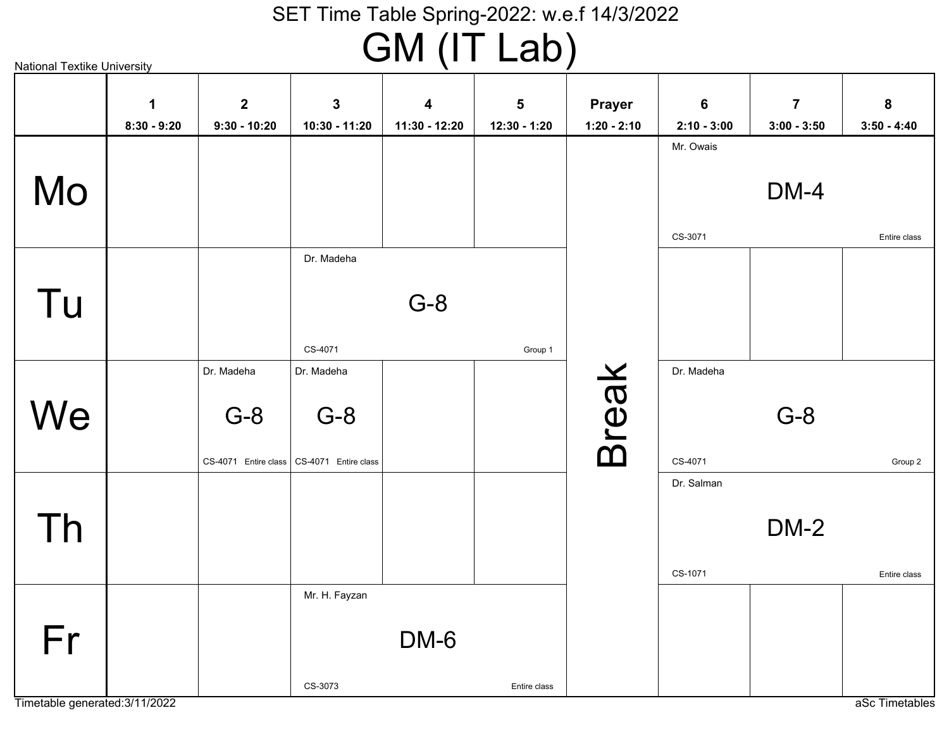GM (IT Lab)

|    | $\mathbf 1$   | $\overline{2}$ | $\mathbf{3}$                                | 4             | $5\phantom{1}$ | <b>Prayer</b> | $6\phantom{1}$ | $\overline{7}$ | 8             |
|----|---------------|----------------|---------------------------------------------|---------------|----------------|---------------|----------------|----------------|---------------|
|    | $8:30 - 9:20$ | $9:30 - 10:20$ | 10:30 - 11:20                               | 11:30 - 12:20 | 12:30 - 1:20   | $1:20 - 2:10$ | $2:10 - 3:00$  | $3:00 - 3:50$  | $3:50 - 4:40$ |
|    |               |                |                                             |               |                |               | Mr. Owais      |                |               |
|    |               |                |                                             |               |                |               |                |                |               |
| Mo |               |                |                                             |               |                |               |                | DM-4           |               |
|    |               |                |                                             |               |                |               |                |                |               |
|    |               |                |                                             |               |                |               | CS-3071        |                | Entire class  |
|    |               |                | Dr. Madeha                                  |               |                |               |                |                |               |
|    |               |                |                                             |               |                |               |                |                |               |
| Tu |               |                |                                             | $G-8$         |                |               |                |                |               |
|    |               |                |                                             |               |                |               |                |                |               |
|    |               |                | CS-4071                                     |               | Group 1        |               |                |                |               |
|    |               | Dr. Madeha     | Dr. Madeha                                  |               |                |               | Dr. Madeha     |                |               |
| We |               | $G-8$          | $G-8$                                       |               |                |               |                | $G-8$          |               |
|    |               |                |                                             |               |                |               |                |                |               |
|    |               |                | CS-4071 Entire class   CS-4071 Entire class |               |                | <b>Break</b>  | CS-4071        |                | Group 2       |
|    |               |                |                                             |               |                |               | Dr. Salman     |                |               |
|    |               |                |                                             |               |                |               |                |                |               |
| Th |               |                |                                             |               |                |               |                | <b>DM-2</b>    |               |
|    |               |                |                                             |               |                |               |                |                |               |
|    |               |                |                                             |               |                |               | CS-1071        |                | Entire class  |
|    |               |                | Mr. H. Fayzan                               |               |                |               |                |                |               |
|    |               |                |                                             |               |                |               |                |                |               |
| Fr |               |                |                                             | DM-6          |                |               |                |                |               |
|    |               |                |                                             |               |                |               |                |                |               |
|    |               |                | CS-3073                                     |               | Entire class   |               |                |                |               |

Timetable generated:3/11/2022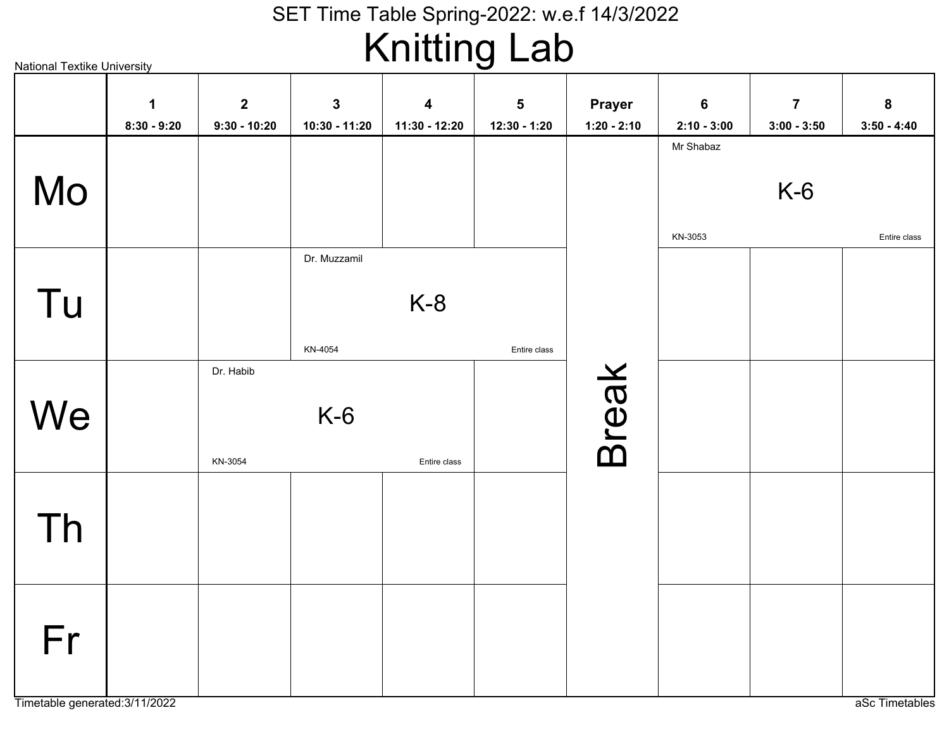# Knitting Lab

| <b>National Textike University</b> |               |                |               | $\cdots$                |              |               |                            |                |               |
|------------------------------------|---------------|----------------|---------------|-------------------------|--------------|---------------|----------------------------|----------------|---------------|
|                                    | $\mathbf 1$   | $\mathbf{2}$   | $\mathbf{3}$  | $\overline{\mathbf{4}}$ | $\sqrt{5}$   | <b>Prayer</b> | $6\phantom{1}6$            | $\overline{7}$ | ${\bf 8}$     |
|                                    | $8:30 - 9:20$ | $9:30 - 10:20$ | 10:30 - 11:20 | 11:30 - 12:20           | 12:30 - 1:20 | $1:20 - 2:10$ | $2:10 - 3:00$<br>Mr Shabaz | $3:00 - 3:50$  | $3:50 - 4:40$ |
| Mo                                 |               |                |               |                         |              |               |                            | $K-6$          |               |
|                                    |               |                |               |                         |              |               | KN-3053                    |                | Entire class  |
|                                    |               |                | Dr. Muzzamil  |                         |              |               |                            |                |               |
| Tu                                 |               |                |               | $K-8$                   |              |               |                            |                |               |
|                                    |               |                | KN-4054       |                         | Entire class |               |                            |                |               |
|                                    |               | Dr. Habib      |               |                         |              | <b>Break</b>  |                            |                |               |
| We                                 |               |                | $K-6$         |                         |              |               |                            |                |               |
|                                    |               | KN-3054        |               | Entire class            |              |               |                            |                |               |
|                                    |               |                |               |                         |              |               |                            |                |               |
| Th                                 |               |                |               |                         |              |               |                            |                |               |
|                                    |               |                |               |                         |              |               |                            |                |               |
|                                    |               |                |               |                         |              |               |                            |                |               |
| Fr                                 |               |                |               |                         |              |               |                            |                |               |
|                                    |               |                |               |                         |              |               |                            |                |               |
|                                    |               |                |               |                         |              |               |                            |                |               |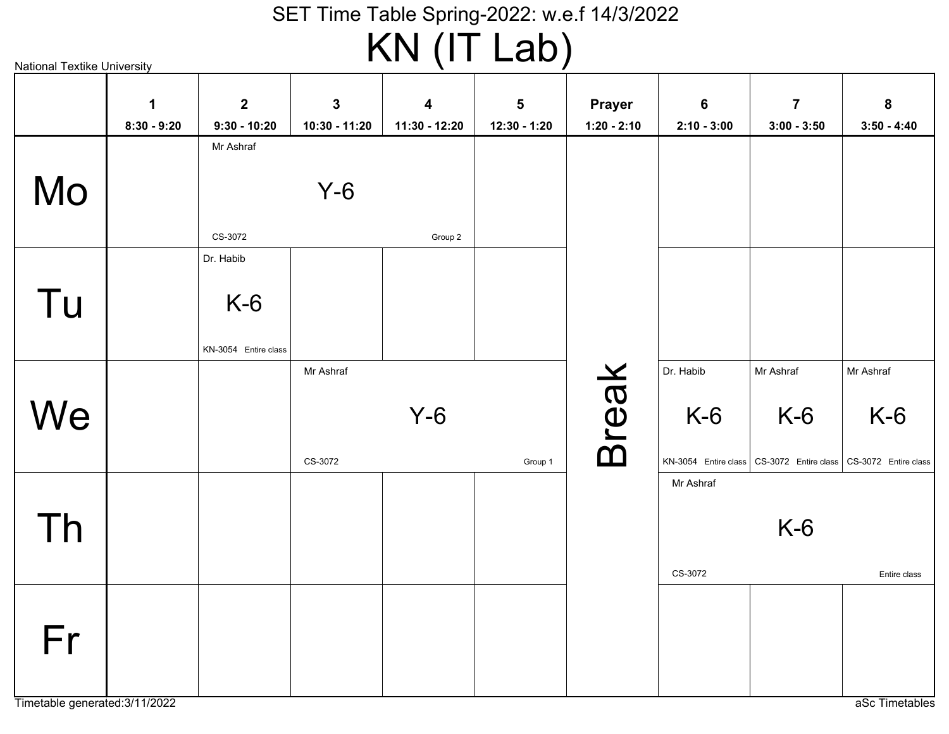KN (IT Lab)

| <b>National Textike University</b> |                    |                                  |                              |                    | $\cdots$ , $\cdots$        |                                |                    |                                                                    |                    |
|------------------------------------|--------------------|----------------------------------|------------------------------|--------------------|----------------------------|--------------------------------|--------------------|--------------------------------------------------------------------|--------------------|
|                                    | 1<br>$8:30 - 9:20$ | $\overline{2}$<br>$9:30 - 10:20$ | $\mathbf 3$<br>10:30 - 11:20 | 4<br>11:30 - 12:20 | $\sqrt{5}$<br>12:30 - 1:20 | <b>Prayer</b><br>$1:20 - 2:10$ | 6<br>$2:10 - 3:00$ | $\overline{7}$<br>$3:00 - 3:50$                                    | 8<br>$3:50 - 4:40$ |
| Mo                                 |                    | Mr Ashraf                        | $Y-6$                        |                    |                            |                                |                    |                                                                    |                    |
|                                    |                    | CS-3072<br>Dr. Habib             |                              | Group 2            |                            |                                |                    |                                                                    |                    |
| Tu                                 |                    | $K-6$<br>KN-3054 Entire class    |                              |                    |                            |                                |                    |                                                                    |                    |
|                                    |                    |                                  | Mr Ashraf                    |                    |                            |                                | Dr. Habib          | Mr Ashraf                                                          | Mr Ashraf          |
| We                                 |                    |                                  |                              | $Y-6$              |                            | <b>Break</b>                   | $K-6$              | $K-6$                                                              | $K-6$              |
|                                    |                    |                                  | CS-3072                      |                    | Group 1                    |                                |                    | KN-3054 Entire class   CS-3072 Entire class   CS-3072 Entire class |                    |
| Th                                 |                    |                                  |                              |                    |                            |                                | Mr Ashraf          | $K-6$                                                              |                    |
|                                    |                    |                                  |                              |                    |                            |                                | CS-3072            |                                                                    | Entire class       |
| Fr                                 |                    |                                  |                              |                    |                            |                                |                    |                                                                    |                    |
| Timetable generated: 3/11/2022     |                    |                                  |                              |                    |                            |                                |                    |                                                                    | aSc Timetables     |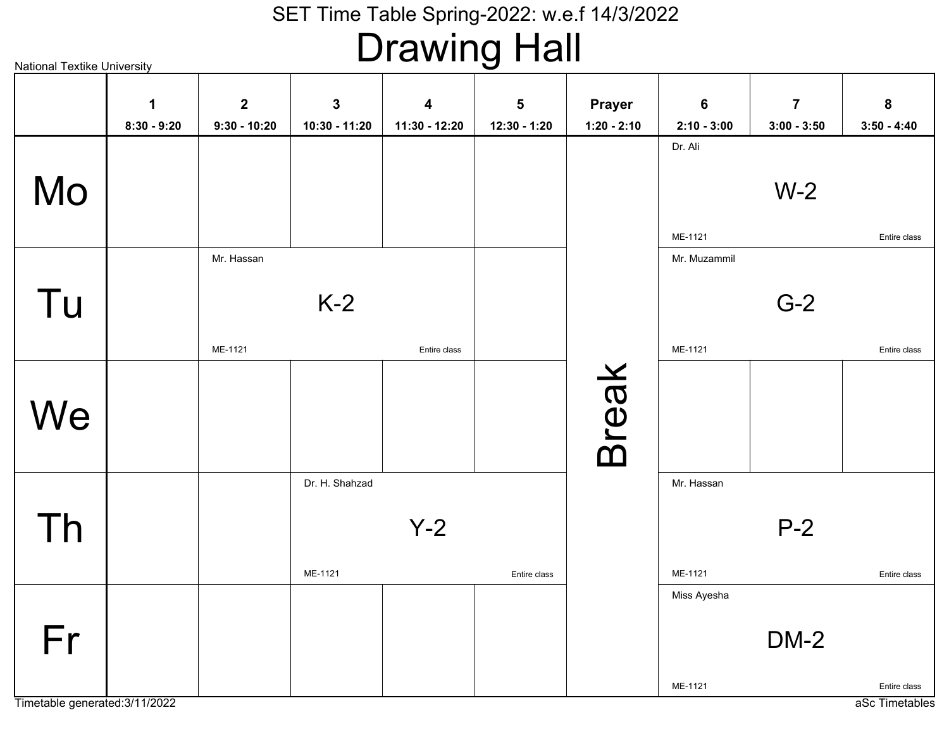# Drawing Hall

|    | $\mathbf 1$<br>$8:30 - 9:20$ | $\mathbf{2}$<br>$9:30 - 10:20$ | $\mathbf{3}$<br>10:30 - 11:20 | $\overline{\mathbf{4}}$<br>11:30 - 12:20 | $\overline{\mathbf{5}}$<br>12:30 - 1:20 | <b>Prayer</b><br>$1:20 - 2:10$ | $\bf 6$<br>$2:10 - 3:00$ | $\overline{7}$<br>$3:00 - 3:50$ | 8<br>$3:50 - 4:40$ |
|----|------------------------------|--------------------------------|-------------------------------|------------------------------------------|-----------------------------------------|--------------------------------|--------------------------|---------------------------------|--------------------|
| Mo |                              |                                |                               |                                          |                                         |                                | Dr. Ali<br>ME-1121       | $W-2$                           | Entire class       |
| Tu |                              | Mr. Hassan<br>ME-1121          | $K-2$                         | Entire class                             |                                         |                                | Mr. Muzammil<br>ME-1121  | $G-2$                           | Entire class       |
| We |                              |                                |                               |                                          |                                         | <b>Break</b>                   |                          |                                 |                    |
| Th |                              |                                | Dr. H. Shahzad<br>ME-1121     | $Y-2$                                    | Entire class                            |                                | Mr. Hassan<br>ME-1121    | $P-2$                           | Entire class       |
| Fr |                              |                                |                               |                                          |                                         |                                | Miss Ayesha<br>ME-1121   | $DM-2$                          | Entire class       |

Timetable generated:3/11/2022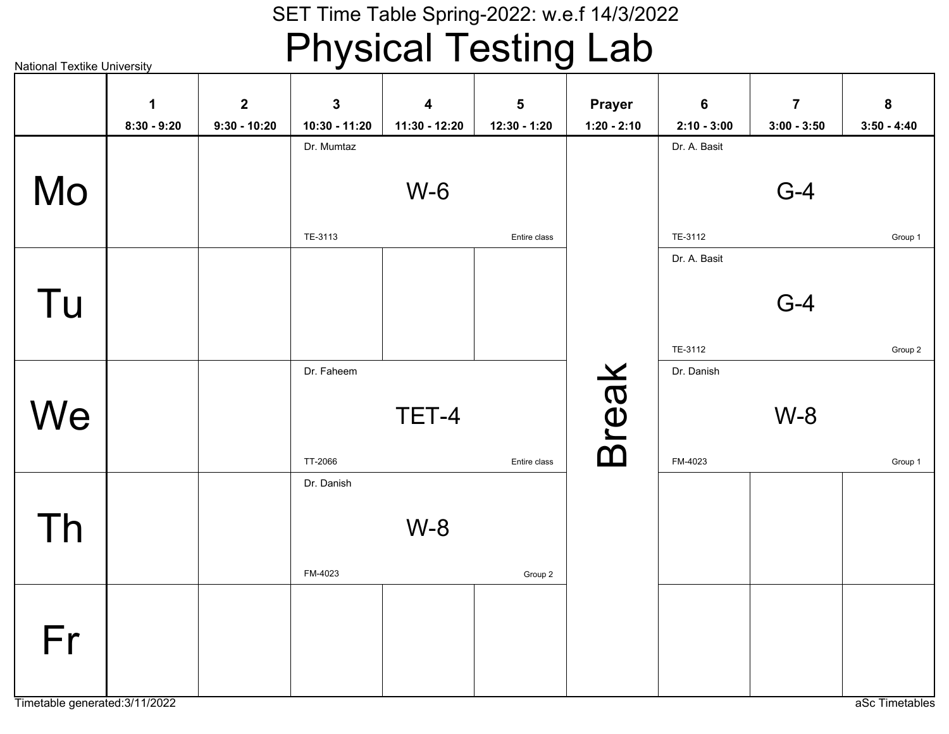### SET Time Table Spring-2022: w.e.f 14/3/2022Physical Testing Lab

|    | $\mathbf 1$   | $\mathbf{2}$   | $\overline{\mathbf{3}}$ | $\overline{\mathbf{4}}$ | 5            | <b>Prayer</b> | $6\phantom{a}$ | $\overline{7}$ | ${\bf 8}$     |
|----|---------------|----------------|-------------------------|-------------------------|--------------|---------------|----------------|----------------|---------------|
|    | $8:30 - 9:20$ | $9:30 - 10:20$ | 10:30 - 11:20           | 11:30 - 12:20           | 12:30 - 1:20 | $1:20 - 2:10$ | $2:10 - 3:00$  | $3:00 - 3:50$  | $3:50 - 4:40$ |
|    |               |                | Dr. Mumtaz              |                         |              |               | Dr. A. Basit   |                |               |
| Mo |               |                |                         | $W-6$                   |              |               |                | $G-4$          |               |
|    |               |                | TE-3113                 |                         | Entire class |               | TE-3112        |                | Group 1       |
|    |               |                |                         |                         |              |               | Dr. A. Basit   |                |               |
| Tu |               |                |                         |                         |              |               |                | $G-4$          |               |
|    |               |                |                         |                         |              |               | TE-3112        |                | Group 2       |
|    |               |                | Dr. Faheem              |                         |              |               | Dr. Danish     |                |               |
| We |               |                |                         | TET-4                   |              | <b>Break</b>  |                | $W-8$          |               |
|    |               |                | TT-2066                 |                         | Entire class |               | FM-4023        |                | Group 1       |
|    |               |                | Dr. Danish              |                         |              |               |                |                |               |
| Th |               |                |                         | $W-8$                   |              |               |                |                |               |
|    |               |                | FM-4023                 |                         | Group 2      |               |                |                |               |
| Fr |               |                |                         |                         |              |               |                |                |               |
|    |               |                |                         |                         |              |               |                |                |               |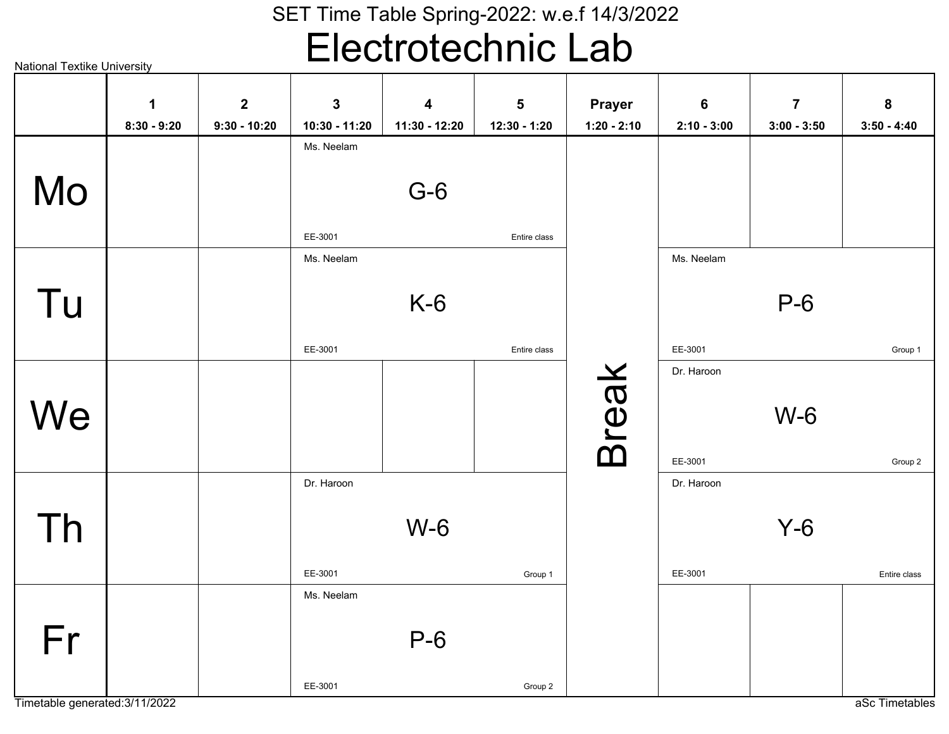# Electrotechnic Lab

National Textike University

|    | $\mathbf 1$   | $\boldsymbol{2}$ | $\mathbf{3}$  | $\boldsymbol{4}$ | 5            | <b>Prayer</b> | $6\phantom{1}$ | $\overline{7}$ | 8             |
|----|---------------|------------------|---------------|------------------|--------------|---------------|----------------|----------------|---------------|
|    | $8:30 - 9:20$ | $9:30 - 10:20$   | 10:30 - 11:20 | 11:30 - 12:20    | 12:30 - 1:20 | $1:20 - 2:10$ | $2:10 - 3:00$  | $3:00 - 3:50$  | $3:50 - 4:40$ |
|    |               |                  | Ms. Neelam    |                  |              |               |                |                |               |
|    |               |                  |               |                  |              |               |                |                |               |
| Mo |               |                  |               | $G-6$            |              |               |                |                |               |
|    |               |                  |               |                  |              |               |                |                |               |
|    |               |                  | EE-3001       |                  | Entire class |               |                |                |               |
|    |               |                  | Ms. Neelam    |                  |              |               | Ms. Neelam     |                |               |
|    |               |                  |               |                  |              |               |                |                |               |
| Tu |               |                  |               | $K-6$            |              |               |                | $P-6$          |               |
|    |               |                  |               |                  |              |               |                |                |               |
|    |               |                  | EE-3001       |                  | Entire class |               | EE-3001        |                | Group 1       |
|    |               |                  |               |                  |              |               | Dr. Haroon     |                |               |
|    |               |                  |               |                  |              |               |                |                |               |
| We |               |                  |               |                  |              |               |                | $W-6$          |               |
|    |               |                  |               |                  |              |               |                |                |               |
|    |               |                  |               |                  |              | <b>Break</b>  | EE-3001        |                | Group 2       |
|    |               |                  | Dr. Haroon    |                  |              |               | Dr. Haroon     |                |               |
|    |               |                  |               |                  |              |               |                |                |               |
| Th |               |                  |               | $W-6$            |              |               |                | $Y-6$          |               |
|    |               |                  |               |                  |              |               |                |                |               |
|    |               |                  | EE-3001       |                  | Group 1      |               | EE-3001        |                | Entire class  |
|    |               |                  | Ms. Neelam    |                  |              |               |                |                |               |
|    |               |                  |               |                  |              |               |                |                |               |
| Fr |               |                  |               | $P-6$            |              |               |                |                |               |
|    |               |                  |               |                  |              |               |                |                |               |
|    |               |                  | EE-3001       |                  | Group 2      |               |                |                |               |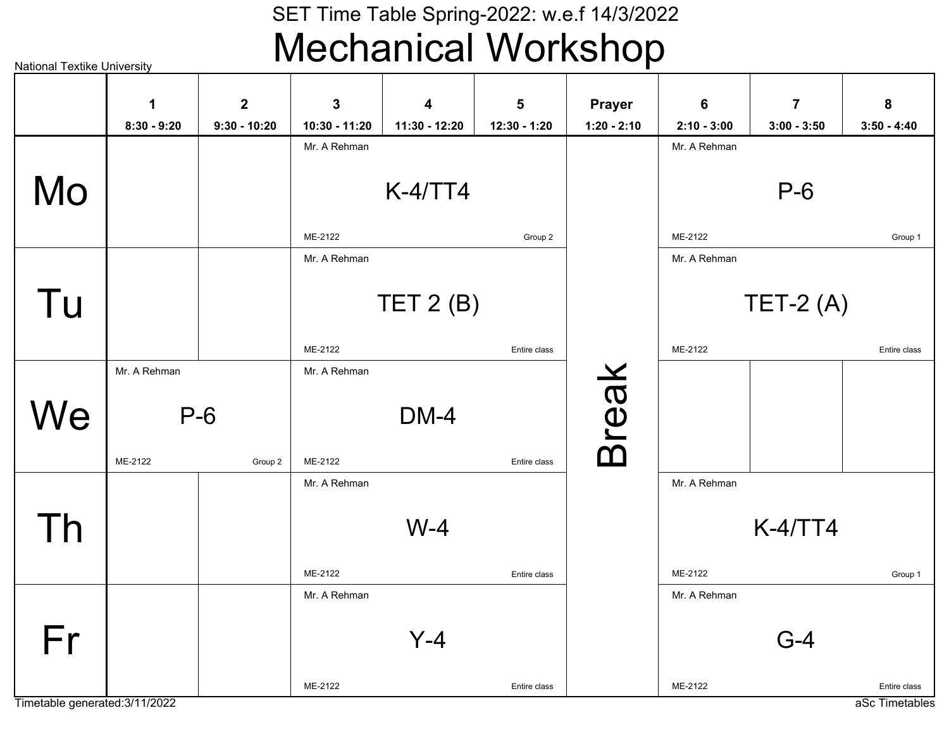### SET Time Table Spring-2022: w.e.f 14/3/2022Mechanical Workshop

National Textike University

|    | 1             | $\mathbf{2}$   | 3             | $\overline{\mathbf{4}}$ | 5            | <b>Prayer</b> | 6             | $\overline{7}$ | 8             |
|----|---------------|----------------|---------------|-------------------------|--------------|---------------|---------------|----------------|---------------|
|    | $8:30 - 9:20$ | $9:30 - 10:20$ | 10:30 - 11:20 | 11:30 - 12:20           | 12:30 - 1:20 | $1:20 - 2:10$ | $2:10 - 3:00$ | $3:00 - 3:50$  | $3:50 - 4:40$ |
|    |               |                | Mr. A Rehman  |                         |              |               | Mr. A Rehman  |                |               |
| Mo |               |                |               | $K-4/TT4$               |              |               |               | $P-6$          |               |
|    |               |                |               |                         |              |               |               |                |               |
|    |               |                | ME-2122       |                         | Group 2      |               | ME-2122       |                | Group 1       |
|    |               |                | Mr. A Rehman  |                         |              |               | Mr. A Rehman  |                |               |
|    |               |                |               |                         |              |               |               |                |               |
| Tu |               |                |               | TET $2(B)$              |              |               |               | $TET-2(A)$     |               |
|    |               |                | ME-2122       |                         | Entire class |               | ME-2122       |                | Entire class  |
|    | Mr. A Rehman  |                | Mr. A Rehman  |                         |              |               |               |                |               |
|    |               |                |               |                         |              |               |               |                |               |
| We | $P-6$         |                |               | <b>DM-4</b>             |              |               |               |                |               |
|    | ME-2122       | Group 2        | ME-2122       |                         | Entire class | <b>Break</b>  |               |                |               |
|    |               |                | Mr. A Rehman  |                         |              |               | Mr. A Rehman  |                |               |
|    |               |                |               |                         |              |               |               |                |               |
| Th |               |                |               | $W-4$                   |              |               |               | $K-4/TT4$      |               |
|    |               |                |               |                         |              |               |               |                |               |
|    |               |                | ME-2122       |                         | Entire class |               | ME-2122       |                | Group 1       |
|    |               |                | Mr. A Rehman  |                         |              |               | Mr. A Rehman  |                |               |
| Fr |               |                |               | $Y-4$                   |              |               |               | $G-4$          |               |
|    |               |                |               |                         |              |               |               |                |               |
|    |               |                | ME-2122       |                         | Entire class |               | ME-2122       |                | Entire class  |

Timetable generated:3/11/2022

aSc Timetables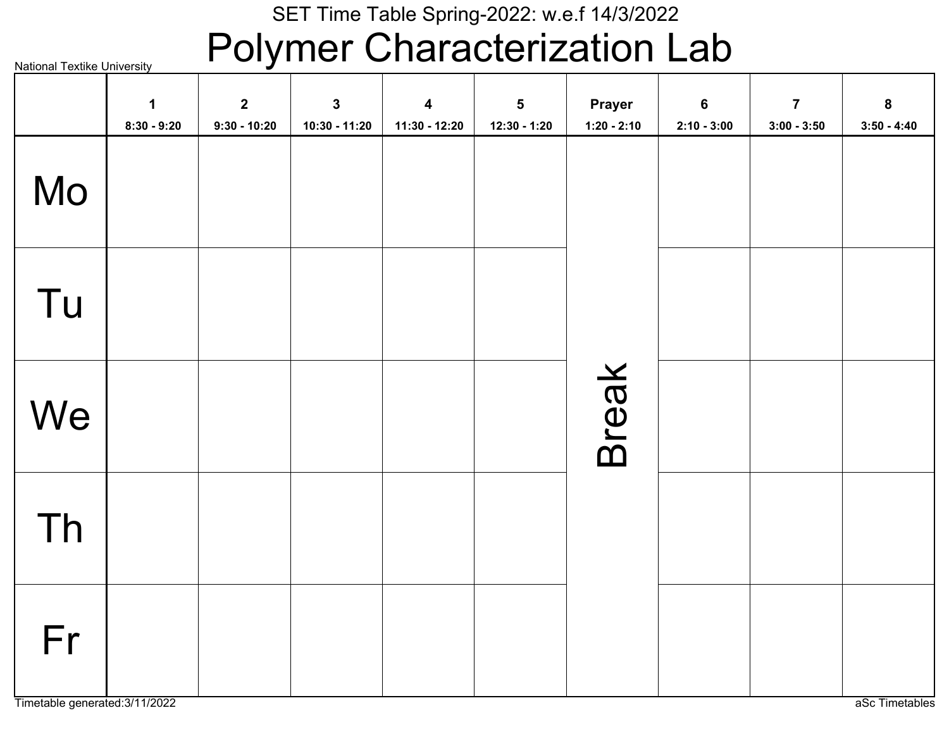### Polymer Characterization Lab

|    | $\mathbf 1$<br>$8:30 - 9:20$ | $\mathbf{2}$<br>$9:30 - 10:20$ | $\mathbf{3}$<br>10:30 - 11:20 | $\overline{\mathbf{4}}$<br>11:30 - 12:20 | $\overline{\mathbf{5}}$<br>12:30 - 1:20 | Prayer<br>$1:20 - 2:10$ | $\boldsymbol{6}$<br>$2:10 - 3:00$ | $\overline{7}$<br>$3:00 - 3:50$ | $\bf8$<br>$3:50 - 4:40$ |
|----|------------------------------|--------------------------------|-------------------------------|------------------------------------------|-----------------------------------------|-------------------------|-----------------------------------|---------------------------------|-------------------------|
| Mo |                              |                                |                               |                                          |                                         |                         |                                   |                                 |                         |
| Tu |                              |                                |                               |                                          |                                         |                         |                                   |                                 |                         |
| We |                              |                                |                               |                                          |                                         | Break                   |                                   |                                 |                         |
| Th |                              |                                |                               |                                          |                                         |                         |                                   |                                 |                         |
| Fr |                              |                                |                               |                                          |                                         |                         |                                   |                                 |                         |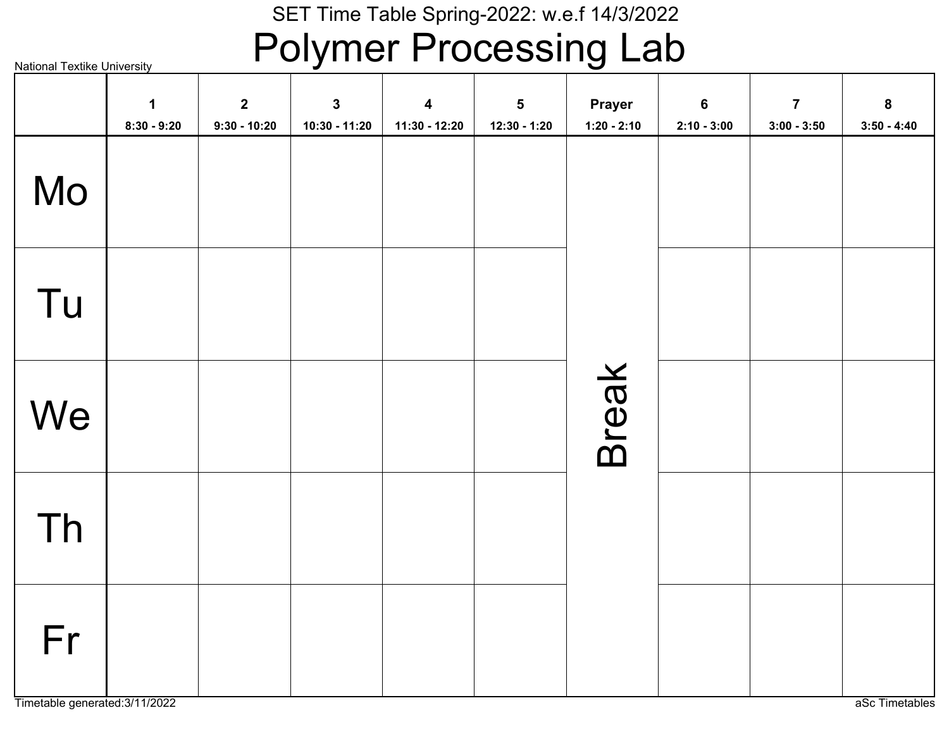### Polymer Processing Lab

|    | $\mathbf 1$<br>$8:30 - 9:20$ | $\mathbf{2}$<br>$9:30 - 10:20$ | $\mathbf{3}$<br>$10:30 - 11:20$ | $\overline{\mathbf{4}}$<br>11:30 - 12:20 | $\overline{\mathbf{5}}$<br>$12:30 - 1:20$ | Prayer<br>$1:20 - 2:10$ | $6\phantom{a}$<br>$2:10 - 3:00$ | $\overline{7}$<br>$3:00 - 3:50$ | 8<br>$3:50 - 4:40$ |
|----|------------------------------|--------------------------------|---------------------------------|------------------------------------------|-------------------------------------------|-------------------------|---------------------------------|---------------------------------|--------------------|
| Mo |                              |                                |                                 |                                          |                                           |                         |                                 |                                 |                    |
| Tu |                              |                                |                                 |                                          |                                           |                         |                                 |                                 |                    |
| We |                              |                                |                                 |                                          |                                           | Break                   |                                 |                                 |                    |
| Th |                              |                                |                                 |                                          |                                           |                         |                                 |                                 |                    |
| Fr |                              |                                |                                 |                                          |                                           |                         |                                 |                                 |                    |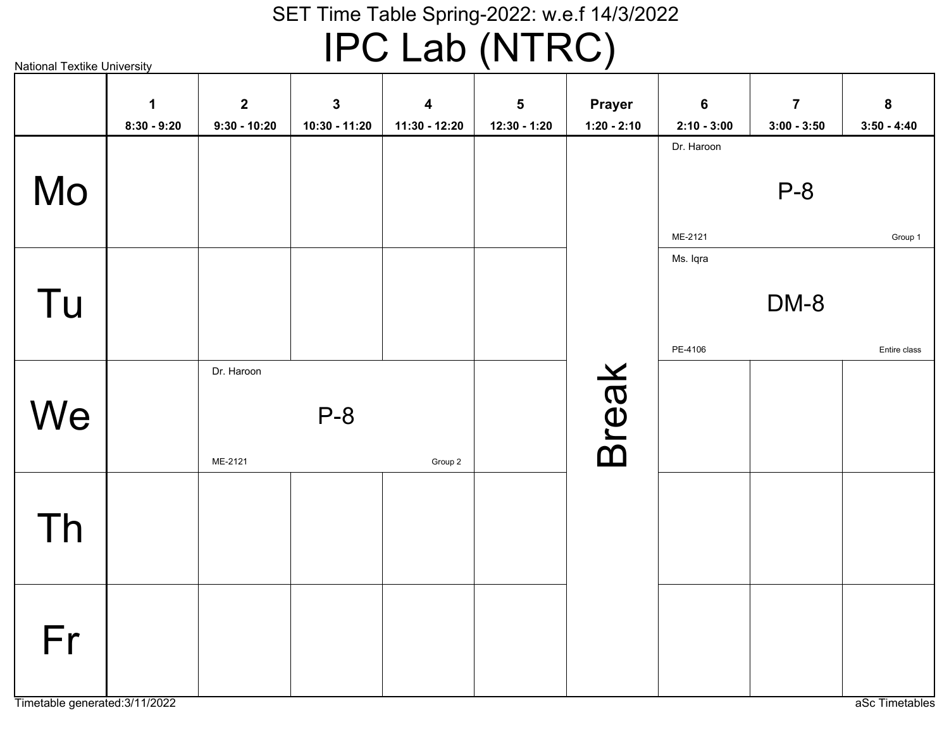# IPC Lab (NTRC)

|    | $\mathbf 1$<br>$8:30 - 9:20$ | $\mathbf{2}$<br>$9:30 - 10:20$ | $\mathbf 3$<br>10:30 - 11:20 | $\overline{\mathbf{4}}$<br>11:30 - 12:20 | $5\phantom{a}$<br>12:30 - 1:20 | <b>Prayer</b><br>$1:20 - 2:10$ | $6\phantom{a}$<br>$2:10 - 3:00$ | $\overline{7}$<br>$3:00 - 3:50$ | 8<br>$3:50 - 4:40$      |
|----|------------------------------|--------------------------------|------------------------------|------------------------------------------|--------------------------------|--------------------------------|---------------------------------|---------------------------------|-------------------------|
| Mo |                              |                                |                              |                                          |                                |                                | Dr. Haroon                      | $P-8$                           |                         |
| Tu |                              |                                |                              |                                          |                                |                                | ME-2121<br>Ms. Iqra<br>PE-4106  | DM-8                            | Group 1<br>Entire class |
| We |                              | Dr. Haroon<br>ME-2121          | $P-8$                        | Group 2                                  |                                | <b>Break</b>                   |                                 |                                 |                         |
| Th |                              |                                |                              |                                          |                                |                                |                                 |                                 |                         |
| Fr |                              |                                |                              |                                          |                                |                                |                                 |                                 |                         |

Timetable generated:3/11/2022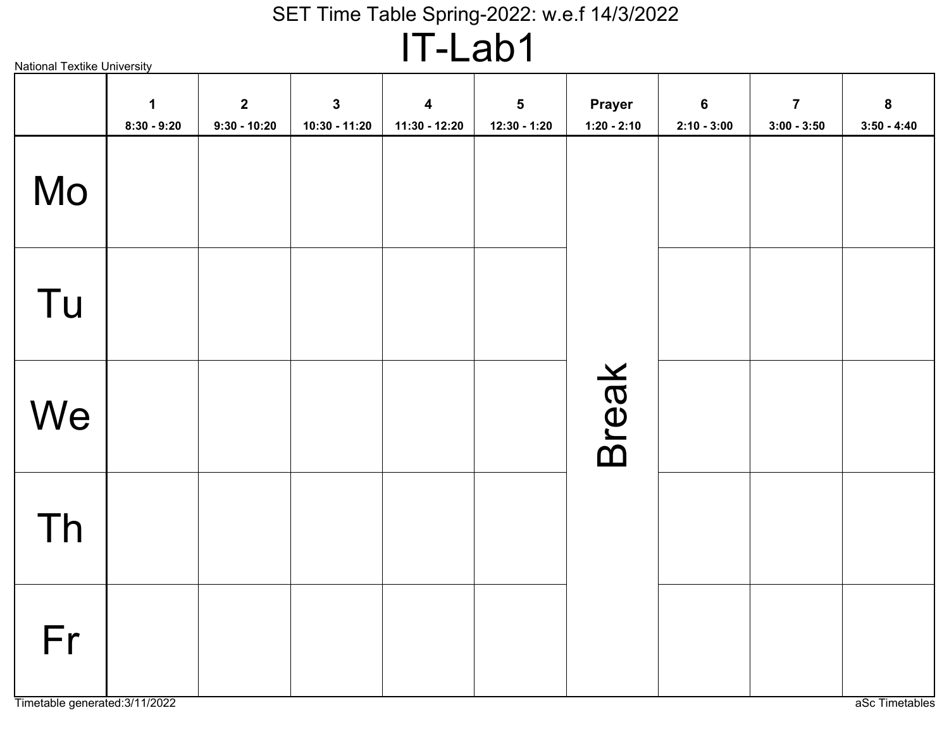# IT-Lab1

| <b>National Textike University</b> |                              |                                  |                                 |                                            |                              |                         |                                 |                                 |                                   |
|------------------------------------|------------------------------|----------------------------------|---------------------------------|--------------------------------------------|------------------------------|-------------------------|---------------------------------|---------------------------------|-----------------------------------|
|                                    | $\mathbf 1$<br>$8:30 - 9:20$ | $\overline{2}$<br>$9:30 - 10:20$ | $\mathbf{3}$<br>$10:30 - 11:20$ | $\overline{\mathbf{4}}$<br>$11:30 - 12:20$ | $\sqrt{5}$<br>$12:30 - 1:20$ | Prayer<br>$1:20 - 2:10$ | $6\phantom{1}$<br>$2:10 - 3:00$ | $\overline{7}$<br>$3:00 - 3:50$ | $\boldsymbol{8}$<br>$3:50 - 4:40$ |
| Mo                                 |                              |                                  |                                 |                                            |                              |                         |                                 |                                 |                                   |
| Tu                                 |                              |                                  |                                 |                                            |                              |                         |                                 |                                 |                                   |
| We                                 |                              |                                  |                                 |                                            |                              | <b>Break</b>            |                                 |                                 |                                   |
| Th                                 |                              |                                  |                                 |                                            |                              |                         |                                 |                                 |                                   |
| Fr                                 |                              |                                  |                                 |                                            |                              |                         |                                 |                                 |                                   |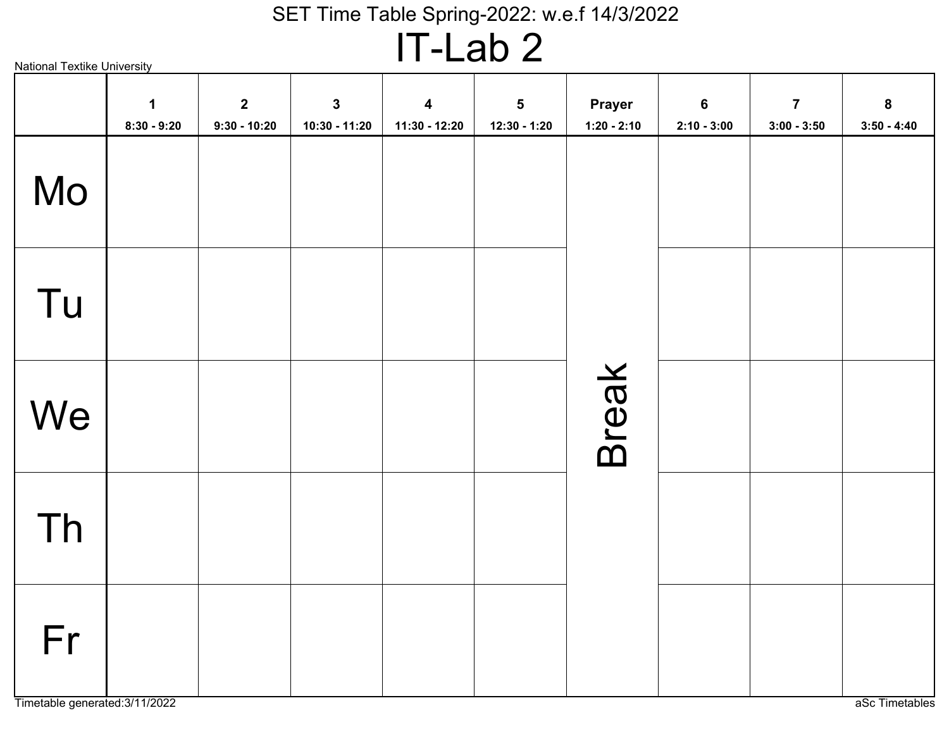# IT-Lab 2

| <b>National Textike University</b> |                              |                                |                                 | . .<br>$\blacksquare$ $\blacksquare$     |                              |                                |                                 |                                 |                                   |
|------------------------------------|------------------------------|--------------------------------|---------------------------------|------------------------------------------|------------------------------|--------------------------------|---------------------------------|---------------------------------|-----------------------------------|
|                                    | $\mathbf 1$<br>$8:30 - 9:20$ | $\mathbf{2}$<br>$9:30 - 10:20$ | $\mathbf{3}$<br>$10:30 - 11:20$ | $\overline{\mathbf{4}}$<br>11:30 - 12:20 | $\sqrt{5}$<br>$12:30 - 1:20$ | <b>Prayer</b><br>$1:20 - 2:10$ | $6\phantom{1}$<br>$2:10 - 3:00$ | $\overline{7}$<br>$3:00 - 3:50$ | $\boldsymbol{8}$<br>$3:50 - 4:40$ |
| Mo                                 |                              |                                |                                 |                                          |                              |                                |                                 |                                 |                                   |
| Tu                                 |                              |                                |                                 |                                          |                              |                                |                                 |                                 |                                   |
| We                                 |                              |                                |                                 |                                          |                              | <b>Break</b>                   |                                 |                                 |                                   |
| Th                                 |                              |                                |                                 |                                          |                              |                                |                                 |                                 |                                   |
| Fr                                 |                              |                                |                                 |                                          |                              |                                |                                 |                                 |                                   |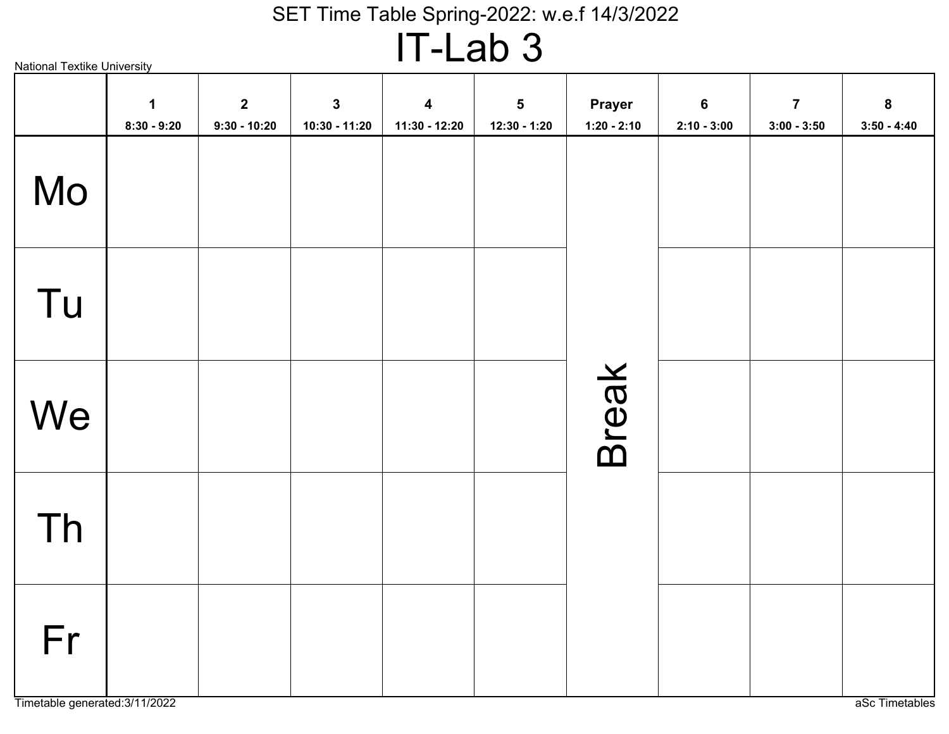# IT-Lab 3

| <b>National Textike University</b> |                    |                                  |                                 | . .                                        | $-$ unde                     |                                |                                 |                                 |                                   |
|------------------------------------|--------------------|----------------------------------|---------------------------------|--------------------------------------------|------------------------------|--------------------------------|---------------------------------|---------------------------------|-----------------------------------|
|                                    | 1<br>$8:30 - 9:20$ | $\overline{2}$<br>$9:30 - 10:20$ | $\mathbf{3}$<br>$10:30 - 11:20$ | $\overline{\mathbf{4}}$<br>$11:30 - 12:20$ | $\sqrt{5}$<br>$12:30 - 1:20$ | <b>Prayer</b><br>$1:20 - 2:10$ | $6\phantom{1}$<br>$2:10 - 3:00$ | $\overline{7}$<br>$3:00 - 3:50$ | $\boldsymbol{8}$<br>$3:50 - 4:40$ |
| Mo                                 |                    |                                  |                                 |                                            |                              |                                |                                 |                                 |                                   |
| Tu                                 |                    |                                  |                                 |                                            |                              |                                |                                 |                                 |                                   |
| We                                 |                    |                                  |                                 |                                            |                              | <b>Break</b>                   |                                 |                                 |                                   |
| Th                                 |                    |                                  |                                 |                                            |                              |                                |                                 |                                 |                                   |
| Fr                                 |                    |                                  |                                 |                                            |                              |                                |                                 |                                 |                                   |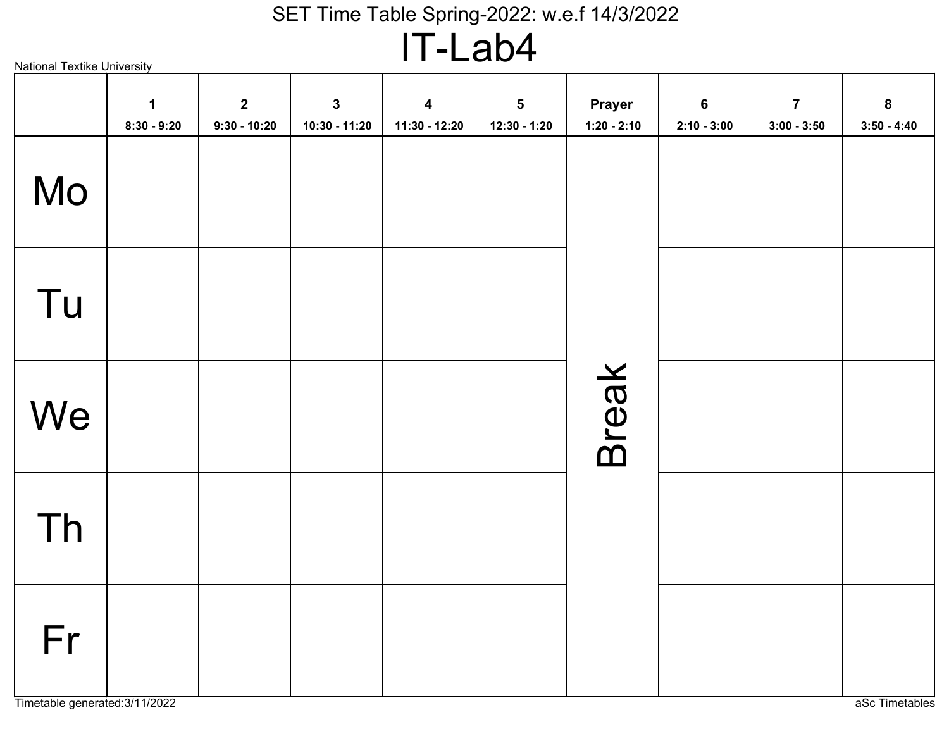IT-Lab4

|    | $\mathbf 1$<br>$8:30 - 9:20$ | $\mathbf{2}$<br>$9:30 - 10:20$ | $\mathbf{3}$<br>$10:30 - 11:20$ | $\boldsymbol{4}$<br>11:30 - 12:20 | $5\phantom{1}$<br>$12:30 - 1:20$ | Prayer<br>$1:20 - 2:10$ | $6\phantom{a}$<br>$2:10 - 3:00$ | $\overline{7}$<br>$3:00 - 3:50$ | $\bf{8}$<br>$3:50 - 4:40$ |
|----|------------------------------|--------------------------------|---------------------------------|-----------------------------------|----------------------------------|-------------------------|---------------------------------|---------------------------------|---------------------------|
| Mo |                              |                                |                                 |                                   |                                  |                         |                                 |                                 |                           |
| Tu |                              |                                |                                 |                                   |                                  |                         |                                 |                                 |                           |
| We |                              |                                |                                 |                                   |                                  | Break                   |                                 |                                 |                           |
| Th |                              |                                |                                 |                                   |                                  |                         |                                 |                                 |                           |
| Fr |                              |                                |                                 |                                   |                                  |                         |                                 |                                 |                           |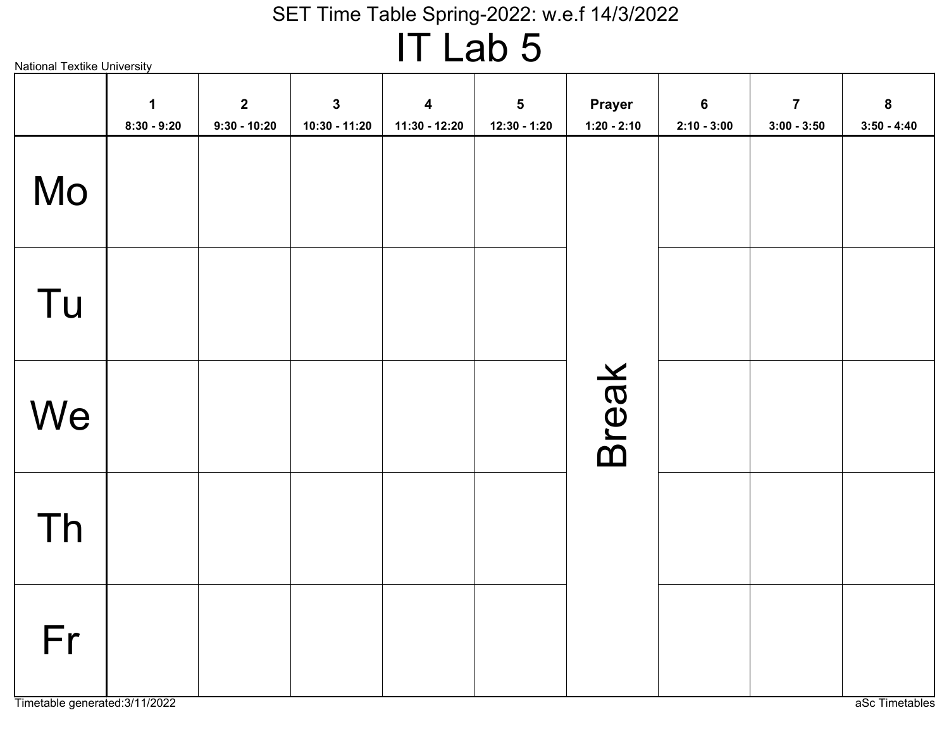# IT Lab 5

|    | $\mathbf 1$<br>$8:30 - 9:20$ | $\mathbf{2}$<br>$9:30 - 10:20$ | $\mathbf{3}$<br>$10:30 - 11:20$ | $\overline{\mathbf{4}}$<br>11:30 - 12:20 | $\overline{\mathbf{5}}$<br>12:30 - 1:20 | Prayer<br>$1:20 - 2:10$ | $6\phantom{a}$<br>$2:10 - 3:00$ | $\overline{7}$<br>$3:00 - 3:50$ | $\boldsymbol{8}$<br>$3:50 - 4:40$ |
|----|------------------------------|--------------------------------|---------------------------------|------------------------------------------|-----------------------------------------|-------------------------|---------------------------------|---------------------------------|-----------------------------------|
| Mo |                              |                                |                                 |                                          |                                         |                         |                                 |                                 |                                   |
| Tu |                              |                                |                                 |                                          |                                         |                         |                                 |                                 |                                   |
| We |                              |                                |                                 |                                          |                                         | Break                   |                                 |                                 |                                   |
| Th |                              |                                |                                 |                                          |                                         |                         |                                 |                                 |                                   |
| Fr |                              |                                |                                 |                                          |                                         |                         |                                 |                                 |                                   |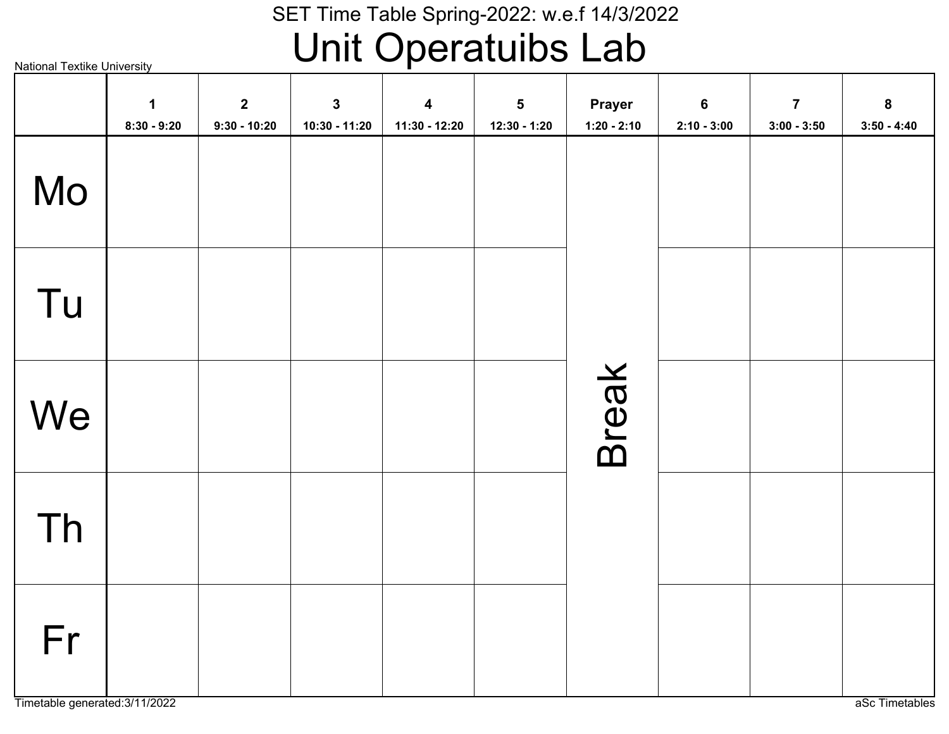# Unit Operatuibs Lab

|    | $\mathbf 1$<br>$8:30 - 9:20$ | $\mathbf{2}$<br>$9:30 - 10:20$ | $\mathbf{3}$<br>10:30 - 11:20 | $\overline{\mathbf{4}}$<br>11:30 - 12:20 | 5<br>$12:30 - 1:20$ | <b>Prayer</b><br>$1:20 - 2:10$ | $6\phantom{a}$<br>$2:10 - 3:00$ | $\overline{7}$<br>$3:00 - 3:50$ | $\bf{8}$<br>$3:50 - 4:40$ |
|----|------------------------------|--------------------------------|-------------------------------|------------------------------------------|---------------------|--------------------------------|---------------------------------|---------------------------------|---------------------------|
| Mo |                              |                                |                               |                                          |                     |                                |                                 |                                 |                           |
| Tu |                              |                                |                               |                                          |                     |                                |                                 |                                 |                           |
| We |                              |                                |                               |                                          |                     | <b>Break</b>                   |                                 |                                 |                           |
| Th |                              |                                |                               |                                          |                     |                                |                                 |                                 |                           |
| Fr |                              |                                |                               |                                          |                     |                                |                                 |                                 |                           |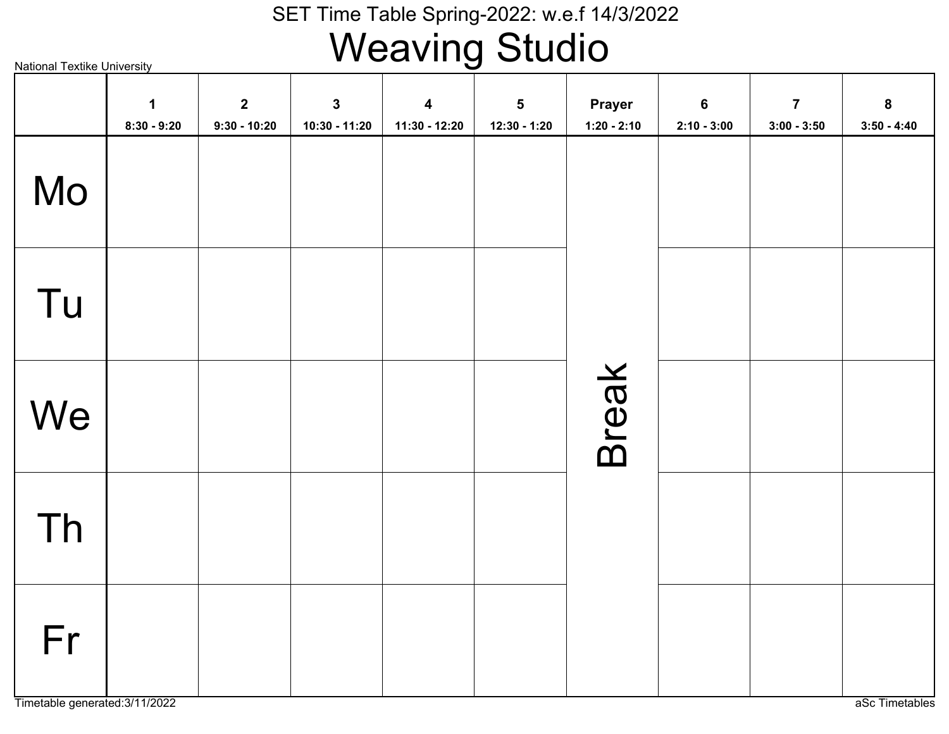# Weaving Studio

National Textike University

|    | $\mathbf 1$<br>$8:30 - 9:20$ | $\mathbf{2}$<br>$9:30 - 10:20$ | $\mathbf{3}$<br>10:30 - 11:20 | $\boldsymbol{4}$<br>11:30 - 12:20 | $5\phantom{a}$<br>$12:30 - 1:20$ | <b>Prayer</b><br>$1:20 - 2:10$ | $6\phantom{1}$<br>$2:10 - 3:00$ | $\overline{7}$<br>$3:00 - 3:50$ | $\bf{8}$<br>$3:50 - 4:40$ |
|----|------------------------------|--------------------------------|-------------------------------|-----------------------------------|----------------------------------|--------------------------------|---------------------------------|---------------------------------|---------------------------|
| Mo |                              |                                |                               |                                   |                                  |                                |                                 |                                 |                           |
| Tu |                              |                                |                               |                                   |                                  |                                |                                 |                                 |                           |
| We |                              |                                |                               |                                   |                                  | <b>Break</b>                   |                                 |                                 |                           |
| Th |                              |                                |                               |                                   |                                  |                                |                                 |                                 |                           |
| Fr |                              |                                |                               |                                   |                                  |                                |                                 |                                 |                           |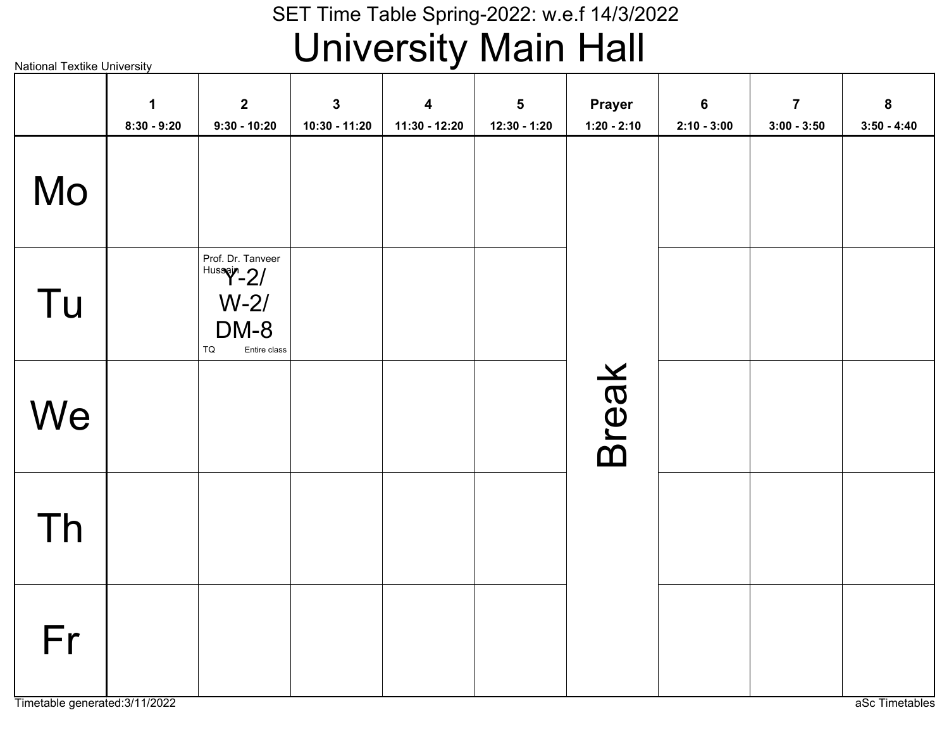### SET Time Table Spring-2022: w.e.f 14/3/2022University Main Hall

|    | $\mathbf 1$<br>$8:30 - 9:20$ | $\overline{2}$<br>$9:30 - 10:20$                                                                | $\mathbf{3}$<br>10:30 - 11:20 | $\boldsymbol{4}$<br>11:30 - 12:20 | 5<br>12:30 - 1:20 | Prayer<br>$1:20 - 2:10$ | $6\phantom{a}$<br>$2:10 - 3:00$ | $\overline{7}$<br>$3:00 - 3:50$ | 8<br>$3:50 - 4:40$ |
|----|------------------------------|-------------------------------------------------------------------------------------------------|-------------------------------|-----------------------------------|-------------------|-------------------------|---------------------------------|---------------------------------|--------------------|
| Mo |                              |                                                                                                 |                               |                                   |                   |                         |                                 |                                 |                    |
| Tu |                              | Prof. Dr. Tanveer<br>$ $ <sup>Hussain</sup> -2/<br>$W-2/$<br>DM-8<br>${\tt TQ}$<br>Entire class |                               |                                   |                   |                         |                                 |                                 |                    |
| We |                              |                                                                                                 |                               |                                   |                   | <b>Break</b>            |                                 |                                 |                    |
| Th |                              |                                                                                                 |                               |                                   |                   |                         |                                 |                                 |                    |
| Fr |                              |                                                                                                 |                               |                                   |                   |                         |                                 |                                 |                    |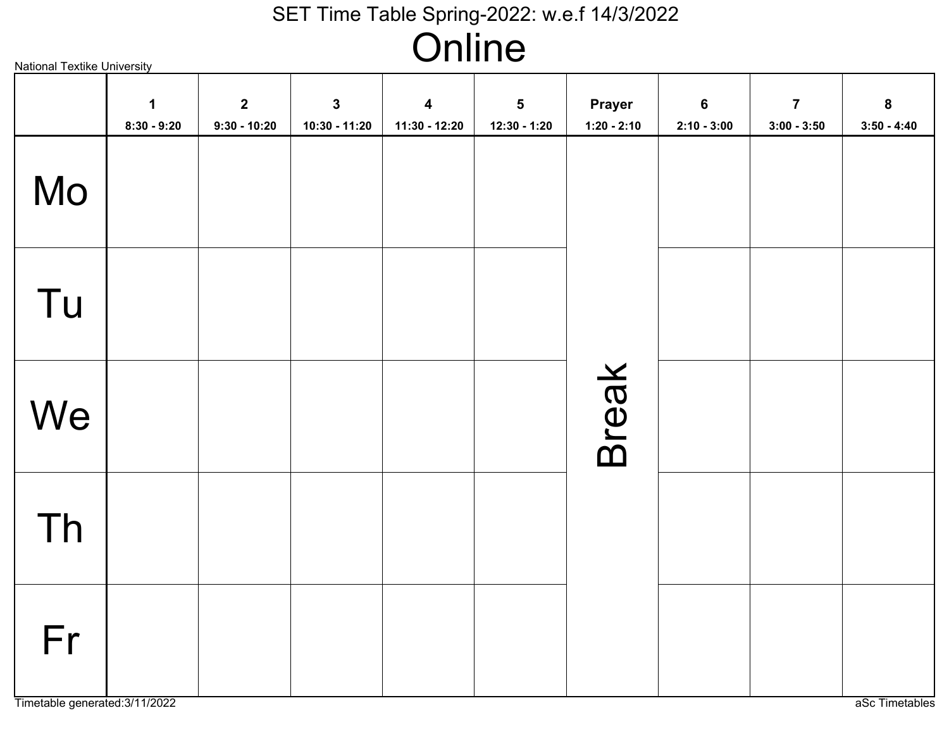### SET Time Table Spring-2022: w.e.f 14/3/2022**Online**

Break MoTu**We** ThFr**1 8:30 - 9:2029:30 - 10:20310:30 - 11:20411:30 - 12:20512:30 - 1:20Prayer1:20 - 2:1062:10 - 3:0073:00 - 3:5083:50 - 4:40**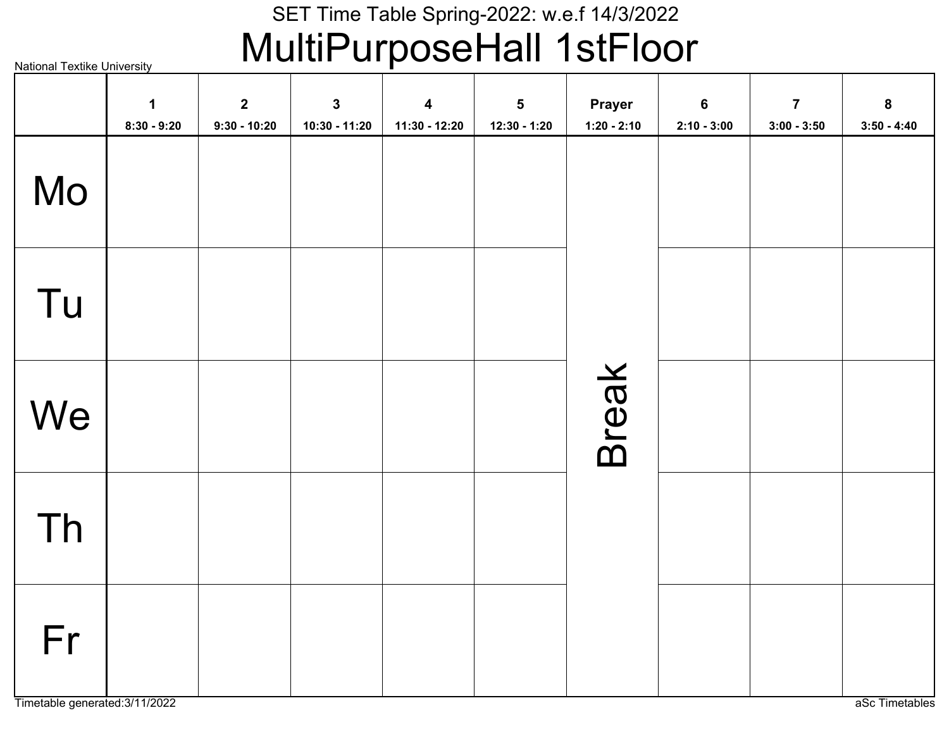### SET Time Table Spring-2022: w.e.f 14/3/2022MultiPurposeHall 1stFloor

|    | $\mathbf 1$<br>$8:30 - 9:20$ | $\mathbf{2}$<br>$9:30 - 10:20$ | $\mathbf{3}$<br>10:30 - 11:20 | $\overline{\mathbf{4}}$<br>11:30 - 12:20 | $\overline{\mathbf{5}}$<br>$12:30 - 1:20$ | Prayer<br>$1:20 - 2:10$ | $6\phantom{a}$<br>$2:10 - 3:00$ | $\overline{7}$<br>$3:00 - 3:50$ | $\bf{8}$<br>$3:50 - 4:40$ |
|----|------------------------------|--------------------------------|-------------------------------|------------------------------------------|-------------------------------------------|-------------------------|---------------------------------|---------------------------------|---------------------------|
| Mo |                              |                                |                               |                                          |                                           |                         |                                 |                                 |                           |
| Tu |                              |                                |                               |                                          |                                           |                         |                                 |                                 |                           |
| We |                              |                                |                               |                                          |                                           | <b>Break</b>            |                                 |                                 |                           |
| Th |                              |                                |                               |                                          |                                           |                         |                                 |                                 |                           |
| Fr |                              |                                |                               |                                          |                                           |                         |                                 |                                 |                           |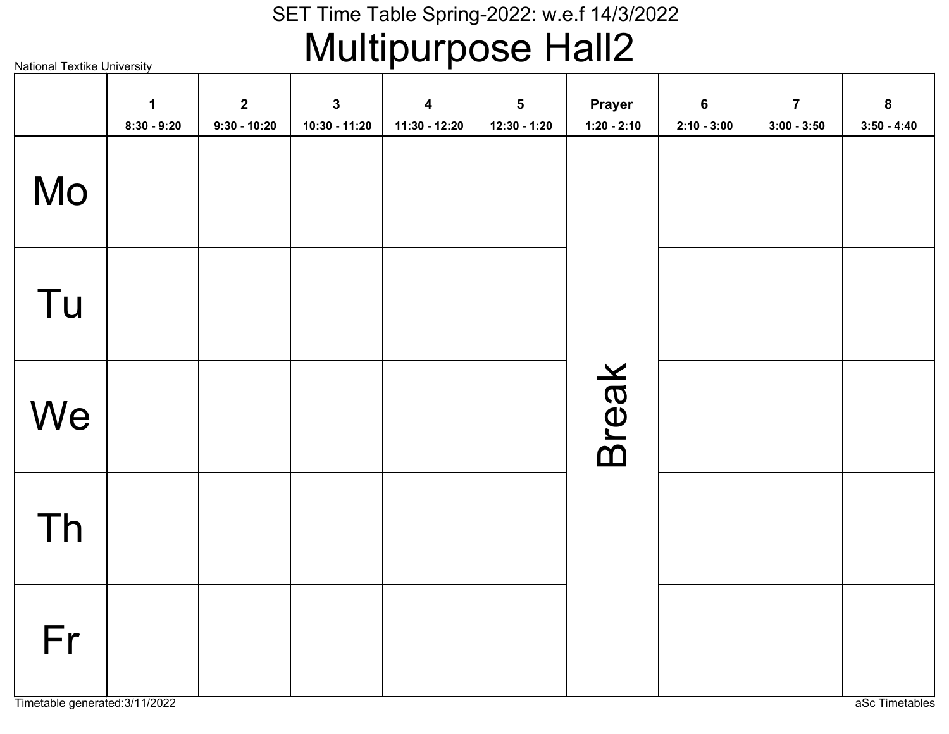# SET Time Table Spring-2022: w.e.f 14/3/2022<br>Multipurpose Hall2

National Textike University

|    | $\mathbf 1$<br>$8:30 - 9:20$ | $\mathbf{2}$<br>$9:30 - 10:20$ | $\mathbf{3}$<br>10:30 - 11:20 | $\overline{\mathbf{4}}$<br>11:30 - 12:20 | $5\phantom{a}$<br>$12:30 - 1:20$ | Prayer<br>$1:20 - 2:10$ | $6\phantom{a}$<br>$2:10 - 3:00$ | $\overline{7}$<br>$3:00 - 3:50$ | 8<br>$3:50 - 4:40$ |
|----|------------------------------|--------------------------------|-------------------------------|------------------------------------------|----------------------------------|-------------------------|---------------------------------|---------------------------------|--------------------|
| Mo |                              |                                |                               |                                          |                                  |                         |                                 |                                 |                    |
| Tu |                              |                                |                               |                                          |                                  |                         |                                 |                                 |                    |
| We |                              |                                |                               |                                          |                                  | Break                   |                                 |                                 |                    |
| Th |                              |                                |                               |                                          |                                  |                         |                                 |                                 |                    |
| Fr |                              |                                |                               |                                          |                                  |                         |                                 |                                 |                    |